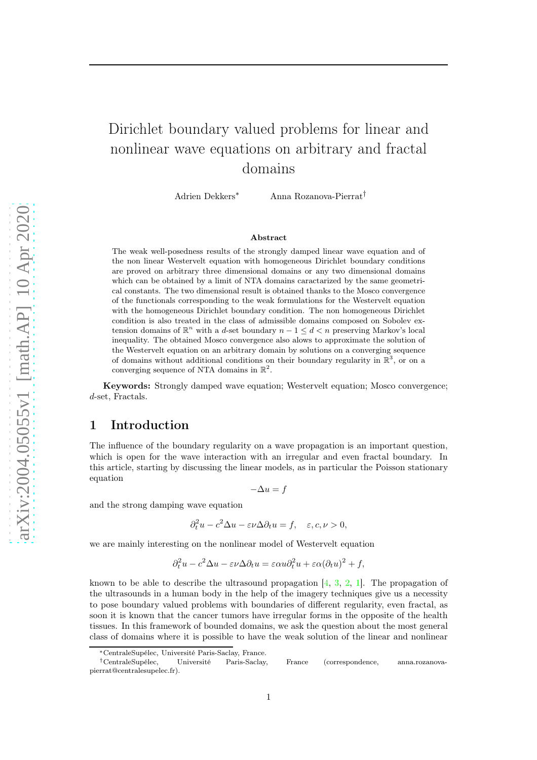# Dirichlet boundary valued problems for linear and nonlinear wave equations on arbitrary and fractal domains

Adrien Dekkers<sup>∗</sup> Anna Rozanova-Pierrat†

#### Abstract

The weak well-posedness results of the strongly damped linear wave equation and of the non linear Westervelt equation with homogeneous Dirichlet boundary conditions are proved on arbitrary three dimensional domains or any two dimensional domains which can be obtained by a limit of NTA domains caractarized by the same geometrical constants. The two dimensional result is obtained thanks to the Mosco convergence of the functionals corresponding to the weak formulations for the Westervelt equation with the homogeneous Dirichlet boundary condition. The non homogeneous Dirichlet condition is also treated in the class of admissible domains composed on Sobolev extension domains of  $\mathbb{R}^n$  with a d-set boundary  $n-1 \leq d \lt n$  preserving Markov's local inequality. The obtained Mosco convergence also alows to approximate the solution of the Westervelt equation on an arbitrary domain by solutions on a converging sequence of domains without additional conditions on their boundary regularity in  $\mathbb{R}^3$ , or on a converging sequence of NTA domains in  $\mathbb{R}^2$ .

Keywords: Strongly damped wave equation; Westervelt equation; Mosco convergence; d-set, Fractals.

### 1 Introduction

The influence of the boundary regularity on a wave propagation is an important question, which is open for the wave interaction with an irregular and even fractal boundary. In this article, starting by discussing the linear models, as in particular the Poisson stationary equation

 $-\Delta u = f$ 

and the strong damping wave equation

$$
\partial_t^2 u - c^2 \Delta u - \varepsilon \nu \Delta \partial_t u = f, \quad \varepsilon, c, \nu > 0,
$$

we are mainly interesting on the nonlinear model of Westervelt equation

$$
\partial_t^2 u - c^2 \Delta u - \varepsilon \nu \Delta \partial_t u = \varepsilon \alpha u \partial_t^2 u + \varepsilon \alpha (\partial_t u)^2 + f,
$$

known to be able to describe the ultrasound propagation  $[4, 3, 2, 1]$  $[4, 3, 2, 1]$  $[4, 3, 2, 1]$  $[4, 3, 2, 1]$  $[4, 3, 2, 1]$  $[4, 3, 2, 1]$ . The propagation of the ultrasounds in a human body in the help of the imagery techniques give us a necessity to pose boundary valued problems with boundaries of different regularity, even fractal, as soon it is known that the cancer tumors have irregular forms in the opposite of the health tissues. In this framework of bounded domains, we ask the question about the most general class of domains where it is possible to have the weak solution of the linear and nonlinear

<sup>∗</sup>CentraleSupélec, Université Paris-Saclay, France.

<sup>†</sup>CentraleSupélec, Université Paris-Saclay, France (correspondence, anna.rozanovapierrat@centralesupelec.fr).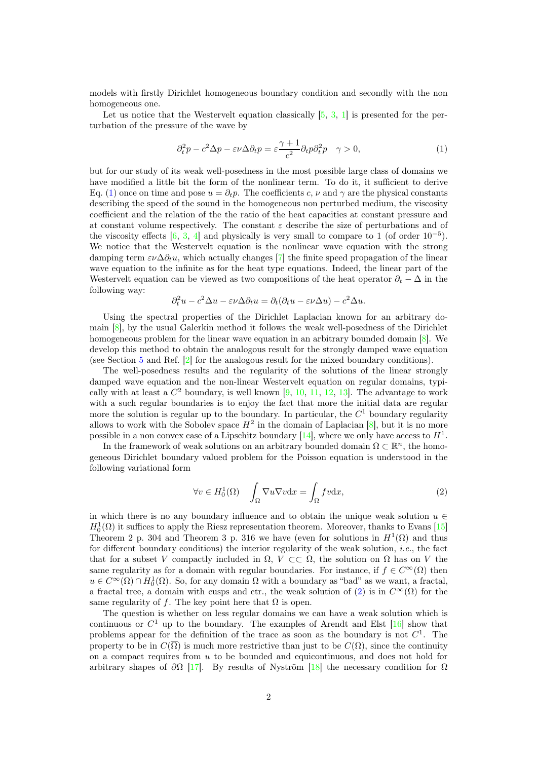models with firstly Dirichlet homogeneous boundary condition and secondly with the non homogeneous one.

Let us notice that the Westervelt equation classically  $[5, 3, 1]$  $[5, 3, 1]$  $[5, 3, 1]$  $[5, 3, 1]$  is presented for the perturbation of the pressure of the wave by

<span id="page-1-0"></span>
$$
\partial_t^2 p - c^2 \Delta p - \varepsilon \nu \Delta \partial_t p = \varepsilon \frac{\gamma + 1}{c^2} \partial_t p \partial_t^2 p \quad \gamma > 0,
$$
\n<sup>(1)</sup>

but for our study of its weak well-posedness in the most possible large class of domains we have modified a little bit the form of the nonlinear term. To do it, it sufficient to derive Eq. [\(1\)](#page-1-0) once on time and pose  $u = \partial_t p$ . The coefficients c,  $\nu$  and  $\gamma$  are the physical constants describing the speed of the sound in the homogeneous non perturbed medium, the viscosity coefficient and the relation of the the ratio of the heat capacities at constant pressure and at constant volume respectively. The constant  $\varepsilon$  describe the size of perturbations and of the viscosity effects [\[6,](#page-37-5) [3,](#page-37-1) [4\]](#page-37-0) and physically is very small to compare to 1 (of order  $10^{-5}$ ). We notice that the Westervelt equation is the nonlinear wave equation with the strong damping term  $\varepsilon\nu\Delta\partial_t u$ , which actually changes [\[7\]](#page-37-6) the finite speed propagation of the linear wave equation to the infinite as for the heat type equations. Indeed, the linear part of the Westervelt equation can be viewed as two compositions of the heat operator  $\partial_t - \Delta$  in the following way:

$$
\partial_t^2 u - c^2 \Delta u - \varepsilon \nu \Delta \partial_t u = \partial_t (\partial_t u - \varepsilon \nu \Delta u) - c^2 \Delta u.
$$

Using the spectral properties of the Dirichlet Laplacian known for an arbitrary domain  $[8]$ , by the usual Galerkin method it follows the weak well-posedness of the Dirichlet homogeneous problem for the linear wave equation in an arbitrary bounded domain [\[8\]](#page-37-7). We develop this method to obtain the analogous result for the strongly damped wave equation (see Section [5](#page-12-0) and Ref.  $[2]$  for the analogous result for the mixed boundary conditions).

The well-posedness results and the regularity of the solutions of the linear strongly damped wave equation and the non-linear Westervelt equation on regular domains, typically with at least a  $C^2$  boundary, is well known [\[9,](#page-37-8) [10,](#page-37-9) [11,](#page-37-10) [12,](#page-37-11) [13\]](#page-37-12). The advantage to work with a such regular boundaries is to enjoy the fact that more the initial data are regular more the solution is regular up to the boundary. In particular, the  $C<sup>1</sup>$  boundary regularity allows to work with the Sobolev space  $H^2$  in the domain of Laplacian [\[8\]](#page-37-7), but it is no more possible in a non convex case of a Lipschitz boundary  $[14]$ , where we only have access to  $H<sup>1</sup>$ .

In the framework of weak solutions on an arbitrary bounded domain  $\Omega \subset \mathbb{R}^n$ , the homogeneous Dirichlet boundary valued problem for the Poisson equation is understood in the following variational form

<span id="page-1-1"></span>
$$
\forall v \in H_0^1(\Omega) \quad \int_{\Omega} \nabla u \nabla v \, \mathrm{d}x = \int_{\Omega} fv \, \mathrm{d}x,\tag{2}
$$

in which there is no any boundary influence and to obtain the unique weak solution  $u \in$  $H_0^1(\Omega)$  it suffices to apply the Riesz representation theorem. Moreover, thanks to Evans [\[15\]](#page-37-14) Theorem 2 p. 304 and Theorem 3 p. 316 we have (even for solutions in  $H^1(\Omega)$  and thus for different boundary conditions) the interior regularity of the weak solution, i.e., the fact that for a subset V compactly included in  $\Omega$ ,  $V \subset\subset \Omega$ , the solution on  $\Omega$  has on V the same regularity as for a domain with regular boundaries. For instance, if  $f \in C^{\infty}(\Omega)$  then  $u \in C^{\infty}(\Omega) \cap H_0^1(\Omega)$ . So, for any domain  $\Omega$  with a boundary as "bad" as we want, a fractal, a fractal tree, a domain with cusps and ctr., the weak solution of [\(2\)](#page-1-1) is in  $C^{\infty}(\Omega)$  for the same regularity of f. The key point here that  $\Omega$  is open.

The question is whether on less regular domains we can have a weak solution which is continuous or  $C^1$  up to the boundary. The examples of Arendt and Elst [\[16\]](#page-37-15) show that problems appear for the definition of the trace as soon as the boundary is not  $C^1$ . The property to be in  $C(\overline{\Omega})$  is much more restrictive than just to be  $C(\Omega)$ , since the continuity on a compact requires from  $u$  to be bounded and equicontinuous, and does not hold for arbitrary shapes of  $\partial \Omega$  [\[17\]](#page-37-16). By results of Nyström [\[18\]](#page-38-0) the necessary condition for  $\Omega$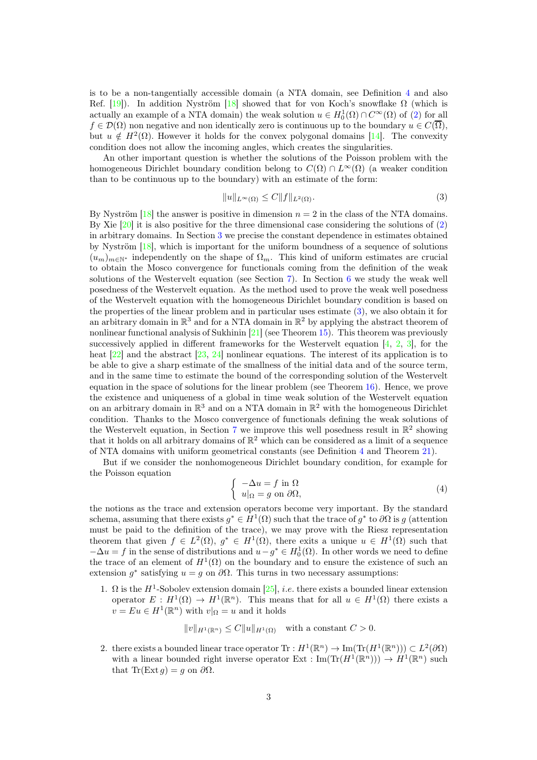is to be a non-tangentially accessible domain (a NTA domain, see Definition [4](#page-4-0) and also Ref. [\[19\]](#page-38-1)). In addition Nyström [\[18\]](#page-38-0) showed that for von Koch's snowflake  $\Omega$  (which is actually an example of a NTA domain) the weak solution  $u \in H_0^1(\Omega) \cap C^\infty(\Omega)$  of [\(2\)](#page-1-1) for all  $f \in \mathcal{D}(\Omega)$  non negative and non identically zero is continuous up to the boundary  $u \in C(\overline{\Omega})$ , but  $u \notin H^2(\Omega)$ . However it holds for the convex polygonal domains [\[14\]](#page-37-13). The convexity condition does not allow the incoming angles, which creates the singularities.

An other important question is whether the solutions of the Poisson problem with the homogeneous Dirichlet boundary condition belong to  $C(\Omega) \cap L^{\infty}(\Omega)$  (a weaker condition than to be continuous up to the boundary) with an estimate of the form:

<span id="page-2-0"></span>
$$
||u||_{L^{\infty}(\Omega)} \leq C||f||_{L^{2}(\Omega)}.
$$
\n(3)

By Nyström  $[18]$  the answer is positive in dimension  $n = 2$  in the class of the NTA domains. By Xie [\[20\]](#page-38-2) it is also positive for the three dimensional case considering the solutions of [\(2\)](#page-1-1) in arbitrary domains. In Section [3](#page-8-0) we precise the constant dependence in estimates obtained by Nyström [\[18\]](#page-38-0), which is important for the uniform boundness of a sequence of solutions  $(u_m)_{m\in\mathbb{N}^*}$  independently on the shape of  $\Omega_m$ . This kind of uniform estimates are crucial to obtain the Mosco convergence for functionals coming from the definition of the weak solutions of the Westervelt equation (see Section [7\)](#page-27-0). In Section [6](#page-21-0) we study the weak well posedness of the Westervelt equation. As the method used to prove the weak well posedness of the Westervelt equation with the homogeneous Dirichlet boundary condition is based on the properties of the linear problem and in particular uses estimate [\(3\)](#page-2-0), we also obtain it for an arbitrary domain in  $\mathbb{R}^3$  and for a NTA domain in  $\mathbb{R}^2$  by applying the abstract theorem of nonlinear functional analysis of Sukhinin  $[21]$  (see Theorem [15\)](#page-21-1). This theorem was previously successively applied in different frameworks for the Westervelt equation  $[4, 2, 3]$  $[4, 2, 3]$  $[4, 2, 3]$  $[4, 2, 3]$ , for the heat [\[22\]](#page-38-4) and the abstract [\[23,](#page-38-5) [24\]](#page-38-6) nonlinear equations. The interest of its application is to be able to give a sharp estimate of the smallness of the initial data and of the source term, and in the same time to estimate the bound of the corresponding solution of the Westervelt equation in the space of solutions for the linear problem (see Theorem [16\)](#page-22-0). Hence, we prove the existence and uniqueness of a global in time weak solution of the Westervelt equation on an arbitrary domain in  $\mathbb{R}^3$  and on a NTA domain in  $\mathbb{R}^2$  with the homogeneous Dirichlet condition. Thanks to the Mosco convergence of functionals defining the weak solutions of the Westervelt equation, in Section [7](#page-27-0) we improve this well posedness result in  $\mathbb{R}^2$  showing that it holds on all arbitrary domains of  $\mathbb{R}^2$  which can be considered as a limit of a sequence of NTA domains with uniform geometrical constants (see Definition [4](#page-4-0) and Theorem [21\)](#page-33-0).

But if we consider the nonhomogeneous Dirichlet boundary condition, for example for the Poisson equation

<span id="page-2-1"></span>
$$
\begin{cases}\n-\Delta u = f \text{ in } \Omega \\
u|_{\Omega} = g \text{ on } \partial\Omega,\n\end{cases}
$$
\n(4)

the notions as the trace and extension operators become very important. By the standard schema, assuming that there exists  $g^* \in H^1(\Omega)$  such that the trace of  $g^*$  to  $\partial\Omega$  is g (attention must be paid to the definition of the trace), we may prove with the Riesz representation theorem that given  $f \in L^2(\Omega)$ ,  $g^* \in H^1(\Omega)$ , there exits a unique  $u \in H^1(\Omega)$  such that  $-\Delta u = f$  in the sense of distributions and  $u - g^* \in H_0^1(\Omega)$ . In other words we need to define the trace of an element of  $H^1(\Omega)$  on the boundary and to ensure the existence of such an extension  $g^*$  satisfying  $u = g$  on  $\partial\Omega$ . This turns in two necessary assumptions:

1.  $\Omega$  is the  $H^1$ -Sobolev extension domain [\[25\]](#page-38-7), *i.e.* there exists a bounded linear extension operator  $E: H^1(\Omega) \to H^1(\mathbb{R}^n)$ . This means that for all  $u \in H^1(\Omega)$  there exists a  $v = Eu \in H^1(\mathbb{R}^n)$  with  $v|_{\Omega} = u$  and it holds

$$
||v||_{H^1(\mathbb{R}^n)} \leq C||u||_{H^1(\Omega)} \quad \text{with a constant } C > 0.
$$

2. there exists a bounded linear trace operator  $\text{Tr}: H^1(\mathbb{R}^n) \to \text{Im}(\text{Tr}(H^1(\mathbb{R}^n))) \subset L^2(\partial\Omega)$ with a linear bounded right inverse operator  $Ext : \text{Im}(\text{Tr}(H^1(\mathbb{R}^n))) \to H^1(\mathbb{R}^n)$  such that Tr(Ext  $g$ ) = g on  $\partial\Omega$ .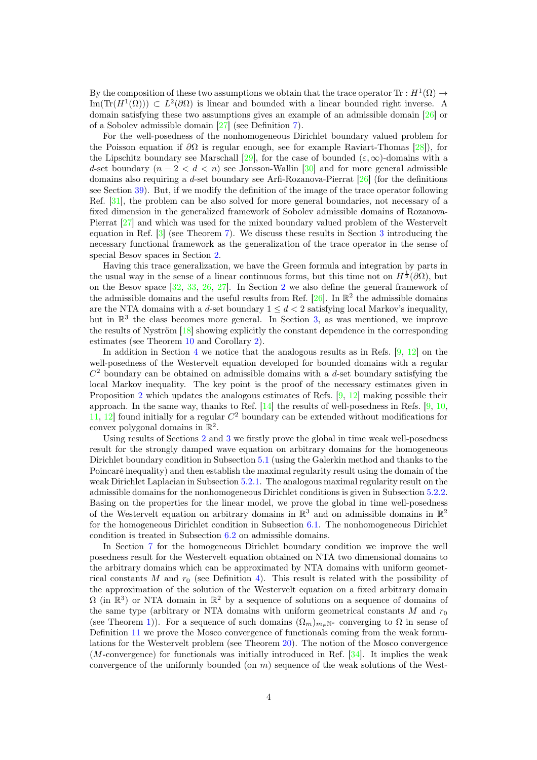By the composition of these two assumptions we obtain that the trace operator  $\text{Tr}: H^1(\Omega) \to$ Im(Tr( $H^1(\Omega)$ )) ⊂  $L^2(\partial\Omega)$  is linear and bounded with a linear bounded right inverse. A domain satisfying these two assumptions gives an example of an admissible domain [\[26\]](#page-38-8) or of a Sobolev admissible domain [\[27\]](#page-38-9) (see Definition [7\)](#page-7-0).

For the well-posedness of the nonhomogeneous Dirichlet boundary valued problem for the Poisson equation if  $\partial\Omega$  is regular enough, see for example Raviart-Thomas [\[28\]](#page-38-10)), for the Lipschitz boundary see Marschall [\[29\]](#page-38-11), for the case of bounded  $(\varepsilon, \infty)$ -domains with a d-set boundary  $(n-2 < d < n)$  see Jonsson-Wallin [\[30\]](#page-38-12) and for more general admissible domains also requiring a d-set boundary see Arfi-Rozanova-Pierrat [\[26\]](#page-38-8) (for the definitions see Section [39\)](#page-20-0). But, if we modify the definition of the image of the trace operator following Ref. [\[31\]](#page-38-13), the problem can be also solved for more general boundaries, not necessary of a fixed dimension in the generalized framework of Sobolev admissible domains of Rozanova-Pierrat [\[27\]](#page-38-9) and which was used for the mixed boundary valued problem of the Westervelt equation in Ref. [\[3\]](#page-37-1) (see Theorem [7\)](#page-8-1). We discuss these results in Section [3](#page-8-0) introducing the necessary functional framework as the generalization of the trace operator in the sense of special Besov spaces in Section [2.](#page-4-1)

Having this trace generalization, we have the Green formula and integration by parts in the usual way in the sense of a linear continuous forms, but this time not on  $H^{\frac{1}{2}}(\partial\Omega)$ , but on the Besov space [\[32,](#page-38-14) [33,](#page-38-15) [26,](#page-38-8) [27\]](#page-38-9). In Section [2](#page-4-1) we also define the general framework of the admissible domains and the useful results from Ref.  $[26]$ . In  $\mathbb{R}^2$  the admissible domains are the NTA domains with a d-set boundary  $1 \leq d \leq 2$  satisfying local Markov's inequality, but in  $\mathbb{R}^3$  the class becomes more general. In Section [3,](#page-8-0) as was mentioned, we improve the results of Nyström [\[18\]](#page-38-0) showing explicitly the constant dependence in the corresponding estimates (see Theorem [10](#page-10-0) and Corollary [2\)](#page-10-1).

In addition in Section [4](#page-11-0) we notice that the analogous results as in Refs. [\[9,](#page-37-8) [12\]](#page-37-11) on the well-posedness of the Westervelt equation developed for bounded domains with a regular  $C<sup>2</sup>$  boundary can be obtained on admissible domains with a d-set boundary satisfying the local Markov inequality. The key point is the proof of the necessary estimates given in Proposition [2](#page-11-1) which updates the analogous estimates of Refs. [\[9,](#page-37-8) [12\]](#page-37-11) making possible their approach. In the same way, thanks to Ref.  $[14]$  the results of well-posedness in Refs. [\[9,](#page-37-8) [10,](#page-37-9) [11,](#page-37-10) 12 found initially for a regular  $C^2$  boundary can be extended without modifications for convex polygonal domains in  $\mathbb{R}^2$ .

Using results of Sections [2](#page-4-1) and [3](#page-8-0) we firstly prove the global in time weak well-posedness result for the strongly damped wave equation on arbitrary domains for the homogeneous Dirichlet boundary condition in Subsection [5.1](#page-12-1) (using the Galerkin method and thanks to the Poincaré inequality) and then establish the maximal regularity result using the domain of the weak Dirichlet Laplacian in Subsection [5.2.1.](#page-16-0) The analogous maximal regularity result on the admissible domains for the nonhomogeneous Dirichlet conditions is given in Subsection [5.2.2.](#page-20-1) Basing on the properties for the linear model, we prove the global in time well-posedness of the Westervelt equation on arbitrary domains in  $\mathbb{R}^3$  and on admissible domains in  $\mathbb{R}^2$ for the homogeneous Dirichlet condition in Subsection  $6.1$ . The nonhomogeneous Dirichlet condition is treated in Subsection [6.2](#page-25-0) on admissible domains.

In Section [7](#page-27-0) for the homogeneous Dirichlet boundary condition we improve the well posedness result for the Westervelt equation obtained on NTA two dimensional domains to the arbitrary domains which can be approximated by NTA domains with uniform geometrical constants M and  $r_0$  (see Definition [4\)](#page-4-0). This result is related with the possibility of the approximation of the solution of the Westervelt equation on a fixed arbitrary domain  $\Omega$  (in  $\mathbb{R}^3$ ) or NTA domain in  $\mathbb{R}^2$  by a sequence of solutions on a sequence of domains of the same type (arbitrary or NTA domains with uniform geometrical constants  $M$  and  $r_0$ (see Theorem [1\)](#page-5-0)). For a sequence of such domains  $(\Omega_m)_{m\in\mathbb{N}^*}$  converging to  $\Omega$  in sense of Definition [11](#page-27-1) we prove the Mosco convergence of functionals coming from the weak formulations for the Westervelt problem (see Theorem [20\)](#page-29-0). The notion of the Mosco convergence (M-convergence) for functionals was initially introduced in Ref. [\[34\]](#page-38-16). It implies the weak convergence of the uniformly bounded (on  $m$ ) sequence of the weak solutions of the West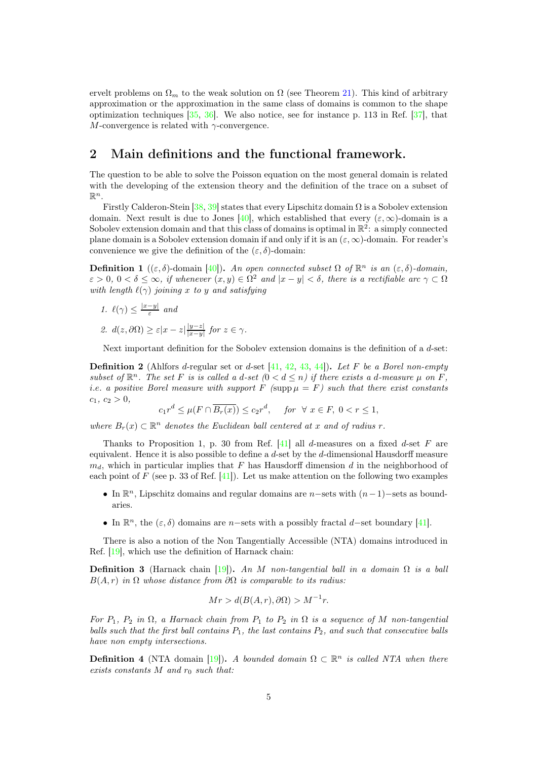ervelt problems on  $\Omega_m$  to the weak solution on  $\Omega$  (see Theorem [21\)](#page-33-0). This kind of arbitrary approximation or the approximation in the same class of domains is common to the shape optimization techniques  $[35, 36]$  $[35, 36]$ . We also notice, see for instance p. 113 in Ref.  $[37]$ , that M-convergence is related with  $\gamma$ -convergence.

### <span id="page-4-1"></span>2 Main definitions and the functional framework.

The question to be able to solve the Poisson equation on the most general domain is related with the developing of the extension theory and the definition of the trace on a subset of  $\mathbb{R}^n$ .

Firstly Calderon-Stein [\[38,](#page-39-1) [39\]](#page-39-2) states that every Lipschitz domain  $\Omega$  is a Sobolev extension domain. Next result is due to Jones [\[40\]](#page-39-3), which established that every  $(\varepsilon, \infty)$ -domain is a Sobolev extension domain and that this class of domains is optimal in  $\mathbb{R}^2$ : a simply connected plane domain is a Sobolev extension domain if and only if it is an  $(\varepsilon, \infty)$ -domain. For reader's convenience we give the definition of the  $(\varepsilon, \delta)$ -domain:

**Definition 1** ((ε, δ)-domain [\[40\]](#page-39-3)). An open connected subset  $\Omega$  of  $\mathbb{R}^n$  is an (ε, δ)-domain,  $\varepsilon > 0, 0 < \delta \leq \infty$ , if whenever  $(x, y) \in \Omega^2$  and  $|x - y| < \delta$ , there is a rectifiable arc  $\gamma \subset \Omega$ with length  $\ell(\gamma)$  joining x to y and satisfying

- 1.  $\ell(\gamma) \leq \frac{|x-y|}{\varepsilon}$  and
- 2.  $d(z, \partial \Omega) \geq \varepsilon |x z| \frac{|y z|}{|x y|}$  $\frac{|y-z|}{|x-y|}$  for  $z \in \gamma$ .

Next important definition for the Sobolev extension domains is the definition of a d-set:

<span id="page-4-2"></span>**Definition 2** (Ahlfors d-regular set or d-set [\[41,](#page-39-4) [42,](#page-39-5) [43,](#page-39-6) [44\]](#page-39-7)). Let F be a Borel non-empty subset of  $\mathbb{R}^n$ . The set F is is called a d-set  $(0 < d \le n)$  if there exists a d-measure  $\mu$  on F, *i.e.* a positive Borel measure with support F (supp  $\mu = F$ ) such that there exist constants  $c_1, c_2 > 0,$ 

$$
c_1 r^d \le \mu(F \cap \overline{B_r(x)}) \le c_2 r^d
$$
, for  $\forall x \in F, 0 < r \le 1$ ,

where  $B_r(x) \subset \mathbb{R}^n$  denotes the Euclidean ball centered at x and of radius r.

Thanks to Proposition 1, p. 30 from Ref. [\[41\]](#page-39-4) all d-measures on a fixed d-set F are equivalent. Hence it is also possible to define a d-set by the d-dimensional Hausdorff measure  $m_d$ , which in particular implies that F has Hausdorff dimension d in the neighborhood of each point of F (see p. 33 of Ref.  $[41]$ ). Let us make attention on the following two examples

- In  $\mathbb{R}^n$ , Lipschitz domains and regular domains are n–sets with  $(n-1)$ –sets as boundaries.
- In  $\mathbb{R}^n$ , the  $(\varepsilon, \delta)$  domains are n–sets with a possibly fractal d–set boundary [\[41\]](#page-39-4).

There is also a notion of the Non Tangentially Accessible (NTA) domains introduced in Ref. [\[19\]](#page-38-1), which use the definition of Harnack chain:

**Definition 3** (Harnack chain [\[19\]](#page-38-1)). An M non-tangential ball in a domain  $\Omega$  is a ball  $B(A, r)$  in  $\Omega$  whose distance from  $\partial\Omega$  is comparable to its radius:

$$
Mr > d(B(A, r), \partial \Omega) > M^{-1}r.
$$

For  $P_1$ ,  $P_2$  in  $\Omega$ , a Harnack chain from  $P_1$  to  $P_2$  in  $\Omega$  is a sequence of M non-tangential balls such that the first ball contains  $P_1$ , the last contains  $P_2$ , and such that consecutive balls have non empty intersections.

<span id="page-4-0"></span>**Definition 4** (NTA domain [\[19\]](#page-38-1)). A bounded domain  $\Omega \subset \mathbb{R}^n$  is called NTA when there exists constants  $M$  and  $r_0$  such that: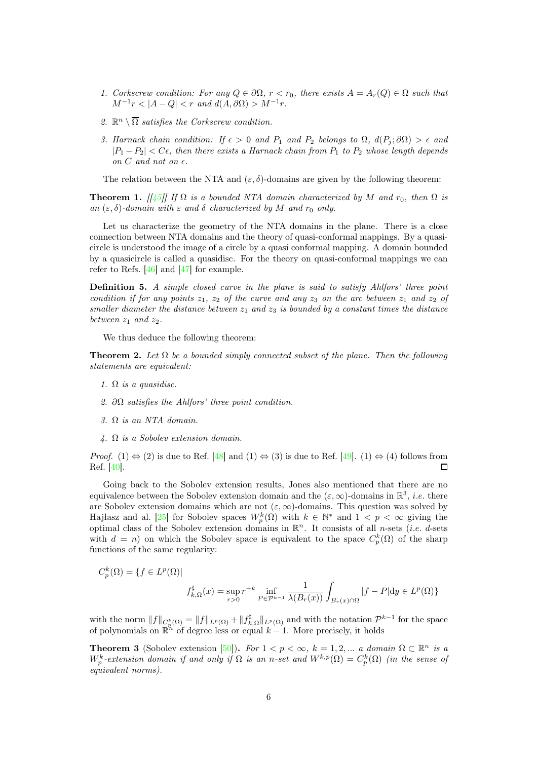- 1. Corkscrew condition: For any  $Q \in \partial\Omega$ ,  $r < r_0$ , there exists  $A = A_r(Q) \in \Omega$  such that  $M^{-1}r < |A-Q| < r$  and  $d(A, \partial \Omega) > M^{-1}r$ .
- 2.  $\mathbb{R}^n \setminus \overline{\Omega}$  satisfies the Corkscrew condition.
- 3. Harnack chain condition: If  $\epsilon > 0$  and  $P_1$  and  $P_2$  belongs to  $\Omega$ ,  $d(P_i; \partial \Omega) > \epsilon$  and  $|P_1 - P_2| < C\epsilon$ , then there exists a Harnack chain from  $P_1$  to  $P_2$  whose length depends on  $C$  and not on  $\epsilon$ .

The relation between the NTA and  $(\varepsilon, \delta)$ -domains are given by the following theorem:

<span id="page-5-0"></span>**Theorem 1.**  $\left[\frac{1}{45}\right]$  If  $\Omega$  is a bounded NTA domain characterized by M and  $r_0$ , then  $\Omega$  is an  $(\varepsilon, \delta)$ -domain with  $\varepsilon$  and  $\delta$  characterized by M and  $r_0$  only.

Let us characterize the geometry of the NTA domains in the plane. There is a close connection between NTA domains and the theory of quasi-conformal mappings. By a quasicircle is understood the image of a circle by a quasi conformal mapping. A domain bounded by a quasicircle is called a quasidisc. For the theory on quasi-conformal mappings we can refer to Refs.  $[46]$  and  $[47]$  for example.

Definition 5. A simple closed curve in the plane is said to satisfy Ahlfors' three point condition if for any points  $z_1$ ,  $z_2$  of the curve and any  $z_3$  on the arc between  $z_1$  and  $z_2$  of smaller diameter the distance between  $z_1$  and  $z_3$  is bounded by a constant times the distance between  $z_1$  and  $z_2$ .

We thus deduce the following theorem:

**Theorem 2.** Let  $\Omega$  be a bounded simply connected subset of the plane. Then the following statements are equivalent:

- 1.  $\Omega$  is a quasidisc.
- 2.  $\partial\Omega$  satisfies the Ahlfors' three point condition.
- 3.  $\Omega$  is an NTA domain.
- 4. Ω is a Sobolev extension domain.

*Proof.* (1) ⇔ (2) is due to Ref. [\[48\]](#page-39-11) and (1) ⇔ (3) is due to Ref. [\[49\]](#page-39-12). (1) ⇔ (4) follows from Ref. [40]. Ref. [\[40\]](#page-39-3).

Going back to the Sobolev extension results, Jones also mentioned that there are no equivalence between the Sobolev extension domain and the  $(\varepsilon, \infty)$ -domains in  $\mathbb{R}^3$ , *i.e.* there are Sobolev extension domains which are not  $(\varepsilon, \infty)$ -domains. This question was solved by Hajłasz and al. [\[25\]](#page-38-7) for Sobolev spaces  $W_p^k(\Omega)$  with  $k \in \mathbb{N}^*$  and  $1 < p < \infty$  giving the optimal class of the Sobolev extension domains in  $\mathbb{R}^n$ . It consists of all *n*-sets (*i.e. d*-sets with  $d = n$  on which the Sobolev space is equivalent to the space  $C_p^k(\Omega)$  of the sharp functions of the same regularity:

$$
C_p^k(\Omega) = \{ f \in L^p(\Omega) |
$$
  

$$
f_{k,\Omega}^{\sharp}(x) = \sup_{r>0} r^{-k} \inf_{P \in \mathcal{P}^{k-1}} \frac{1}{\lambda(B_r(x))} \int_{B_r(x) \cap \Omega} |f - P| \mathrm{d}y \in L^p(\Omega) \}
$$

with the norm  $||f||_{C_{\mathcal{D}}^k(\Omega)} = ||f||_{L^p(\Omega)} + ||f_{k,\Omega}^{\sharp}||_{L^p(\Omega)}$  and with the notation  $\mathcal{P}^{k-1}$  for the space of polynomials on  $\mathbb{R}^n$  of degree less or equal  $k-1$ . More precisely, it holds

**Theorem 3** (Sobolev extension [\[50\]](#page-39-13)). For  $1 < p < \infty$ ,  $k = 1, 2, ...$  a domain  $\Omega \subset \mathbb{R}^n$  is a  $W_p^k$ -extension domain if and only if  $\Omega$  is an n-set and  $W^{k,p}(\Omega) = C_p^k(\Omega)$  (in the sense of equivalent norms).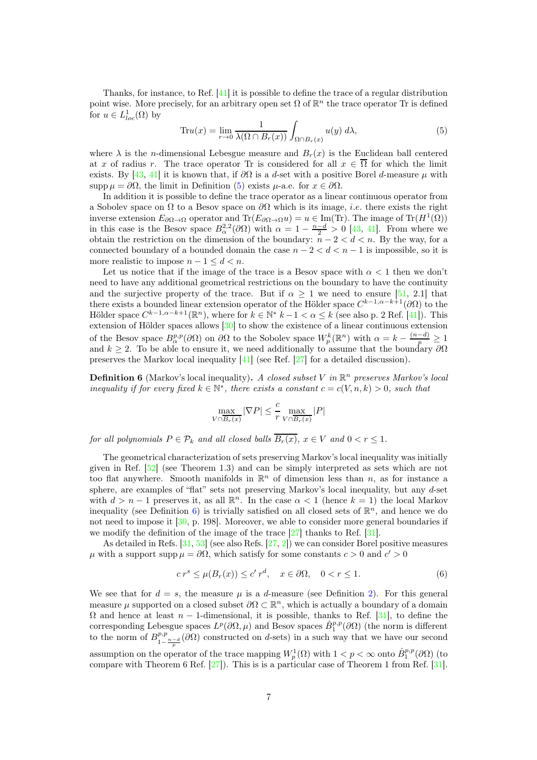Thanks, for instance, to Ref.  $[41]$  it is possible to define the trace of a regular distribution point wise. More precisely, for an arbitrary open set  $\Omega$  of  $\mathbb{R}^n$  the trace operator Tr is defined for  $u \in L^1_{loc}(\Omega)$  by

<span id="page-6-0"></span>
$$
\operatorname{Tr} u(x) = \lim_{r \to 0} \frac{1}{\lambda(\Omega \cap B_r(x))} \int_{\Omega \cap B_r(x)} u(y) \, d\lambda,\tag{5}
$$

where  $\lambda$  is the *n*-dimensional Lebesgue measure and  $B_r(x)$  is the Euclidean ball centered at x of radius r. The trace operator Tr is considered for all  $x \in \overline{\Omega}$  for which the limit exists. By [\[43,](#page-39-6) [41\]](#page-39-4) it is known that, if  $\partial\Omega$  is a d-set with a positive Borel d-measure  $\mu$  with supp  $\mu = \partial \Omega$ , the limit in Definition [\(5\)](#page-6-0) exists  $\mu$ -a.e. for  $x \in \partial \Omega$ .

In addition it is possible to define the trace operator as a linear continuous operator from a Sobolev space on  $\Omega$  to a Besov space on  $\partial\Omega$  which is its image, *i.e.* there exists the right inverse extension  $E_{\partial\Omega\to\Omega}$  operator and  $\text{Tr}(E_{\partial\Omega\to\Omega}u) = u \in \text{Im}(\text{Tr})$ . The image of  $\text{Tr}(H^1(\Omega))$ in this case is the Besov space  $B_{\alpha}^{2,2}(\partial\Omega)$  with  $\alpha=1-\frac{n-d}{2}>0$  [\[43,](#page-39-6) [41\]](#page-39-4). From where we obtain the restriction on the dimension of the boundary:  $n - 2 < d < n$ . By the way, for a connected boundary of a bounded domain the case  $n - 2 < d < n - 1$  is impossible, so it is more realistic to impose  $n - 1 \le d \le n$ .

Let us notice that if the image of the trace is a Besov space with  $\alpha < 1$  then we don't need to have any additional geometrical restrictions on the boundary to have the continuity and the surjective property of the trace. But if  $\alpha > 1$  we need to ensure [\[51,](#page-39-14) 2.1] that there exists a bounded linear extension operator of the Hölder space  $C^{k-1,\alpha-k+1}(\partial\Omega)$  to the Hölder space  $C^{k-1,\alpha-k+1}(\mathbb{R}^n)$ , where for  $k \in \mathbb{N}^*$   $k-1 < \alpha \leq k$  (see also p. 2 Ref. [\[41\]](#page-39-4)). This extension of Hölder spaces allows [\[30\]](#page-38-12) to show the existence of a linear continuous extension of the Besov space  $B^{p,p}_{\alpha}(\partial\Omega)$  on  $\partial\Omega$  to the Sobolev space  $W^k_p(\mathbb{R}^n)$  with  $\alpha = k - \frac{(n-d)}{p} \geq 1$ and  $k \geq 2$ . To be able to ensure it, we need additionally to assume that the boundary  $\partial\Omega$ preserves the Markov local inequality [\[41\]](#page-39-4) (see Ref. [\[27\]](#page-38-9) for a detailed discussion).

<span id="page-6-1"></span>**Definition 6** (Markov's local inequality). A closed subset V in  $\mathbb{R}^n$  preserves Markov's local inequality if for every fixed  $k \in \mathbb{N}^*$ , there exists a constant  $c = c(V, n, k) > 0$ , such that

$$
\max_{V \cap \overline{B_r(x)}} |\nabla P| \leq \frac{c}{r} \max_{V \cap \overline{B_r(x)}} |P|
$$

for all polynomials  $P \in \mathcal{P}_k$  and all closed balls  $\overline{B_r(x)}$ ,  $x \in V$  and  $0 < r \leq 1$ .

The geometrical characterization of sets preserving Markov's local inequality was initially given in Ref. [\[52\]](#page-39-15) (see Theorem 1.3) and can be simply interpreted as sets which are not too flat anywhere. Smooth manifolds in  $\mathbb{R}^n$  of dimension less than n, as for instance a sphere, are examples of "flat" sets not preserving Markov's local inequality, but any d-set with  $d > n - 1$  preserves it, as all  $\mathbb{R}^n$ . In the case  $\alpha < 1$  (hence  $k = 1$ ) the local Markov inequality (see Definition [6\)](#page-6-1) is trivially satisfied on all closed sets of  $\mathbb{R}^n$ , and hence we do not need to impose it [\[30,](#page-38-12) p. 198]. Moreover, we able to consider more general boundaries if we modify the definition of the image of the trace  $[27]$  thanks to Ref.  $[31]$ .

As detailed in Refs.  $[31, 53]$  $[31, 53]$  (see also Refs.  $[27, 2]$  $[27, 2]$ ) we can consider Borel positive measures  $\mu$  with a support supp  $\mu = \partial \Omega$ , which satisfy for some constants  $c > 0$  and  $c' > 0$ 

<span id="page-6-2"></span>
$$
c rs \le \mu(B_r(x)) \le c' rd, \quad x \in \partial \Omega, \quad 0 < r \le 1.
$$
 (6)

We see that for  $d = s$ , the measure  $\mu$  is a d-measure (see Definition [2\)](#page-4-2). For this general measure  $\mu$  supported on a closed subset  $\partial\Omega \subset \mathbb{R}^n$ , which is actually a boundary of a domain  $\Omega$  and hence at least  $n-1$ -dimensional, it is possible, thanks to Ref. [\[31\]](#page-38-13), to define the corresponding Lebesgue spaces  $L^p(\partial\Omega,\mu)$  and Besov spaces  $\hat{B}^{p,p}_1(\partial\Omega)$  (the norm is different to the norm of  $B_1^{p,p}$  $\frac{p,p}{1-\frac{n-d}{p}}(\partial\Omega)$  constructed on d-sets) in a such way that we have our second assumption on the operator of the trace mapping  $W_p^1(\Omega)$  with  $1 < p < \infty$  onto  $\hat{B}_1^{p,p}(\partial\Omega)$  (to compare with Theorem 6 Ref. [\[27\]](#page-38-9)). This is is a particular case of Theorem 1 from Ref. [\[31\]](#page-38-13).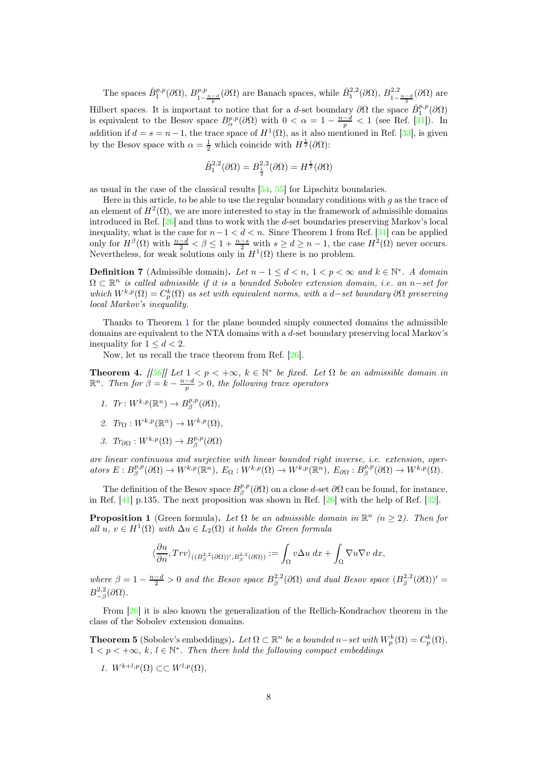The spaces  $\hat{B}^{p,p}_{1}(\partial\Omega)$ ,  $B^{p,p}_{1-\frac{n-d}{p}}(\partial\Omega)$  are Banach spaces, while  $\hat{B}^{2,2}_{1}(\partial\Omega)$ ,  $B^{2,2}_{1-\frac{n-d}{2}}(\partial\Omega)$  are Hilbert spaces. It is important to notice that for a d-set boundary  $\partial\Omega$  the space  $\hat{B}^{p,p}_1(\partial\Omega)$ is equivalent to the Besov space  $B^{p,p}_{\alpha}(\partial\Omega)$  with  $0 < \alpha = 1 - \frac{n-d}{p} < 1$  (see Ref. [\[31\]](#page-38-13)). In addition if  $d = s = n - 1$ , the trace space of  $H^1(\Omega)$ , as it also mentioned in Ref. [\[33\]](#page-38-15), is given by the Besov space with  $\alpha = \frac{1}{2}$  which coincide with  $H^{\frac{1}{2}}(\partial \Omega)$ :

$$
\hat{B}_1^{2,2}(\partial\Omega)=B_{\frac{1}{2}}^{2,2}(\partial\Omega)=H^{\frac{1}{2}}(\partial\Omega)
$$

as usual in the case of the classical results [\[54,](#page-39-17) [55\]](#page-39-18) for Lipschitz boundaries.

Here in this article, to be able to use the regular boundary conditions with q as the trace of an element of  $H^2(\Omega)$ , we are more interested to stay in the framework of admissible domains introduced in Ref. [\[26\]](#page-38-8) and thus to work with the d-set boundaries preserving Markov's local inequality, what is the case for  $n-1 < d < n$ . Since Theorem 1 from Ref. [\[31\]](#page-38-13) can be applied only for  $H^{\beta}(\Omega)$  with  $\frac{n-d}{2} < \beta \leq 1 + \frac{n-s}{2}$  with  $s \geq d \geq n-1$ , the case  $H^2(\Omega)$  never occurs. Nevertheless, for weak solutions only in  $H^1(\Omega)$  there is no problem.

<span id="page-7-0"></span>**Definition 7** (Admissible domain). Let  $n-1 \leq d < n$ ,  $1 < p < \infty$  and  $k \in \mathbb{N}^*$ . A domain  $\Omega \subset \mathbb{R}^n$  is called admissible if it is a bounded Sobolev extension domain, i.e. an n-set for which  $W^{k,p}(\Omega) = C_p^k(\Omega)$  as set with equivalent norms, with a d–set boundary  $\partial\Omega$  preserving local Markov's inequality.

Thanks to Theorem [1](#page-5-0) for the plane bounded simply connected domains the admissible domains are equivalent to the NTA domains with a d-set boundary preserving local Markov's inequality for  $1 \leq d \leq 2$ .

Now, let us recall the trace theorem from Ref. [\[26\]](#page-38-8).

<span id="page-7-2"></span>**Theorem 4.** [[\[56\]](#page-39-19)] Let  $1 < p < +\infty$ ,  $k \in \mathbb{N}^*$  be fixed. Let  $\Omega$  be an admissible domain in  $\mathbb{R}^n$ . Then for  $\beta = k - \frac{n-d}{p} > 0$ , the following trace operators

- 1.  $Tr: W^{k,p}(\mathbb{R}^n) \to B^{p,p}_{\beta}(\partial\Omega),$
- 2.  $Tr_{\Omega}: W^{k,p}(\mathbb{R}^n) \to W^{k,p}(\Omega),$
- 3.  $Tr_{\partial\Omega}: W^{k,p}(\Omega) \to B^{p,p}_{\beta}(\partial\Omega)$

are linear continuous and surjective with linear bounded right inverse, i.e. extension, oper $ators E : B^{p,p}_{\beta}(\partial \Omega) \to W^{k,p}(\mathbb{R}^n), E_{\Omega} : W^{k,p}(\Omega) \to W^{k,p}(\mathbb{R}^n), E_{\partial \Omega} : B^{p,p}_{\beta}(\partial \Omega) \to W^{k,p}(\Omega).$ 

The definition of the Besov space  $B^{p,p}_{\beta}(\partial\Omega)$  on a close d-set  $\partial\Omega$  can be found, for instance, in Ref. [\[41\]](#page-39-4) p.135. The next proposition was shown in Ref. [\[26\]](#page-38-8) with the help of Ref. [\[32\]](#page-38-14).

**Proposition 1** (Green formula). Let  $\Omega$  be an admissible domain in  $\mathbb{R}^n$  ( $n \geq 2$ ). Then for all  $u, v \in H^1(\Omega)$  with  $\Delta u \in L_2(\Omega)$  it holds the Green formula

$$
\langle \frac{\partial u}{\partial n}, Trv \rangle_{((B_{\beta}^{2,2}(\partial \Omega))^{\prime},B_{\beta}^{2,2}(\partial \Omega))} := \int_{\Omega} v \Delta u \;dx + \int_{\Omega} \nabla u \nabla v \;dx,
$$

where  $\beta = 1 - \frac{n-d}{2} > 0$  and the Besov space  $B_{\beta}^{2,2}(\partial \Omega)$  and dual Besov space  $(B_{\beta}^{2,2}(\partial \Omega))'$  =  $B_{-\beta}^{2,2}(\partial\Omega).$ 

From [\[26\]](#page-38-8) it is also known the generalization of the Rellich-Kondrachov theorem in the class of the Sobolev extension domains.

<span id="page-7-1"></span>**Theorem 5** (Sobolev's embeddings). Let  $\Omega \subset \mathbb{R}^n$  be a bounded  $n-set$  with  $W_p^k(\Omega) = C_p^k(\Omega)$ ,  $1 < p < +\infty$ , k,  $l \in \mathbb{N}^*$ . Then there hold the following compact embeddings

1.  $W^{k+l,p}(\Omega) \subset \subset W^{l,p}(\Omega)$ .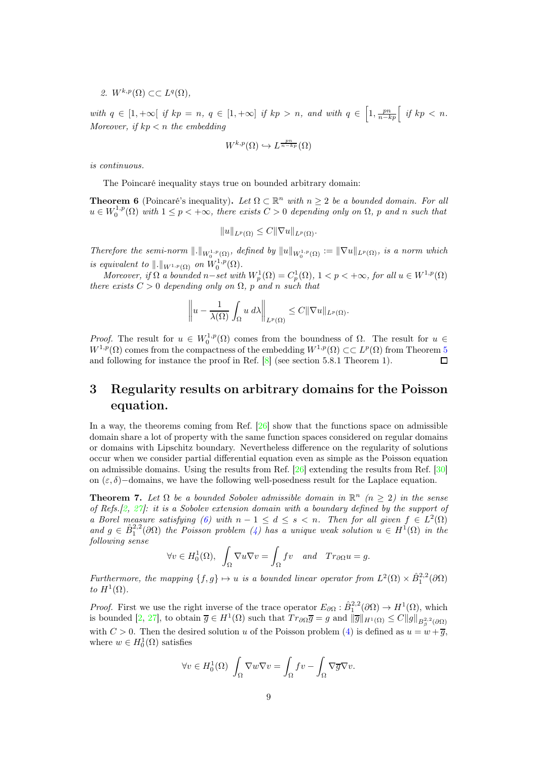2.  $W^{k,p}(\Omega) \subset \subset L^q(\Omega)$ ,

with  $q \in [1, +\infty[$  if  $kp = n, q \in [1, +\infty]$  if  $kp > n$ , and with  $q \in [1, \frac{pn}{n-kp}]$  if  $kp < n$ . Moreover, if  $kp < n$  the embedding

$$
W^{k,p}(\Omega) \hookrightarrow L^{\frac{pn}{n-kp}}(\Omega)
$$

is continuous.

The Poincaré inequality stays true on bounded arbitrary domain:

**Theorem 6** (Poincaré's inequality). Let  $\Omega \subset \mathbb{R}^n$  with  $n \geq 2$  be a bounded domain. For all  $u \in W_0^{1,p}(\Omega)$  with  $1 \leq p < +\infty$ , there exists  $C > 0$  depending only on  $\Omega$ , p and n such that

$$
||u||_{L^p(\Omega)} \leq C||\nabla u||_{L^p(\Omega)}.
$$

Therefore the semi-norm  $\|.\|_{W_0^{1,p}(\Omega)}$ , defined by  $\|u\|_{W_0^{1,p}(\Omega)} := \|\nabla u\|_{L^p(\Omega)}$ , is a norm which is equivalent to  $\|\cdot\|_{W^{1,p}(\Omega)}$  on  $W_0^{1,p}(\Omega)$ .

Moreover, if  $\Omega$  a bounded n–set with  $W_p^1(\Omega) = C_p^1(\Omega)$ ,  $1 < p < +\infty$ , for all  $u \in W^{1,p}(\Omega)$ there exists  $C > 0$  depending only on  $\Omega$ , p and n such that

$$
\left\|u - \frac{1}{\lambda(\Omega)} \int_{\Omega} u \, d\lambda \right\|_{L^p(\Omega)} \leq C \|\nabla u\|_{L^p(\Omega)}.
$$

Proof. The result for  $u \in W_0^{1,p}(\Omega)$  comes from the boundness of  $\Omega$ . The result for  $u \in W_0^{1,p}(\Omega)$  $W^{1,p}(\Omega)$  comes from the compactness of the embedding  $W^{1,p}(\Omega) \subset \subset L^p(\Omega)$  from Theorem [5](#page-7-1) and following for instance the proof in Ref. [\[8\]](#page-37-7) (see section 5.8.1 Theorem 1).  $\Box$ 

## <span id="page-8-0"></span>3 Regularity results on arbitrary domains for the Poisson equation.

In a way, the theorems coming from Ref. [\[26\]](#page-38-8) show that the functions space on admissible domain share a lot of property with the same function spaces considered on regular domains or domains with Lipschitz boundary. Nevertheless difference on the regularity of solutions occur when we consider partial differential equation even as simple as the Poisson equation on admissible domains. Using the results from Ref. [\[26\]](#page-38-8) extending the results from Ref. [\[30\]](#page-38-12) on  $(\varepsilon, \delta)$ -domains, we have the following well-posedness result for the Laplace equation.

<span id="page-8-1"></span>**Theorem 7.** Let  $\Omega$  be a bounded Sobolev admissible domain in  $\mathbb{R}^n$  ( $n \geq 2$ ) in the sense of Refs. $[2, 27]$  $[2, 27]$  $[2, 27]$ : it is a Sobolev extension domain with a boundary defined by the support of a Borel measure satisfying [\(6\)](#page-6-2) with  $n-1 \leq d \leq s < n$ . Then for all given  $f \in L^2(\Omega)$ and  $g \in \hat{B}_1^{2,2}(\partial\Omega)$  the Poisson problem [\(4\)](#page-2-1) has a unique weak solution  $u \in H^1(\Omega)$  in the following sense

$$
\forall v \in H_0^1(\Omega), \int_{\Omega} \nabla u \nabla v = \int_{\Omega} fv \quad and \quad Tr_{\partial \Omega} u = g.
$$

Furthermore, the mapping  $\{f, g\} \mapsto u$  is a bounded linear operator from  $L^2(\Omega) \times \hat{B}_1^{2,2}(\partial \Omega)$ to  $H^1(\Omega)$ .

*Proof.* First we use the right inverse of the trace operator  $E_{\partial\Omega}: \hat{B}_1^{2,2}(\partial\Omega) \to H^1(\Omega)$ , which is bounded [\[2,](#page-37-2) [27\]](#page-38-9), to obtain  $\overline{g} \in H^1(\Omega)$  such that  $Tr_{\partial \Omega} \overline{g} = g$  and  $\|\overline{g}\|_{H^1(\Omega)} \leq C \|g\|_{B^{2,2}_{\beta}(\partial \Omega)}$ with  $C > 0$ . Then the desired solution u of the Poisson problem [\(4\)](#page-2-1) is defined as  $u = w + \overline{g}$ , where  $w \in H_0^1(\Omega)$  satisfies

$$
\forall v \in H_0^1(\Omega) \int_{\Omega} \nabla w \nabla v = \int_{\Omega} fv - \int_{\Omega} \nabla \overline{g} \nabla v.
$$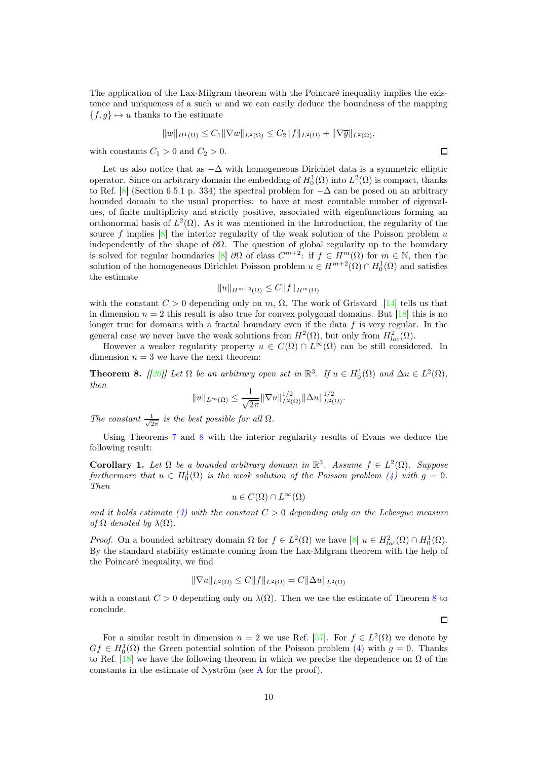The application of the Lax-Milgram theorem with the Poincaré inequality implies the existence and uniqueness of a such  $w$  and we can easily deduce the boundness of the mapping  ${f, g} \mapsto u$  thanks to the estimate

$$
||w||_{H^1(\Omega)} \leq C_1 ||\nabla w||_{L^2(\Omega)} \leq C_2 ||f||_{L^2(\Omega)} + ||\nabla \overline{g}||_{L^2(\Omega)},
$$

with constants  $C_1 > 0$  and  $C_2 > 0$ .

Let us also notice that as  $-\Delta$  with homogeneous Dirichlet data is a symmetric elliptic operator. Since on arbitrary domain the embedding of  $H_0^1(\Omega)$  into  $L^2(\Omega)$  is compact, thanks to Ref. [\[8\]](#page-37-7) (Section 6.5.1 p. 334) the spectral problem for  $-\Delta$  can be posed on an arbitrary bounded domain to the usual properties: to have at most countable number of eigenvalues, of finite multiplicity and strictly positive, associated with eigenfunctions forming an orthonormal basis of  $L^2(\Omega)$ . As it was mentioned in the Introduction, the regularity of the source f implies  $[8]$  the interior regularity of the weak solution of the Poisson problem u independently of the shape of  $\partial\Omega$ . The question of global regularity up to the boundary is solved for regular boundaries [\[8\]](#page-37-7)  $\partial\Omega$  of class  $C^{m+2}$ : if  $f \in H^m(\Omega)$  for  $m \in \mathbb{N}$ , then the solution of the homogeneous Dirichlet Poisson problem  $u \in H^{m+2}(\Omega) \cap H_0^1(\Omega)$  and satisfies the estimate

$$
||u||_{H^{m+2}(\Omega)} \leq C||f||_{H^m(\Omega)}
$$

with the constant  $C > 0$  depending only on m,  $\Omega$ . The work of Grisvard [\[14\]](#page-37-13) tells us that in dimension  $n = 2$  this result is also true for convex polygonal domains. But [\[18\]](#page-38-0) this is no longer true for domains with a fractal boundary even if the data  $f$  is very regular. In the general case we never have the weak solutions from  $H^2(\Omega)$ , but only from  $H^2_{loc}(\Omega)$ .

However a weaker regularity property  $u \in C(\Omega) \cap L^{\infty}(\Omega)$  can be still considered. In dimension  $n = 3$  we have the next theorem:

<span id="page-9-0"></span>**Theorem 8.** [[\[20\]](#page-38-2)] Let  $\Omega$  be an arbitrary open set in  $\mathbb{R}^3$ . If  $u \in H_0^1(\Omega)$  and  $\Delta u \in L^2(\Omega)$ , then

$$
||u||_{L^{\infty}(\Omega)} \leq \frac{1}{\sqrt{2\pi}} ||\nabla u||_{L^{2}(\Omega)}^{1/2} ||\Delta u||_{L^{2}(\Omega)}^{1/2}.
$$

The constant  $\frac{1}{\sqrt{2}}$  $\frac{1}{2\pi}$  is the best possible for all  $\Omega$ .

Using Theorems [7](#page-8-1) and [8](#page-9-0) with the interior regularity results of Evans we deduce the following result:

<span id="page-9-1"></span>Corollary 1. Let  $\Omega$  be a bounded arbitrary domain in  $\mathbb{R}^3$ . Assume  $f \in L^2(\Omega)$ . Suppose furthermore that  $u \in H_0^1(\Omega)$  is the weak solution of the Poisson problem [\(4\)](#page-2-1) with  $g = 0$ . Then

 $u \in C(\Omega) \cap L^{\infty}(\Omega)$ 

and it holds estimate [\(3\)](#page-2-0) with the constant  $C > 0$  depending only on the Lebesgue measure of  $\Omega$  denoted by  $\lambda(\Omega)$ .

*Proof.* On a bounded arbitrary domain  $\Omega$  for  $f \in L^2(\Omega)$  we have  $[8]$   $u \in H^2_{loc}(\Omega) \cap H^1_0(\Omega)$ . By the standard stability estimate coming from the Lax-Milgram theorem with the help of the Poincaré inequality, we find

$$
\|\nabla u\|_{L^2(\Omega)} \le C \|f\|_{L^2(\Omega)} = C \|\Delta u\|_{L^2(\Omega)}
$$

with a constant  $C > 0$  depending only on  $\lambda(\Omega)$ . Then we use the estimate of Theorem [8](#page-9-0) to conclude.

For a similar result in dimension  $n = 2$  we use Ref. [\[57\]](#page-39-20). For  $f \in L^2(\Omega)$  we denote by  $Gf \in H_0^1(\Omega)$  the Green potential solution of the Poisson problem [\(4\)](#page-2-1) with  $g = 0$ . Thanks to Ref. [\[18\]](#page-38-0) we have the following theorem in which we precise the dependence on  $\Omega$  of the constants in the estimate of Nyström (see [A](#page-35-0) for the proof).

 $\Box$ 

 $\Box$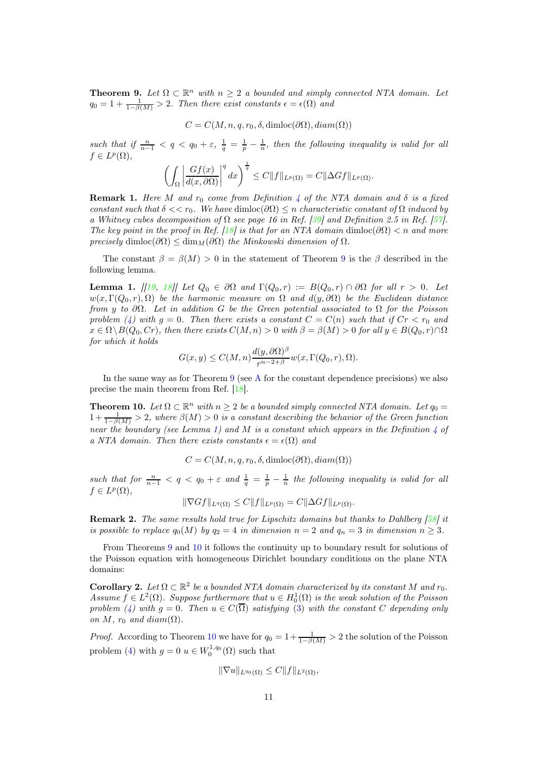<span id="page-10-2"></span>**Theorem 9.** Let  $\Omega \subset \mathbb{R}^n$  with  $n \geq 2$  a bounded and simply connected NTA domain. Let  $q_0 = 1 + \frac{1}{1-\beta(M)} > 2$ . Then there exist constants  $\epsilon = \epsilon(\Omega)$  and

$$
C = C(M, n, q, r_0, \delta, \text{dimloc}(\partial\Omega), \text{diam}(\Omega))
$$

such that if  $\frac{n}{n-1} < q < q_0 + \varepsilon$ ,  $\frac{1}{q} = \frac{1}{p} - \frac{1}{n}$ , then the following inequality is valid for all  $f \in L^p(\Omega)$ ,

$$
\left(\int_{\Omega}\left|\frac{Gf(x)}{d(x,\partial\Omega)}\right|^q dx\right)^{\frac{1}{q}} \leq C\|f\|_{L^p(\Omega)} = C\|\Delta Gf\|_{L^p(\Omega)}.
$$

**Remark 1.** Here M and  $r_0$  come from Definition [4](#page-4-0) of the NTA domain and  $\delta$  is a fixed constant such that  $\delta << r_0$ . We have  $\dim \text{loc}(\partial \Omega) \leq n$  characteristic constant of  $\Omega$  induced by a Whitney cubes decomposition of  $\Omega$  see page 16 in Ref. [\[39\]](#page-39-2) and Definition 2.5 in Ref. [\[57\]](#page-39-20). The key point in the proof in Ref. [\[18\]](#page-38-0) is that for an NTA domain dimloc( $\partial\Omega$ ) < n and more precisely dimloc( $\partial\Omega$ )  $\leq$  dim<sub>M</sub>( $\partial\Omega$ ) the Minkowski dimension of  $\Omega$ .

The constant  $\beta = \beta(M) > 0$  in the statement of Theorem [9](#page-10-2) is the  $\beta$  described in the following lemma.

<span id="page-10-3"></span>**Lemma 1.**  $[19, 18]$  $[19, 18]$  $[19, 18]$  Let  $Q_0 \in \partial \Omega$  and  $\Gamma(Q_0, r) := B(Q_0, r) \cap \partial \Omega$  for all  $r > 0$ . Let  $w(x, \Gamma(Q_0, r), \Omega)$  be the harmonic measure on  $\Omega$  and  $d(y, \partial \Omega)$  be the Euclidean distance from y to  $\partial\Omega$ . Let in addition G be the Green potential associated to  $\Omega$  for the Poisson problem [\(4\)](#page-2-1) with  $g = 0$ . Then there exists a constant  $C = C(n)$  such that if  $Cr < r_0$  and  $x \in \Omega \backslash B(Q_0, Cr)$ , then there exists  $C(M, n) > 0$  with  $\beta = \beta(M) > 0$  for all  $y \in B(Q_0, r) \cap \Omega$ for which it holds

$$
G(x,y) \le C(M,n) \frac{d(y,\partial \Omega)^{\beta}}{r^{n-2+\beta}} w(x, \Gamma(Q_0, r), \Omega).
$$

In the same way as for Theorem [9](#page-10-2) (see [A](#page-35-0) for the constant dependence precisions) we also precise the main theorem from Ref. [\[18\]](#page-38-0).

<span id="page-10-0"></span>**Theorem 10.** Let  $\Omega \subset \mathbb{R}^n$  with  $n \geq 2$  be a bounded simply connected NTA domain. Let  $q_0 =$  $1 + \frac{1}{1-\beta(M)} > 2$ , where  $\beta(M) > 0$  is a constant describing the behavior of the Green function near the boundary (see Lemma [1\)](#page-10-3) and M is a constant which appears in the Definition [4](#page-4-0) of a NTA domain. Then there exists constants  $\epsilon = \epsilon(\Omega)$  and

$$
C = C(M, n, q, r_0, \delta, \text{dimloc}(\partial\Omega), \text{diam}(\Omega))
$$

such that for  $\frac{n}{n-1} < q < q_0 + \varepsilon$  and  $\frac{1}{q} = \frac{1}{p} - \frac{1}{n}$  the following inequality is valid for all  $f \in L^p(\Omega)$ ,

$$
\|\nabla Gf\|_{L^q(\Omega)} \leq C \|f\|_{L^p(\Omega)} = C \|\Delta Gf\|_{L^p(\Omega)}.
$$

Remark 2. The same results hold true for Lipschitz domains but thanks to Dahlberg [\[58\]](#page-40-0) it is possible to replace  $q_0(M)$  by  $q_2 = 4$  in dimension  $n = 2$  and  $q_n = 3$  in dimension  $n \geq 3$ .

From Theorems [9](#page-10-2) and [10](#page-10-0) it follows the continuity up to boundary result for solutions of the Poisson equation with homogeneous Dirichlet boundary conditions on the plane NTA domains:

<span id="page-10-1"></span>**Corollary 2.** Let  $\Omega \subset \mathbb{R}^2$  be a bounded NTA domain characterized by its constant M and  $r_0$ . Assume  $f \in L^2(\Omega)$ . Suppose furthermore that  $u \in H_0^1(\Omega)$  is the weak solution of the Poisson problem [\(4\)](#page-2-1) with  $g = 0$ . Then  $u \in C(\overline{\Omega})$  satisfying [\(3\)](#page-2-0) with the constant C depending only on M,  $r_0$  and diam( $\Omega$ ).

*Proof.* According to Theorem [10](#page-10-0) we have for  $q_0 = 1 + \frac{1}{1-\beta(M)} > 2$  the solution of the Poisson problem [\(4\)](#page-2-1) with  $g = 0$   $u \in W_0^{1,q_0}(\Omega)$  such that

$$
\|\nabla u\|_{L^{q_0}(\Omega)} \leq C \|f\|_{L^2(\Omega)},
$$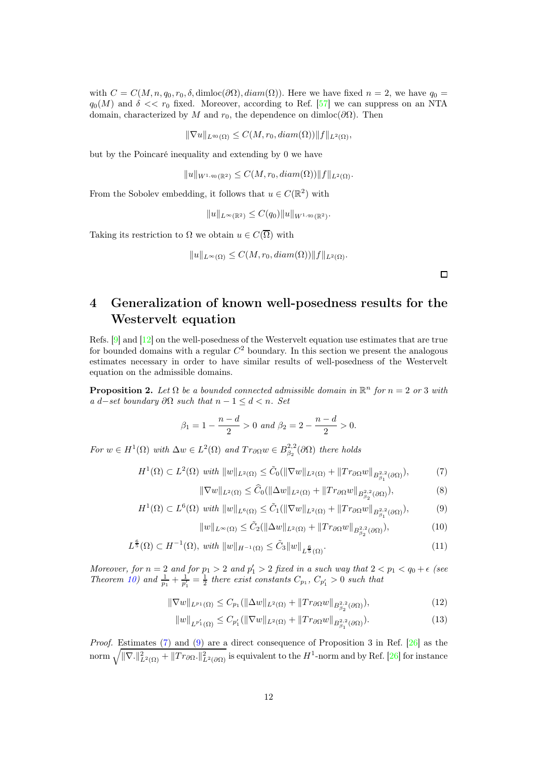with  $C = C(M, n, q_0, r_0, \delta, \text{dimloc}(\partial\Omega), \text{diam}(\Omega))$ . Here we have fixed  $n = 2$ , we have  $q_0 =$  $q_0(M)$  and  $\delta \ll r_0$  fixed. Moreover, according to Ref. [\[57\]](#page-39-20) we can suppress on an NTA domain, characterized by M and  $r_0$ , the dependence on dimloc( $\partial\Omega$ ). Then

$$
\|\nabla u\|_{L^{q_0}(\Omega)} \leq C(M, r_0, diam(\Omega)) \|f\|_{L^2(\Omega)},
$$

but by the Poincaré inequality and extending by 0 we have

$$
||u||_{W^{1,q_0}(\mathbb{R}^2)} \leq C(M,r_0, diam(\Omega)) ||f||_{L^2(\Omega)}.
$$

From the Sobolev embedding, it follows that  $u \in C(\mathbb{R}^2)$  with

$$
||u||_{L^{\infty}(\mathbb{R}^2)} \leq C(q_0)||u||_{W^{1,q_0}(\mathbb{R}^2)}.
$$

Taking its restriction to  $\Omega$  we obtain  $u \in C(\overline{\Omega})$  with

$$
||u||_{L^{\infty}(\Omega)} \leq C(M, r_0, diam(\Omega)) ||f||_{L^2(\Omega)}.
$$

<span id="page-11-6"></span><span id="page-11-3"></span><span id="page-11-2"></span> $\Box$ 

## <span id="page-11-0"></span>4 Generalization of known well-posedness results for the Westervelt equation

Refs. [\[9\]](#page-37-8) and [\[12\]](#page-37-11) on the well-posedness of the Westervelt equation use estimates that are true for bounded domains with a regular  $C<sup>2</sup>$  boundary. In this section we present the analogous estimates necessary in order to have similar results of well-posedness of the Westervelt equation on the admissible domains.

<span id="page-11-1"></span>**Proposition 2.** Let  $\Omega$  be a bounded connected admissible domain in  $\mathbb{R}^n$  for  $n = 2$  or 3 with a d–set boundary  $\partial\Omega$  such that  $n-1 \leq d < n$ . Set

$$
\beta_1 = 1 - \frac{n - d}{2} > 0 \text{ and } \beta_2 = 2 - \frac{n - d}{2} > 0.
$$

For  $w \in H^1(\Omega)$  with  $\Delta w \in L^2(\Omega)$  and  $Tr_{\partial \Omega} w \in B^{2,2}_{\beta_2}(\partial \Omega)$  there holds

 $H^1(\Omega) \subset L^2(\Omega)$  with  $||w||_{L^2(\Omega)} \leq \tilde{C}_0(||\nabla w||_{L^2(\Omega)} + ||Tr_{\partial\Omega}w||_{B^2_{\beta_1}(\partial\Omega)}),$  (7)

$$
\|\nabla w\|_{L^{2}(\Omega)} \leq \widehat{C}_{0}(\|\Delta w\|_{L^{2}(\Omega)} + \|Tr_{\partial\Omega}w\|_{B^{2,2}_{\beta_{2}}(\partial\Omega)}),
$$
\n(8)

$$
H^{1}(\Omega) \subset L^{6}(\Omega) \text{ with } \|w\|_{L^{6}(\Omega)} \leq \tilde{C}_{1}(\|\nabla w\|_{L^{2}(\Omega)} + \|Tr_{\partial\Omega}w\|_{B^{2,2}_{\beta_{1}}(\partial\Omega)}),
$$
 (9)

<span id="page-11-8"></span><span id="page-11-7"></span><span id="page-11-5"></span><span id="page-11-4"></span>
$$
||w||_{L^{\infty}(\Omega)} \leq \tilde{C}_2(||\Delta w||_{L^2(\Omega)} + ||Tr_{\partial\Omega}w||_{B^{2,2}_{\beta_2}(\partial\Omega)}),
$$
\n(10)

$$
L^{\frac{6}{5}}(\Omega) \subset H^{-1}(\Omega), \ with \ \|w\|_{H^{-1}(\Omega)} \leq \tilde{C}_3 \|w\|_{L^{\frac{6}{5}}(\Omega)}.
$$
 (11)

Moreover, for  $n = 2$  and for  $p_1 > 2$  and  $p'_1 > 2$  fixed in a such way that  $2 < p_1 < q_0 + \epsilon$  (see Theorem [10\)](#page-10-0) and  $\frac{1}{p_1} + \frac{1}{p'_1} = \frac{1}{2}$  there exist constants  $C_{p_1}$ ,  $C_{p'_1} > 0$  such that

$$
\|\nabla w\|_{L^{p_1}(\Omega)} \le C_{p_1}(\|\Delta w\|_{L^2(\Omega)} + \|Tr_{\partial\Omega}w\|_{B^{2,2}_{\beta_2}(\partial\Omega)}),
$$
\n(12)

$$
||w||_{L^{p'_1}(\Omega)} \le C_{p'_1}(||\nabla w||_{L^2(\Omega)} + ||Tr_{\partial\Omega}w||_{B^{2,2}_{\beta_1}(\partial\Omega)}).
$$
\n(13)

Proof. Estimates [\(7\)](#page-11-2) and [\(9\)](#page-11-3) are a direct consequence of Proposition 3 in Ref. [\[26\]](#page-38-8) as the norm  $\sqrt{\|\nabla.\|_{L^2(\Omega)}^2 + \|T r_{\partial \Omega}.\|_{L^2(\partial \Omega)}^2}$  is equivalent to the  $H^1$ -norm and by Ref. [\[26\]](#page-38-8) for instance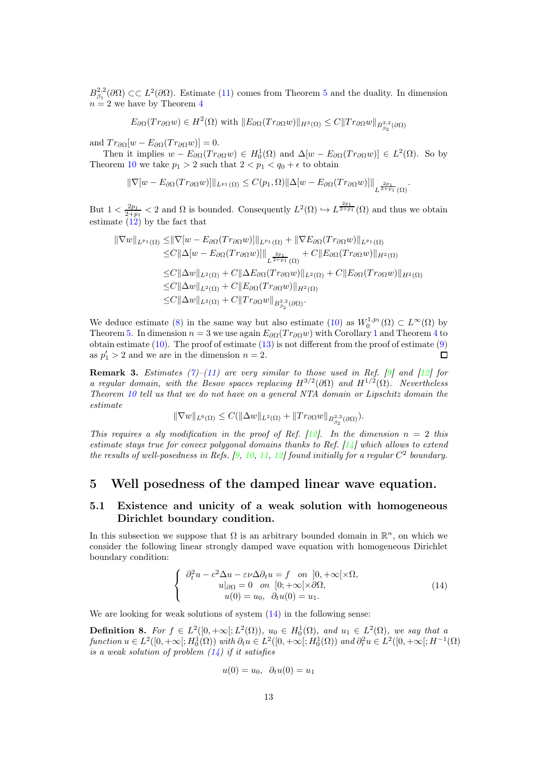$B_{\beta_1}^{2,2}(\partial\Omega) \subset\subset L^2(\partial\Omega)$ . Estimate [\(11\)](#page-11-4) comes from Theorem [5](#page-7-1) and the duality. In dimension  $n = 2$  we have by Theorem [4](#page-7-2)

 $E_{\partial\Omega}(Tr_{\partial\Omega}w)\in H^2(\Omega)$  with  $||E_{\partial\Omega}(Tr_{\partial\Omega}w)||_{H^2(\Omega)}\leq C||Tr_{\partial\Omega}w||_{B^{2,2}_{\beta_2}(\partial\Omega)}$ 

and  $Tr_{\partial\Omega}[w - E_{\partial\Omega}(Tr_{\partial\Omega}w)] = 0.$ 

Then it implies  $w - E_{\partial \Omega}(Tr_{\partial \Omega}w) \in H_0^1(\Omega)$  and  $\Delta[w - E_{\partial \Omega}(Tr_{\partial \Omega}w)] \in L^2(\Omega)$ . So by Theorem [10](#page-10-0) we take  $p_1 > 2$  such that  $2 < p_1 < q_0 + \epsilon$  to obtain

$$
\|\nabla[w - E_{\partial\Omega}(Tr_{\partial\Omega}w)]\|_{L^{p_1}(\Omega)} \leq C(p_1, \Omega) \|\Delta[w - E_{\partial\Omega}(Tr_{\partial\Omega}w)]\|_{L^{\frac{2p_1}{2+p_1}}(\Omega)}.
$$

But  $1 < \frac{2p_1}{2+p_1} < 2$  and  $\Omega$  is bounded. Consequently  $L^2(\Omega) \hookrightarrow L^{\frac{2p_1}{2+p_1}}(\Omega)$  and thus we obtain estimate [\(12\)](#page-11-5) by the fact that

$$
\|\nabla w\|_{L^{p_1}(\Omega)} \leq \|\nabla[w - E_{\partial\Omega}(Tr_{\partial\Omega}w)]\|_{L^{p_1}(\Omega)} + \|\nabla E_{\partial\Omega}(Tr_{\partial\Omega}w)\|_{L^{p_1}(\Omega)}
$$
  
\n
$$
\leq C \|\Delta[w - E_{\partial\Omega}(Tr_{\partial\Omega}w)]\|_{L^{\frac{2p_1}{2+p_1}}(\Omega)} + C \|E_{\partial\Omega}(Tr_{\partial\Omega}w)\|_{H^2(\Omega)}
$$
  
\n
$$
\leq C \|\Delta w\|_{L^2(\Omega)} + C \|\Delta E_{\partial\Omega}(Tr_{\partial\Omega}w)\|_{L^2(\Omega)} + C \|E_{\partial\Omega}(Tr_{\partial\Omega}w)\|_{H^2(\Omega)}
$$
  
\n
$$
\leq C \|\Delta w\|_{L^2(\Omega)} + C \|Tr_{\partial\Omega}w\|_{B^{2,2}_{\beta_2}(\partial\Omega)}.
$$

We deduce estimate [\(8\)](#page-11-6) in the same way but also estimate [\(10\)](#page-11-7) as  $W_0^{1,p_1}(\Omega) \subset L^{\infty}(\Omega)$  by Theorem [5.](#page-7-1) In dimension  $n = 3$  we use again  $E_{\partial\Omega}(Tr_{\partial\Omega}w)$  with Corollary [1](#page-9-1) and Theorem [4](#page-7-2) to obtain estimate  $(10)$ . The proof of estimate  $(13)$  is not different from the proof of estimate  $(9)$ as  $p'_1 > 2$  and we are in the dimension  $n = 2$ .  $\Box$ 

**Remark 3.** Estimates [\(7\)](#page-11-2)–[\(11\)](#page-11-4) are very similar to those used in Ref. [\[9\]](#page-37-8) and [\[12\]](#page-37-11) for a regular domain, with the Besov spaces replacing  $H^{3/2}(\partial\Omega)$  and  $H^{1/2}(\Omega)$ . Nevertheless Theorem [10](#page-10-0) tell us that we do not have on a general NTA domain or Lipschitz domain the estimate

$$
\|\nabla w\|_{L^6(\Omega)} \leq C(\|\Delta w\|_{L^2(\Omega)} + \|Tr_{\partial\Omega}w\|_{B^{2,2}_{\beta_2}(\partial\Omega)}).
$$

This requires a sly modification in the proof of Ref. [\[12\]](#page-37-11). In the dimension  $n = 2$  this estimate stays true for convex polygonal domains thanks to Ref.  $[14]$  which allows to extend the results of well-posedness in Refs. [\[9,](#page-37-8) [10,](#page-37-9) [11,](#page-37-10) [12\]](#page-37-11) found initially for a regular  $C^2$  boundary.

### <span id="page-12-0"></span>5 Well posedness of the damped linear wave equation.

#### <span id="page-12-1"></span>5.1 Existence and unicity of a weak solution with homogeneous Dirichlet boundary condition.

In this subsection we suppose that  $\Omega$  is an arbitrary bounded domain in  $\mathbb{R}^n$ , on which we consider the following linear strongly damped wave equation with homogeneous Dirichlet boundary condition:

<span id="page-12-2"></span>
$$
\begin{cases}\n\partial_t^2 u - c^2 \Delta u - \varepsilon \nu \Delta \partial_t u = f \quad \text{on} \quad ]0, +\infty[\times \Omega, \\
u|_{\partial \Omega} = 0 \quad \text{on} \quad [0; +\infty[\times \partial \Omega, \\
u(0) = u_0, \quad \partial_t u(0) = u_1.\n\end{cases} \tag{14}
$$

We are looking for weak solutions of system  $(14)$  in the following sense:

<span id="page-12-3"></span>**Definition 8.** For  $f \in L^2([0, +\infty[; L^2(\Omega)), u_0 \in H_0^1(\Omega),$  and  $u_1 \in L^2(\Omega),$  we say that a function  $u \in L^2([0, +\infty[; H_0^1(\Omega))$  with  $\partial_t u \in L^2([0, +\infty[; H_0^1(\Omega))$  and  $\partial_t^2 u \in L^2([0, +\infty[; H^{-1}(\Omega))$ is a weak solution of problem  $(14)$  if it satisfies

$$
u(0) = u_0, \ \partial_t u(0) = u_1
$$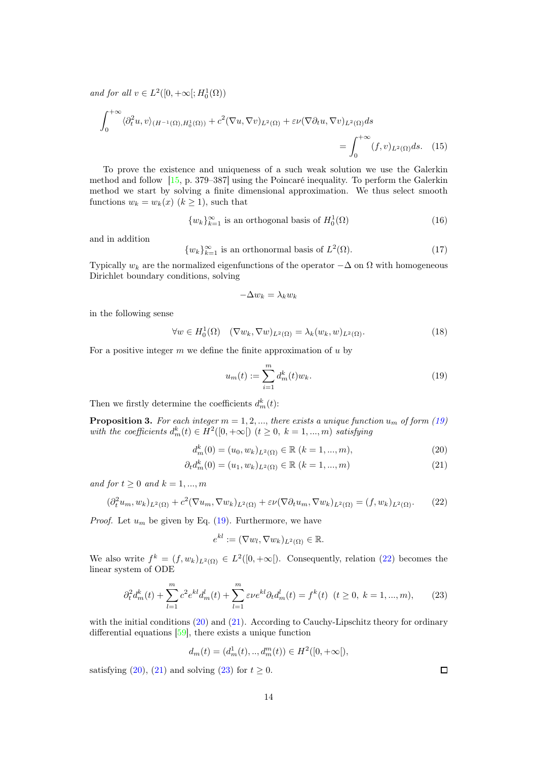and for all  $v \in L^2([0, +\infty[; H_0^1(\Omega)))$ 

$$
\int_0^{+\infty} \langle \partial_t^2 u, v \rangle_{(H^{-1}(\Omega), H_0^1(\Omega))} + c^2 (\nabla u, \nabla v)_{L^2(\Omega)} + \varepsilon \nu (\nabla \partial_t u, \nabla v)_{L^2(\Omega)} ds
$$
  
= 
$$
\int_0^{+\infty} (f, v)_{L^2(\Omega)} ds. \quad (15)
$$

To prove the existence and uniqueness of a such weak solution we use the Galerkin method and follow [\[15,](#page-37-14) p. 379–387] using the Poincaré inequality. To perform the Galerkin method we start by solving a finite dimensional approximation. We thus select smooth functions  $w_k = w_k(x)$   $(k \ge 1)$ , such that

<span id="page-13-8"></span>
$$
\{w_k\}_{k=1}^{\infty} \text{ is an orthogonal basis of } H_0^1(\Omega) \tag{16}
$$

and in addition

$$
\{w_k\}_{k=1}^{\infty}
$$
 is an orthonormal basis of  $L^2(\Omega)$ . (17)

Typically  $w_k$  are the normalized eigenfunctions of the operator  $-\Delta$  on  $\Omega$  with homogeneous Dirichlet boundary conditions, solving

<span id="page-13-6"></span><span id="page-13-0"></span>
$$
-\Delta w_k = \lambda_k w_k
$$

in the following sense

<span id="page-13-7"></span>
$$
\forall w \in H_0^1(\Omega) \quad (\nabla w_k, \nabla w)_{L^2(\Omega)} = \lambda_k(w_k, w)_{L^2(\Omega)}.
$$
\n(18)

For a positive integer  $m$  we define the finite approximation of  $u$  by

<span id="page-13-2"></span>
$$
u_m(t) := \sum_{i=1}^m d_m^k(t) w_k.
$$
\n(19)

Then we firstly determine the coefficients  $d_m^k(t)$ :

<span id="page-13-5"></span>**Proposition 3.** For each integer  $m = 1, 2, ...,$  there exists a unique function  $u_m$  of form [\(19\)](#page-13-0) with the coefficients  $d_m^k(t) \in H^2([0, +\infty[) \ (t \geq 0, \ k = 1, ..., m)$  satisfying

$$
d_m^k(0) = (u_0, w_k)_{L^2(\Omega)} \in \mathbb{R} \ (k = 1, ..., m), \tag{20}
$$

<span id="page-13-1"></span>
$$
\partial_t d_m^k(0) = (u_1, w_k)_{L^2(\Omega)} \in \mathbb{R} \ (k = 1, ..., m)
$$
\n(21)

and for  $t \geq 0$  and  $k = 1, ..., m$ 

$$
(\partial_t^2 u_m, w_k)_{L^2(\Omega)} + c^2 (\nabla u_m, \nabla w_k)_{L^2(\Omega)} + \varepsilon \nu (\nabla \partial_t u_m, \nabla w_k)_{L^2(\Omega)} = (f, w_k)_{L^2(\Omega)}.
$$
 (22)

*Proof.* Let  $u_m$  be given by Eq. [\(19\)](#page-13-0). Furthermore, we have

<span id="page-13-4"></span>
$$
e^{kl}:=(\nabla w_l,\nabla w_k)_{L^2(\Omega)}\in\mathbb{R}.
$$

We also write  $f^k = (f, w_k)_{L^2(\Omega)} \in L^2([0, +\infty])$ . Consequently, relation [\(22\)](#page-13-1) becomes the linear system of ODE

$$
\partial_t^2 d_m^k(t) + \sum_{l=1}^m c^2 e^{kl} d_m^l(t) + \sum_{l=1}^m \varepsilon \nu e^{kl} \partial_t d_m^l(t) = f^k(t) \quad (t \ge 0, \ k = 1, ..., m), \tag{23}
$$

with the initial conditions [\(20\)](#page-13-2) and [\(21\)](#page-13-3). According to Cauchy-Lipschitz theory for ordinary differential equations [\[59\]](#page-40-1), there exists a unique function

$$
d_m(t) = (d_m^1(t), ..., d_m^m(t)) \in H^2([0, +\infty]),
$$

satisfying [\(20\)](#page-13-2), [\(21\)](#page-13-3) and solving [\(23\)](#page-13-4) for  $t \geq 0$ .

<span id="page-13-3"></span> $\Box$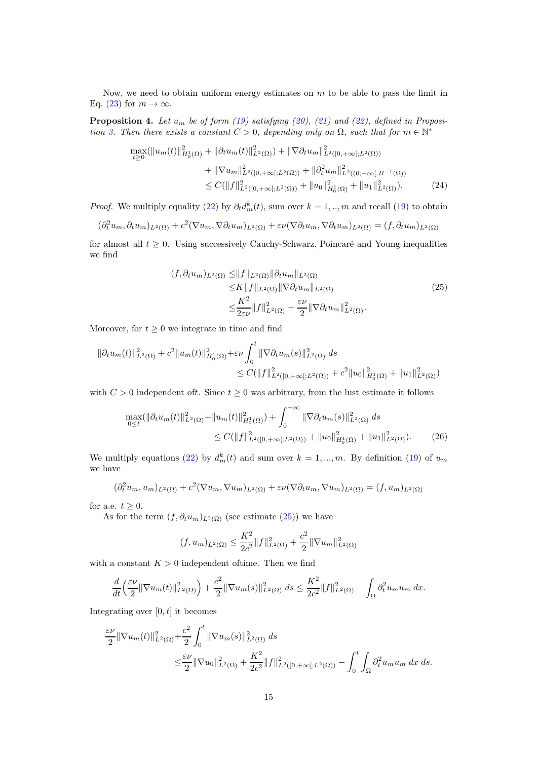Now, we need to obtain uniform energy estimates on  $m$  to be able to pass the limit in Eq. [\(23\)](#page-13-4) for  $m \to \infty$ .

**Proposition 4.** Let  $u_m$  be of form [\(19\)](#page-13-0) satisfying [\(20\)](#page-13-2), [\(21\)](#page-13-3) and [\(22\)](#page-13-1), defined in Proposi-tion [3.](#page-13-5) Then there exists a constant  $C > 0$ , depending only on  $\Omega$ , such that for  $m \in \mathbb{N}^*$ 

$$
\max_{t\geq 0} (\|u_m(t)\|_{H_0^1(\Omega)}^2 + \|\partial_t u_m(t)\|_{L^2(\Omega)}^2) + \|\nabla \partial_t u_m\|_{L^2([0,+\infty[;L^2(\Omega))}^2) \n+ \|\nabla u_m\|_{L^2([0,+\infty[;L^2(\Omega))}^2 + \|\partial_t^2 u_m\|_{L^2((0;+\infty[;H^{-1}(\Omega))}^2) \n\leq C(\|f\|_{L^2([0,+\infty[;L^2(\Omega))}^2 + \|u_0\|_{H_0^1(\Omega)}^2 + \|u_1\|_{L^2(\Omega)}^2).
$$
\n(24)

*Proof.* We multiply equality [\(22\)](#page-13-1) by  $\partial_t d_m^k(t)$ , sum over  $k = 1, ..., m$  and recall [\(19\)](#page-13-0) to obtain

$$
(\partial_t^2 u_m, \partial_t u_m)_{L^2(\Omega)} + c^2 (\nabla u_m, \nabla \partial_t u_m)_{L^2(\Omega)} + \varepsilon \nu (\nabla \partial_t u_m, \nabla \partial_t u_m)_{L^2(\Omega)} = (f, \partial_t u_m)_{L^2(\Omega)}
$$

for almost all  $t \geq 0$ . Using successively Cauchy-Schwarz, Poincaré and Young inequalities we find

<span id="page-14-2"></span><span id="page-14-0"></span>
$$
(f, \partial_t u_m)_{L^2(\Omega)} \leq ||f||_{L^2(\Omega)} ||\partial_t u_m||_{L^2(\Omega)}
$$
  
\n
$$
\leq K ||f||_{L^2(\Omega)} ||\nabla \partial_t u_m||_{L^2(\Omega)}
$$
  
\n
$$
\leq \frac{K^2}{2\varepsilon\nu} ||f||^2_{L^2(\Omega)} + \frac{\varepsilon\nu}{2} ||\nabla \partial_t u_m||^2_{L^2(\Omega)}.
$$
\n(25)

Moreover, for  $t \geq 0$  we integrate in time and find

$$
\|\partial_t u_m(t)\|_{L^2(\Omega)}^2 + c^2 \|u_m(t)\|_{H_0^1(\Omega)}^2 + \varepsilon \nu \int_0^t \|\nabla \partial_t u_m(s)\|_{L^2(\Omega)}^2 ds
$$
  

$$
\leq C (\|f\|_{L^2([0,+\infty[;L^2(\Omega))}^2 + c^2 \|u_0\|_{H_0^1(\Omega)}^2 + \|u_1\|_{L^2(\Omega)}^2))
$$

with  $C > 0$  independent oft. Since  $t \geq 0$  was arbitrary, from the lust estimate it follows

$$
\max_{0 \le t} (\|\partial_t u_m(t)\|_{L^2(\Omega)}^2 + \|u_m(t)\|_{H_0^1(\Omega)}^2) + \int_0^{+\infty} \|\nabla \partial_t u_m(s)\|_{L^2(\Omega)}^2 ds
$$
  
 
$$
\le C (\|f\|_{L^2([0,+\infty[;L^2(\Omega))}^2 + \|u_0\|_{H_0^1(\Omega)}^2 + \|u_1\|_{L^2(\Omega)}^2).
$$
 (26)

We multiply equations [\(22\)](#page-13-1) by  $d_m^k(t)$  and sum over  $k = 1, ..., m$ . By definition [\(19\)](#page-13-0) of  $u_m$ we have

$$
(\partial_t^2 u_m, u_m)_{L^2(\Omega)} + c^2 (\nabla u_m, \nabla u_m)_{L^2(\Omega)} + \varepsilon \nu (\nabla \partial_t u_m, \nabla u_m)_{L^2(\Omega)} = (f, u_m)_{L^2(\Omega)}
$$

for a.e.  $t \geq 0$ .

As for the term  $(f, \partial_t u_m)_{L^2(\Omega)}$  (see estimate [\(25\)](#page-14-0)) we have

<span id="page-14-1"></span>
$$
(f, u_m)_{L^2(\Omega)} \le \frac{K^2}{2c^2} ||f||^2_{L^2(\Omega)} + \frac{c^2}{2} ||\nabla u_m||^2_{L^2(\Omega)}
$$

with a constant  $K > 0$  independent oftime. Then we find

$$
\frac{d}{dt}\left(\frac{\varepsilon\nu}{2}\|\nabla u_m(t)\|_{L^2(\Omega)}^2\right) + \frac{c^2}{2}\|\nabla u_m(s)\|_{L^2(\Omega)}^2 ds \le \frac{K^2}{2c^2}\|f\|_{L^2(\Omega)}^2 - \int_{\Omega}\partial_t^2 u_m u_m dx.
$$

Integrating over  $[0, t]$  it becomes

$$
\frac{\varepsilon\nu}{2} \|\nabla u_m(t)\|_{L^2(\Omega)}^2 + \frac{c^2}{2} \int_0^t \|\nabla u_m(s)\|_{L^2(\Omega)}^2 ds
$$
  

$$
\leq \frac{\varepsilon\nu}{2} \|\nabla u_0\|_{L^2(\Omega)}^2 + \frac{K^2}{2c^2} \|f\|_{L^2([0, +\infty[; L^2(\Omega))}^2 - \int_0^t \int_{\Omega} \partial_t^2 u_m u_m dx ds.
$$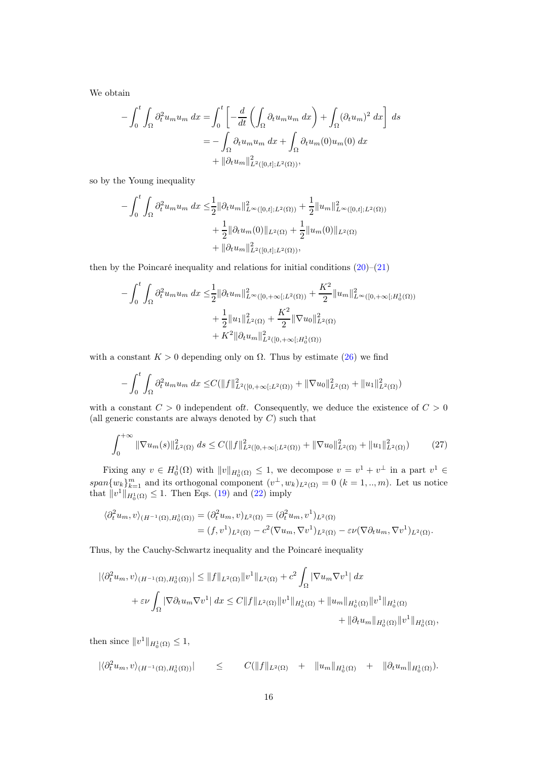We obtain

$$
-\int_0^t \int_{\Omega} \partial_t^2 u_m u_m dx = \int_0^t \left[ -\frac{d}{dt} \left( \int_{\Omega} \partial_t u_m u_m dx \right) + \int_{\Omega} (\partial_t u_m)^2 dx \right] ds
$$
  
= 
$$
-\int_{\Omega} \partial_t u_m u_m dx + \int_{\Omega} \partial_t u_m(0) u_m(0) dx
$$
  
+ 
$$
\|\partial_t u_m\|_{L^2([0,t];L^2(\Omega))}^2,
$$

so by the Young inequality

$$
-\int_0^t \int_{\Omega} \partial_t^2 u_m u_m dx \leq \frac{1}{2} ||\partial_t u_m||_{L^{\infty}([0,t];L^2(\Omega))}^2 + \frac{1}{2} ||u_m||_{L^{\infty}([0,t];L^2(\Omega))}^2 + \frac{1}{2} ||\partial_t u_m(0)||_{L^2(\Omega)} + \frac{1}{2} ||u_m(0)||_{L^2(\Omega)} + ||\partial_t u_m||_{L^2([0,t];L^2(\Omega))}^2,
$$

then by the Poincaré inequality and relations for initial conditions  $(20)$ – $(21)$ 

$$
-\int_0^t \int_{\Omega} \partial_t^2 u_m u_m dx \leq \frac{1}{2} \|\partial_t u_m\|_{L^\infty([0, +\infty[; L^2(\Omega)))}^2 + \frac{K^2}{2} \|u_m\|_{L^\infty([0, +\infty[; H_0^1(\Omega)))}^2 + \frac{1}{2} \|u_1\|_{L^2(\Omega)}^2 + \frac{K^2}{2} \|\nabla u_0\|_{L^2(\Omega)}^2 + K^2 \|\partial_t u_m\|_{L^2([0, +\infty[; H_0^1(\Omega)))}^2
$$

with a constant  $K > 0$  depending only on  $\Omega$ . Thus by estimate [\(26\)](#page-14-1) we find

<span id="page-15-0"></span>
$$
-\int_0^t \int_{\Omega} \partial_t^2 u_m u_m dx \leq C(||f||^2_{L^2([0,+\infty[;L^2(\Omega))} + ||\nabla u_0||^2_{L^2(\Omega)} + ||u_1||^2_{L^2(\Omega)})
$$

with a constant  $C > 0$  independent oft. Consequently, we deduce the existence of  $C > 0$ (all generic constants are always denoted by  $C$ ) such that

$$
\int_0^{+\infty} \|\nabla u_m(s)\|_{L^2(\Omega)}^2 ds \le C(\|f\|_{L^2([0,+\infty[;L^2(\Omega))}^2 + \|\nabla u_0\|_{L^2(\Omega)}^2 + \|u_1\|_{L^2(\Omega)}^2)) \tag{27}
$$

Fixing any  $v \in H_0^1(\Omega)$  with  $||v||_{H_0^1(\Omega)} \leq 1$ , we decompose  $v = v^1 + v^{\perp}$  in a part  $v^1 \in$ span $\{w_k\}_{k=1}^m$  and its orthogonal component  $(v^{\perp}, w_k)_{L^2(\Omega)} = 0$   $(k = 1, ..., m)$ . Let us notice that  $||v^1||_{H_0^1(\Omega)} \le 1$ . Then Eqs. [\(19\)](#page-13-0) and [\(22\)](#page-13-1) imply

$$
\langle \partial_t^2 u_m, v \rangle_{(H^{-1}(\Omega), H_0^1(\Omega))} = (\partial_t^2 u_m, v)_{L^2(\Omega)} = (\partial_t^2 u_m, v^1)_{L^2(\Omega)}
$$
  
= 
$$
(f, v^1)_{L^2(\Omega)} - c^2 (\nabla u_m, \nabla v^1)_{L^2(\Omega)} - \varepsilon \nu (\nabla \partial_t u_m, \nabla v^1)_{L^2(\Omega)}.
$$

Thus, by the Cauchy-Schwartz inequality and the Poincaré inequality

$$
\begin{aligned} |\langle \partial_t^2 u_m, v \rangle_{(H^{-1}(\Omega), H_0^1(\Omega))}| &\le \|f\|_{L^2(\Omega)} \|v^1\|_{L^2(\Omega)} + c^2 \int_{\Omega} |\nabla u_m \nabla v^1| \, dx \\ &+ \varepsilon \nu \int_{\Omega} |\nabla \partial_t u_m \nabla v^1| \, dx \le C \|f\|_{L^2(\Omega)} \|v^1\|_{H_0^1(\Omega)} + \|u_m\|_{H_0^1(\Omega)} \|v^1\|_{H_0^1(\Omega)} \\ &+ \|\partial_t u_m\|_{H_0^1(\Omega)} \|v^1\|_{H_0^1(\Omega)}, \end{aligned}
$$

then since  $||v^1||_{H_0^1(\Omega)} \leq 1$ ,

$$
|\langle \partial_t^2 u_m, v \rangle_{(H^{-1}(\Omega), H_0^1(\Omega))}| \leq C(||f||_{L^2(\Omega)} + ||u_m||_{H_0^1(\Omega)} + ||\partial_t u_m||_{H_0^1(\Omega)}).
$$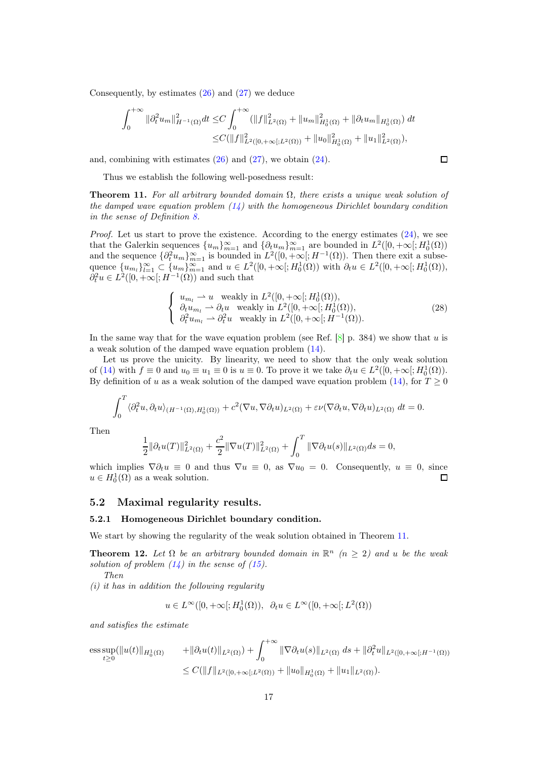Consequently, by estimates [\(26\)](#page-14-1) and [\(27\)](#page-15-0) we deduce

$$
\int_0^{+\infty} \|\partial_t^2 u_m\|_{H^{-1}(\Omega)}^2 dt \le C \int_0^{+\infty} (\|f\|_{L^2(\Omega)}^2 + \|u_m\|_{H_0^1(\Omega)}^2 + \|\partial_t u_m\|_{H_0^1(\Omega)}) dt
$$
  

$$
\le C (\|f\|_{L^2([0,+\infty[;L^2(\Omega))}^2 + \|u_0\|_{H_0^1(\Omega)}^2 + \|u_1\|_{L^2(\Omega)}^2),
$$

and, combining with estimates  $(26)$  and  $(27)$ , we obtain  $(24)$ .

$$
\Box
$$

Thus we establish the following well-posedness result:

<span id="page-16-1"></span>**Theorem 11.** For all arbitrary bounded domain  $\Omega$ , there exists a unique weak solution of the damped wave equation problem  $(14)$  with the homogeneous Dirichlet boundary condition in the sense of Definition [8.](#page-12-3)

Proof. Let us start to prove the existence. According to the energy estimates [\(24\)](#page-14-2), we see that the Galerkin sequences  ${u_m}_{m=1}^{\infty}$  and  ${\partial_t u_m}_{m=1}^{\infty}$  are bounded in  $L^2([0, +\infty[; H_0^1(\Omega))]$ and the sequence  $\{\partial_t^2 u_m\}_{m=1}^{\infty}$  is bounded in  $L^2([0,+\infty[;H^{-1}(\Omega))$ . Then there exit a subsequence  $\{u_m\}_{l=1}^{\infty} \subset \{u_m\}_{m=1}^{\infty}$  and  $u \in L^2([0, +\infty[; H_0^1(\Omega))$  with  $\partial_t u \in L^2([0, +\infty[; H_0^1(\Omega)),$  $\partial_t^2 u \in L^2([0, +\infty[; H^{-1}(\Omega))$  and such that

$$
\begin{cases}\n u_{m_l} \rightharpoonup u \quad \text{weakly in } L^2([0, +\infty[; H_0^1(\Omega)), \\
 \partial_t u_{m_l} \rightharpoonup \partial_t u \quad \text{weakly in } L^2([0, +\infty[; H_0^1(\Omega)), \\
 \partial_t^2 u_{m_l} \rightharpoonup \partial_t^2 u \quad \text{weakly in } L^2([0, +\infty[; H^{-1}(\Omega)).\n\end{cases}
$$
\n(28)

In the same way that for the wave equation problem (see Ref.  $[8]$  p. 384) we show that u is a weak solution of the damped wave equation problem [\(14\)](#page-12-2).

Let us prove the unicity. By linearity, we need to show that the only weak solution of [\(14\)](#page-12-2) with  $f \equiv 0$  and  $u_0 \equiv u_1 \equiv 0$  is  $u \equiv 0$ . To prove it we take  $\partial_t u \in L^2([0, +\infty[, H_0^1(\Omega)).$ By definition of u as a weak solution of the damped wave equation problem [\(14\)](#page-12-2), for  $T \ge 0$ 

$$
\int_0^T \langle \partial_t^2 u, \partial_t u \rangle_{(H^{-1}(\Omega), H_0^1(\Omega))} + c^2 (\nabla u, \nabla \partial_t u)_{L^2(\Omega)} + \varepsilon \nu (\nabla \partial_t u, \nabla \partial_t u)_{L^2(\Omega)} dt = 0.
$$

Then

$$
\frac{1}{2} \|\partial_t u(T)\|_{L^2(\Omega)}^2 + \frac{c^2}{2} \|\nabla u(T)\|_{L^2(\Omega)}^2 + \int_0^T \|\nabla \partial_t u(s)\|_{L^2(\Omega)} ds = 0,
$$

which implies  $\nabla \partial_t u \equiv 0$  and thus  $\nabla u \equiv 0$ , as  $\nabla u_0 = 0$ . Consequently,  $u \equiv 0$ , since  $u \in H^1_{\alpha}(\Omega)$  as a weak solution.  $u \in H_0^1(\Omega)$  as a weak solution.

#### <span id="page-16-0"></span>5.2 Maximal regularity results.

#### 5.2.1 Homogeneous Dirichlet boundary condition.

We start by showing the regularity of the weak solution obtained in Theorem [11.](#page-16-1)

<span id="page-16-2"></span>**Theorem 12.** Let  $\Omega$  be an arbitrary bounded domain in  $\mathbb{R}^n$  ( $n \geq 2$ ) and u be the weak solution of problem  $(14)$  in the sense of  $(15)$ .

Then

 $(i)$  it has in addition the following regularity

$$
u \in L^{\infty}([0, +\infty[; H_0^1(\Omega)), \ \partial_t u \in L^{\infty}([0, +\infty[; L^2(\Omega))
$$

and satisfies the estimate

$$
\begin{aligned}\n\underset{t\geq 0}{\text{ess sup}}(\|u(t)\|_{H_0^1(\Omega)} &+ \|\partial_t u(t)\|_{L^2(\Omega)}) + \int_0^{+\infty} \|\nabla \partial_t u(s)\|_{L^2(\Omega)} \, ds + \|\partial_t^2 u\|_{L^2([0,+\infty[;H^{-1}(\Omega))} \\
&\leq C(\|f\|_{L^2([0,+\infty[;L^2(\Omega))} + \|u_0\|_{H_0^1(\Omega)} + \|u_1\|_{L^2(\Omega)}).\n\end{aligned}
$$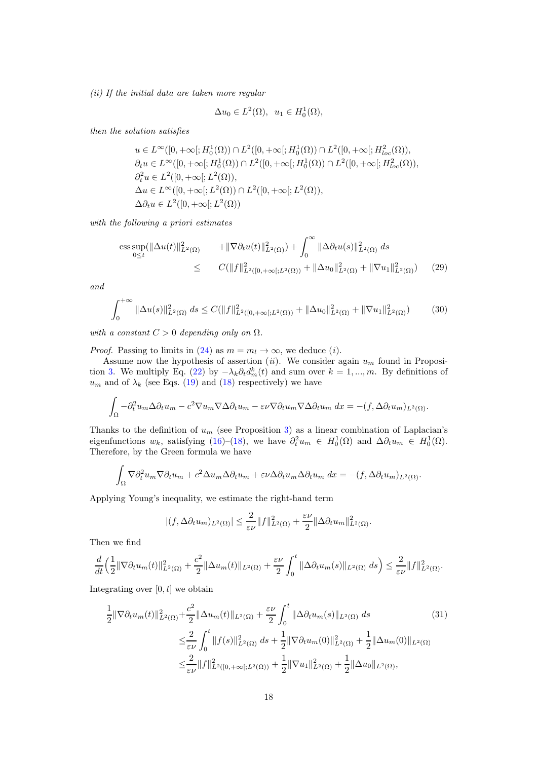(ii) If the initial data are taken more regular

$$
\Delta u_0 \in L^2(\Omega), \ \ u_1 \in H_0^1(\Omega),
$$

then the solution satisfies

$$
u \in L^{\infty}([0, +\infty[; H_0^1(\Omega)) \cap L^2([0, +\infty[; H_0^1(\Omega)) \cap L^2([0, +\infty[; H_{loc}^2(\Omega)),\partial_t u \in L^{\infty}([0, +\infty[; H_0^1(\Omega)) \cap L^2([0, +\infty[; H_0^1(\Omega)) \cap L^2([0, +\infty[; H_{loc}^2(\Omega)),\partial_t^2 u \in L^2([0, +\infty[; L^2(\Omega)),\Delta u \in L^{\infty}([0, +\infty[; L^2(\Omega)) \cap L^2([0, +\infty[; L^2(\Omega)),\Delta \partial_t u \in L^2([0, +\infty[; L^2(\Omega))
$$

with the following a priori estimates

<span id="page-17-0"></span>
$$
\begin{aligned}\n\text{ess}\sup_{0\leq t} (\|\Delta u(t)\|_{L^2(\Omega)}^2 &+ \|\nabla \partial_t u(t)\|_{L^2(\Omega)}^2) + \int_0^\infty \|\Delta \partial_t u(s)\|_{L^2(\Omega)}^2 \, ds \\
&\leq C(\|f\|_{L^2([0,+\infty[;L^2(\Omega))}^2 + \|\Delta u_0\|_{L^2(\Omega)}^2 + \|\nabla u_1\|_{L^2(\Omega)}^2)\n\end{aligned} \tag{29}
$$

and

<span id="page-17-2"></span>
$$
\int_0^{+\infty} \|\Delta u(s)\|_{L^2(\Omega)}^2 ds \le C(\|f\|_{L^2([0,+\infty[;L^2(\Omega))}^2 + \|\Delta u_0\|_{L^2(\Omega)}^2 + \|\nabla u_1\|_{L^2(\Omega)}^2)) \tag{30}
$$

with a constant  $C > 0$  depending only on  $\Omega$ .

*Proof.* Passing to limits in [\(24\)](#page-14-2) as  $m = m_l \rightarrow \infty$ , we deduce (*i*).

Assume now the hypothesis of assertion (ii). We consider again  $u_m$  found in Proposi-tion [3.](#page-13-5) We multiply Eq. [\(22\)](#page-13-1) by  $-\lambda_k \partial_t d_m^k(t)$  and sum over  $k = 1, ..., m$ . By definitions of  $u_m$  and of  $\lambda_k$  (see Eqs. [\(19\)](#page-13-0) and [\(18\)](#page-13-7) respectively) we have

$$
\int_{\Omega} -\partial_t^2 u_m \Delta \partial_t u_m - c^2 \nabla u_m \nabla \Delta \partial_t u_m - \varepsilon \nu \nabla \partial_t u_m \nabla \Delta \partial_t u_m dx = -(f, \Delta \partial_t u_m)_{L^2(\Omega)}.
$$

Thanks to the definition of  $u_m$  (see Proposition [3\)](#page-13-5) as a linear combination of Laplacian's eigenfunctions  $w_k$ , satisfying [\(16\)](#page-13-8)–[\(18\)](#page-13-7), we have  $\partial_t^2 u_m \in H_0^1(\Omega)$  and  $\Delta \partial_t u_m \in H_0^1(\Omega)$ . Therefore, by the Green formula we have

$$
\int_{\Omega} \nabla \partial_t^2 u_m \nabla \partial_t u_m + c^2 \Delta u_m \Delta \partial_t u_m + \varepsilon \nu \Delta \partial_t u_m \Delta \partial_t u_m dx = -(f, \Delta \partial_t u_m)_{L^2(\Omega)}.
$$

Applying Young's inequality, we estimate the right-hand term

<span id="page-17-1"></span>
$$
|(f, \Delta \partial_t u_m)_{L^2(\Omega)}| \leq \frac{2}{\varepsilon \nu} \|f\|_{L^2(\Omega)}^2 + \frac{\varepsilon \nu}{2} \|\Delta \partial_t u_m\|_{L^2(\Omega)}^2.
$$

Then we find

$$
\frac{d}{dt}\Big(\frac{1}{2}\|\nabla\partial_t u_m(t)\|_{L^2(\Omega)}^2+\frac{c^2}{2}\|\Delta u_m(t)\|_{L^2(\Omega)}+\frac{\varepsilon\nu}{2}\int_0^t\|\Delta\partial_t u_m(s)\|_{L^2(\Omega)}\ ds\Big)\leq \frac{2}{\varepsilon\nu}\|f\|_{L^2(\Omega)}^2.
$$

Integrating over  $[0, t]$  we obtain

$$
\frac{1}{2} \|\nabla \partial_t u_m(t)\|_{L^2(\Omega)}^2 + \frac{c^2}{2} \|\Delta u_m(t)\|_{L^2(\Omega)} + \frac{\varepsilon \nu}{2} \int_0^t \|\Delta \partial_t u_m(s)\|_{L^2(\Omega)} ds \tag{31}
$$
\n
$$
\leq \frac{2}{\varepsilon \nu} \int_0^t \|f(s)\|_{L^2(\Omega)}^2 ds + \frac{1}{2} \|\nabla \partial_t u_m(0)\|_{L^2(\Omega)}^2 + \frac{1}{2} \|\Delta u_m(0)\|_{L^2(\Omega)}\n\leq \frac{2}{\varepsilon \nu} \|f\|_{L^2([0, +\infty[; L^2(\Omega))}^2 + \frac{1}{2} \|\nabla u_1\|_{L^2(\Omega)}^2 + \frac{1}{2} \|\Delta u_0\|_{L^2(\Omega)},
$$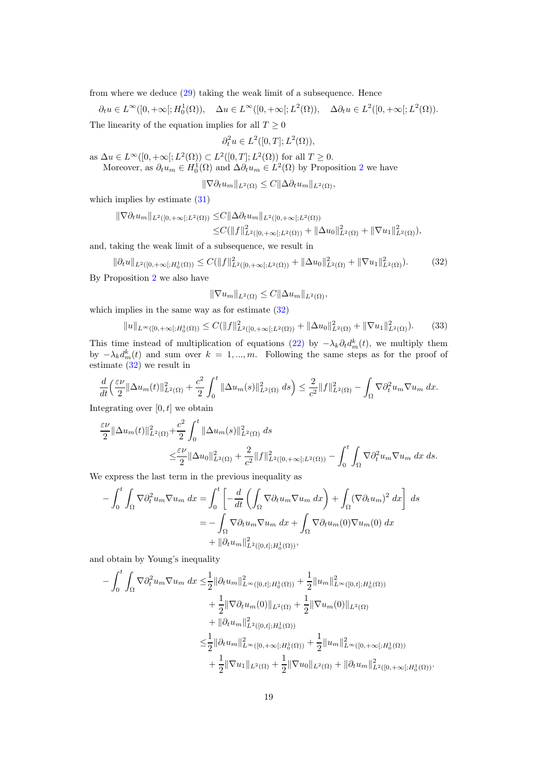from where we deduce [\(29\)](#page-17-0) taking the weak limit of a subsequence. Hence

 $\partial_t u \in L^{\infty}([0, +\infty[; H_0^1(\Omega)), \quad \Delta u \in L^{\infty}([0, +\infty[; L^2(\Omega)), \quad \Delta \partial_t u \in L^2([0, +\infty[; L^2(\Omega))).$ The linearity of the equation implies for all  $T \geq 0$ 

 $\partial_t^2 u \in L^2([0,T];L^2(\Omega)),$ 

as  $\Delta u \in L^{\infty}([0, +\infty[; L^2(\Omega)) \subset L^2([0, T]; L^2(\Omega))$  for all  $T \ge 0$ .

Moreover, as  $\partial_t u_m \in H_0^1(\Omega)$  and  $\Delta \partial_t u_m \in L^2(\Omega)$  $\Delta \partial_t u_m \in L^2(\Omega)$  $\Delta \partial_t u_m \in L^2(\Omega)$  by Proposition 2 we have

 $\|\nabla \partial_t u_m\|_{L^2(\Omega)} \leq C \|\Delta \partial_t u_m\|_{L^2(\Omega)},$ 

which implies by estimate  $(31)$ 

$$
\|\nabla \partial_t u_m\|_{L^2([0,+\infty[;L^2(\Omega))} \leq C \|\Delta \partial_t u_m\|_{L^2([0,+\infty[;L^2(\Omega))})
$$
  

$$
\leq C (\|f\|_{L^2([0,+\infty[;L^2(\Omega))}^2 + \|\Delta u_0\|_{L^2(\Omega)}^2 + \|\nabla u_1\|_{L^2(\Omega)}^2),
$$

and, taking the weak limit of a subsequence, we result in

$$
\|\partial_t u\|_{L^2([0,+\infty[;H_0^1(\Omega))} \le C(\|f\|_{L^2([0,+\infty[;L^2(\Omega))}^2 + \|\Delta u_0\|_{L^2(\Omega)}^2 + \|\nabla u_1\|_{L^2(\Omega)}^2). \tag{32}
$$

By Proposition [2](#page-11-1) we also have

<span id="page-18-1"></span><span id="page-18-0"></span>
$$
\|\nabla u_m\|_{L^2(\Omega)} \leq C \|\Delta u_m\|_{L^2(\Omega)},
$$

which implies in the same way as for estimate  $(32)$ 

$$
||u||_{L^{\infty}([0,+\infty[;H_0^1(\Omega))} \le C(||f||_{L^2([0,+\infty[;L^2(\Omega))}^2 + ||\Delta u_0||_{L^2(\Omega)}^2 + ||\nabla u_1||_{L^2(\Omega)}^2). \tag{33}
$$

This time instead of multiplication of equations [\(22\)](#page-13-1) by  $-\lambda_k \partial_t d_m^k(t)$ , we multiply them by  $-\lambda_k d_m^k(t)$  and sum over  $k = 1, ..., m$ . Following the same steps as for the proof of estimate [\(32\)](#page-18-0) we result in

$$
\frac{d}{dt}\left(\frac{\varepsilon\nu}{2}\|\Delta u_m(t)\|_{L^2(\Omega)}^2+\frac{c^2}{2}\int_0^t\|\Delta u_m(s)\|_{L^2(\Omega)}^2\ ds\right)\leq\frac{2}{c^2}\|f\|_{L^2(\Omega)}^2-\int_{\Omega}\nabla\partial_t^2 u_m\nabla u_m\ dx.
$$

Integrating over  $[0, t]$  we obtain

$$
\frac{\varepsilon\nu}{2} \|\Delta u_m(t)\|_{L^2(\Omega)}^2 + \frac{c^2}{2} \int_0^t \|\Delta u_m(s)\|_{L^2(\Omega)}^2 ds
$$
  

$$
\leq \frac{\varepsilon\nu}{2} \|\Delta u_0\|_{L^2(\Omega)}^2 + \frac{2}{c^2} \|f\|_{L^2([0,+\infty[;L^2(\Omega))}^2 - \int_0^t \int_{\Omega} \nabla \partial_t^2 u_m \nabla u_m ds.
$$

We express the last term in the previous inequality as

$$
-\int_0^t \int_{\Omega} \nabla \partial_t^2 u_m \nabla u_m \, dx = \int_0^t \left[ -\frac{d}{dt} \left( \int_{\Omega} \nabla \partial_t u_m \nabla u_m \, dx \right) + \int_{\Omega} (\nabla \partial_t u_m)^2 \, dx \right] ds
$$
  

$$
= -\int_{\Omega} \nabla \partial_t u_m \nabla u_m \, dx + \int_{\Omega} \nabla \partial_t u_m(0) \nabla u_m(0) \, dx
$$
  

$$
+ \|\partial_t u_m\|_{L^2([0,t];H_0^1(\Omega))}^2,
$$

and obtain by Young's inequality

$$
-\int_{0}^{t} \int_{\Omega} \nabla \partial_{t}^{2} u_{m} \nabla u_{m} dx \leq \frac{1}{2} ||\partial_{t} u_{m}||_{L^{\infty}([0,t];H_{0}^{1}(\Omega))}^{2} + \frac{1}{2} ||u_{m}||_{L^{\infty}([0,t];H_{0}^{1}(\Omega))}^{2}
$$
  
+ 
$$
\frac{1}{2} ||\nabla \partial_{t} u_{m}(0)||_{L^{2}(\Omega)} + \frac{1}{2} ||\nabla u_{m}(0)||_{L^{2}(\Omega)}
$$
  
+ 
$$
||\partial_{t} u_{m}||_{L^{2}([0,t];H_{0}^{1}(\Omega))}^{2}
$$
  

$$
\leq \frac{1}{2} ||\partial_{t} u_{m}||_{L^{\infty}([0,+\infty[;H_{0}^{1}(\Omega))}^{2} + \frac{1}{2} ||u_{m}||_{L^{\infty}([0,+\infty[;H_{0}^{1}(\Omega))}^{2}
$$
  
+ 
$$
\frac{1}{2} ||\nabla u_{1}||_{L^{2}(\Omega)} + \frac{1}{2} ||\nabla u_{0}||_{L^{2}(\Omega)} + ||\partial_{t} u_{m}||_{L^{2}([0,+\infty[;H_{0}^{1}(\Omega))}^{2}.
$$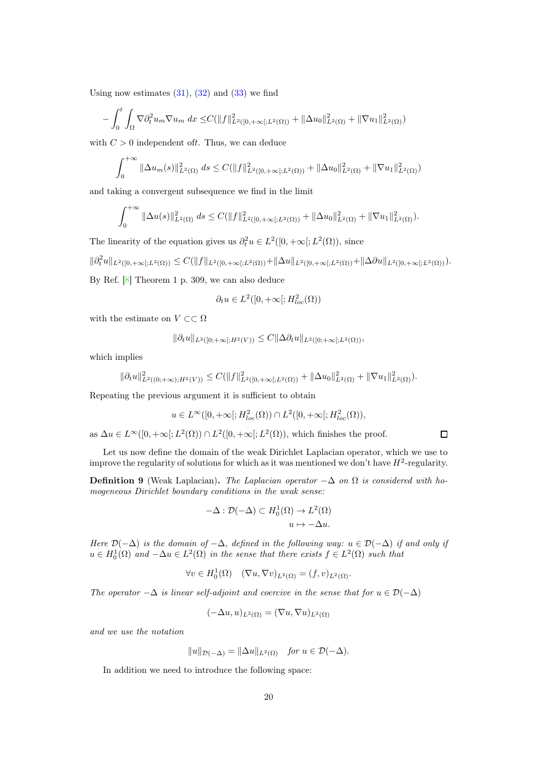Using now estimates  $(31)$ ,  $(32)$  and  $(33)$  we find

$$
-\int_0^t \int_{\Omega} \nabla \partial_t^2 u_m \nabla u_m \, dx \leq C(||f||^2_{L^2([0,+\infty[;L^2(\Omega))} + ||\Delta u_0||^2_{L^2(\Omega)} + ||\nabla u_1||^2_{L^2(\Omega)})
$$

with  $C > 0$  independent of t. Thus, we can deduce

$$
\int_0^{+\infty} \|\Delta u_m(s)\|_{L^2(\Omega)}^2 ds \leq C(\|f\|_{L^2([0,+\infty[;L^2(\Omega))}^2 + \|\Delta u_0\|_{L^2(\Omega)}^2 + \|\nabla u_1\|_{L^2(\Omega)}^2))
$$

and taking a convergent subsequence we find in the limit

$$
\int_0^{+\infty} \|\Delta u(s)\|_{L^2(\Omega)}^2 ds \leq C(\|f\|_{L^2([0,+\infty[;L^2(\Omega))}^2 + \|\Delta u_0\|_{L^2(\Omega)}^2 + \|\nabla u_1\|_{L^2(\Omega)}^2).
$$

The linearity of the equation gives us  $\partial_t^2 u \in L^2([0, +\infty[; L^2(\Omega)), \text{ since }$ 

$$
\|\partial_t^2 u\|_{L^2([0,+\infty[;L^2(\Omega))}\leq C(\|f\|_{L^2([0,+\infty[;L^2(\Omega))}+\|\Delta u\|_{L^2([0,+\infty[;L^2(\Omega))}+\|\Delta\partial u\|_{L^2([0,+\infty[;L^2(\Omega))}).
$$

By Ref. [\[8\]](#page-37-7) Theorem 1 p. 309, we can also deduce

$$
\partial_t u \in L^2([0, +\infty[; H^2_{loc}(\Omega))
$$

with the estimate on  $V \subset\subset \Omega$ 

$$
\|\partial_t u\|_{L^2([0;+\infty[;H^2(V))} \leq C \|\Delta \partial_t u\|_{L^2([0;+\infty[;L^2(\Omega))},
$$

which implies

$$
\|\partial_t u\|^2_{L^2((0;+\infty);H^2(V))}\leq C(\|f\|^2_{L^2([0;+\infty[;L^2(\Omega))}+\|\Delta u_0\|^2_{L^2(\Omega)}+\|\nabla u_1\|^2_{L^2(\Omega)}).
$$

Repeating the previous argument it is sufficient to obtain

$$
u \in L^{\infty}([0, +\infty[; H_{loc}^2(\Omega)) \cap L^2([0, +\infty[; H_{loc}^2(\Omega)),
$$

 $\Box$ 

as  $\Delta u \in L^{\infty}([0, +\infty[; L^2(\Omega)) \cap L^2([0, +\infty[; L^2(\Omega)),$  which finishes the proof.

Let us now define the domain of the weak Dirichlet Laplacian operator, which we use to improve the regularity of solutions for which as it was mentioned we don't have  $H^2$ -regularity.

<span id="page-19-0"></span>**Definition 9** (Weak Laplacian). The Laplacian operator  $-\Delta$  on  $\Omega$  is considered with homogeneous Dirichlet boundary conditions in the weak sense:

$$
-\Delta: \mathcal{D}(-\Delta) \subset H_0^1(\Omega) \to L^2(\Omega)
$$
  

$$
u \mapsto -\Delta u.
$$

Here  $\mathcal{D}(-\Delta)$  is the domain of  $-\Delta$ , defined in the following way:  $u \in \mathcal{D}(-\Delta)$  if and only if  $u \in H_0^1(\Omega)$  and  $-\Delta u \in L^2(\Omega)$  in the sense that there exists  $f \in L^2(\Omega)$  such that

$$
\forall v \in H_0^1(\Omega) \quad (\nabla u, \nabla v)_{L^2(\Omega)} = (f, v)_{L^2(\Omega)}.
$$

The operator  $-\Delta$  is linear self-adjoint and coercive in the sense that for  $u \in \mathcal{D}(-\Delta)$ 

$$
(-\Delta u, u)_{L^2(\Omega)} = (\nabla u, \nabla u)_{L^2(\Omega)}
$$

and we use the notation

$$
||u||_{\mathcal{D}(-\Delta)} = ||\Delta u||_{L^2(\Omega)} \quad \text{for } u \in \mathcal{D}(-\Delta).
$$

In addition we need to introduce the following space: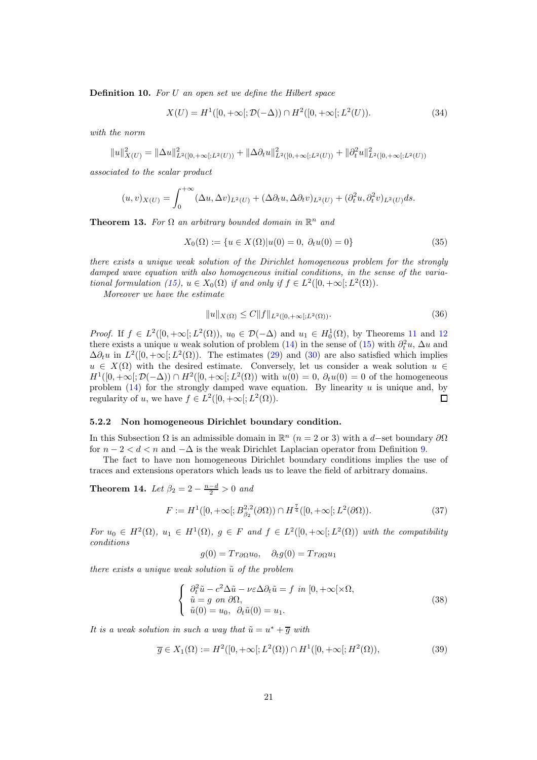<span id="page-20-6"></span>Definition 10. For U an open set we define the Hilbert space

<span id="page-20-2"></span>
$$
X(U) = H1([0, +\infty[; \mathcal{D}(-\Delta)) \cap H2([0, +\infty[; L2(U))).
$$
\n(34)

with the norm

$$
||u||_{X(U)}^2 = ||\Delta u||_{L^2([0,+\infty[;L^2(U))}^2 + ||\Delta \partial_t u||_{L^2([0,+\infty[;L^2(U))}^2 + ||\partial_t^2 u||_{L^2([0,+\infty[;L^2(U))}^2
$$

associated to the scalar product

$$
(u,v)_{X(U)} = \int_0^{+\infty} (\Delta u, \Delta v)_{L^2(U)} + (\Delta \partial_t u, \Delta \partial_t v)_{L^2(U)} + (\partial_t^2 u, \partial_t^2 v)_{L^2(U)} ds.
$$

<span id="page-20-4"></span>**Theorem 13.** For  $\Omega$  an arbitrary bounded domain in  $\mathbb{R}^n$  and

<span id="page-20-7"></span>
$$
X_0(\Omega) := \{ u \in X(\Omega) | u(0) = 0, \ \partial_t u(0) = 0 \}
$$
\n(35)

there exists a unique weak solution of the Dirichlet homogeneous problem for the strongly damped wave equation with also homogeneous initial conditions, in the sense of the varia-tional formulation [\(15\)](#page-13-6),  $u \in X_0(\Omega)$  if and only if  $f \in L^2([0, +\infty[; L^2(\Omega))$ .

Moreover we have the estimate

<span id="page-20-5"></span>
$$
||u||_{X(\Omega)} \le C||f||_{L^2([0,+\infty[;L^2(\Omega))}.
$$
\n(36)

*Proof.* If  $f \in L^2([0, +\infty[; L^2(\Omega)), u_0 \in \mathcal{D}(-\Delta)$  and  $u_1 \in H_0^1(\Omega)$ , by Theorems [11](#page-16-1) and [12](#page-16-2) there exists a unique u weak solution of problem [\(14\)](#page-12-2) in the sense of [\(15\)](#page-13-6) with  $\partial_t^2 u$ ,  $\Delta u$  and  $\Delta \partial_t u$  in  $L^2([0, +\infty); L^2(\Omega))$ . The estimates [\(29\)](#page-17-0) and [\(30\)](#page-17-2) are also satisfied which implies  $u \in X(\Omega)$  with the desired estimate. Conversely, let us consider a weak solution  $u \in$  $H^1([0, +\infty[; \mathcal{D}(-\Delta)) \cap H^2([0, +\infty[; L^2(\Omega)) \text{ with } u(0) = 0, \partial_t u(0) = 0 \text{ of the homogeneous }$ problem  $(14)$  for the strongly damped wave equation. By linearity u is unique and, by regularity of u, we have  $f \in L^2([0, +\infty[; L^2(\Omega))).$  $\Box$ 

#### <span id="page-20-1"></span>5.2.2 Non homogeneous Dirichlet boundary condition.

In this Subsection  $\Omega$  is an admissible domain in  $\mathbb{R}^n$  (*n* = 2 or 3) with a *d*-set boundary  $\partial\Omega$ for  $n-2 < d < n$  and  $-\Delta$  is the weak Dirichlet Laplacian operator from Definition [9.](#page-19-0)

The fact to have non homogeneous Dirichlet boundary conditions implies the use of traces and extensions operators which leads us to leave the field of arbitrary domains.

<span id="page-20-9"></span>**Theorem 14.** Let  $\beta_2 = 2 - \frac{n-d}{2} > 0$  and

$$
F := H^{1}([0, +\infty[; B^{2,2}_{\beta_2}(\partial \Omega)) \cap H^{\frac{7}{4}}([0, +\infty[; L^{2}(\partial \Omega))).
$$
\n(37)

For  $u_0 \in H^2(\Omega)$ ,  $u_1 \in H^1(\Omega)$ ,  $g \in F$  and  $f \in L^2([0, +\infty[; L^2(\Omega))$  with the compatibility conditions

<span id="page-20-8"></span><span id="page-20-3"></span><span id="page-20-0"></span>
$$
g(0) = Tr_{\partial\Omega} u_0, \quad \partial_t g(0) = Tr_{\partial\Omega} u_1
$$

there exists a unique weak solution  $\tilde{u}$  of the problem

$$
\begin{cases}\n\partial_t^2 \tilde{u} - c^2 \Delta \tilde{u} - \nu \varepsilon \Delta \partial_t \tilde{u} = f \quad \text{in } [0, +\infty[ \times \Omega, \\
\tilde{u} = g \quad on \quad \partial \Omega, \\
\tilde{u}(0) = u_0, \quad \partial_t \tilde{u}(0) = u_1.\n\end{cases} \tag{38}
$$

It is a weak solution in such a way that  $\tilde{u} = u^* + \overline{g}$  with

$$
\overline{g} \in X_1(\Omega) := H^2([0, +\infty[; L^2(\Omega)) \cap H^1([0, +\infty[; H^2(\Omega)), \tag{39})
$$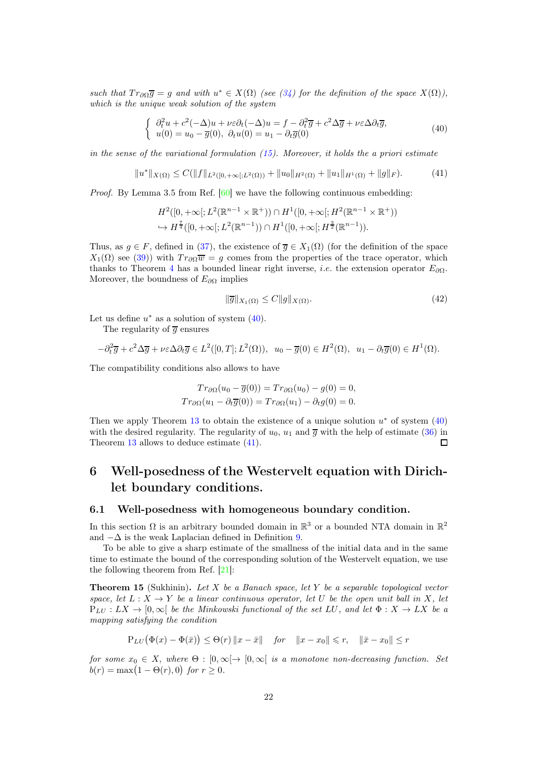such that  $Tr_{\partial\Omega} \overline{g} = g$  and with  $u^* \in X(\Omega)$  (see [\(34\)](#page-20-2) for the definition of the space  $X(\Omega)$ ), which is the unique weak solution of the system

<span id="page-21-3"></span>
$$
\begin{cases}\n\partial_t^2 u + c^2(-\Delta)u + \nu \varepsilon \partial_t (-\Delta)u = f - \partial_t^2 \overline{g} + c^2 \Delta \overline{g} + \nu \varepsilon \Delta \partial_t \overline{g}, \nu(0) = u_0 - \overline{g}(0), \ \partial_t u(0) = u_1 - \partial_t \overline{g}(0)\n\end{cases}
$$
\n(40)

in the sense of the variational formulation  $(15)$ . Moreover, it holds the a priori estimate

$$
||u^*||_{X(\Omega)} \le C(||f||_{L^2([0,+\infty[;L^2(\Omega))} + ||u_0||_{H^2(\Omega)} + ||u_1||_{H^1(\Omega)} + ||g||_F). \tag{41}
$$

Proof. By Lemma 3.5 from Ref. [\[60\]](#page-40-2) we have the following continuous embedding:

$$
H^2([0, +\infty[; L^2(\mathbb{R}^{n-1} \times \mathbb{R}^+)) \cap H^1([0, +\infty[; H^2(\mathbb{R}^{n-1} \times \mathbb{R}^+))
$$
  

$$
\hookrightarrow H^{\frac{7}{4}}([0, +\infty[; L^2(\mathbb{R}^{n-1})) \cap H^1([0, +\infty[; H^{\frac{3}{2}}(\mathbb{R}^{n-1}))).
$$

Thus, as  $g \in F$ , defined in [\(37\)](#page-20-3), the existence of  $\overline{g} \in X_1(\Omega)$  (for the definition of the space  $X_1(\Omega)$  see [\(39\)](#page-20-0)) with  $Tr_{\partial\Omega}\overline{w} = g$  comes from the properties of the trace operator, which thanks to Theorem [4](#page-7-2) has a bounded linear right inverse, *i.e.* the extension operator  $E_{\partial\Omega}$ . Moreover, the boundness of  $E_{\partial\Omega}$  implies

<span id="page-21-4"></span>
$$
\|\overline{g}\|_{X_1(\Omega)} \le C \|g\|_{X(\Omega)}.\tag{42}
$$

Let us define  $u^*$  as a solution of system  $(40)$ .

The regularity of  $\overline{g}$  ensures

$$
-\partial_t^2 \overline{g} + c^2 \Delta \overline{g} + \nu \varepsilon \Delta \partial_t \overline{g} \in L^2([0, T]; L^2(\Omega)), \ u_0 - \overline{g}(0) \in H^2(\Omega), \ u_1 - \partial_t \overline{g}(0) \in H^1(\Omega).
$$

The compatibility conditions also allows to have

$$
Tr_{\partial\Omega}(u_0 - \overline{g}(0)) = Tr_{\partial\Omega}(u_0) - g(0) = 0,
$$
  

$$
Tr_{\partial\Omega}(u_1 - \partial_t \overline{g}(0)) = Tr_{\partial\Omega}(u_1) - \partial_t g(0) = 0.
$$

Then we apply Theorem [13](#page-20-4) to obtain the existence of a unique solution  $u^*$  of system [\(40\)](#page-21-3) with the desired regularity. The regularity of  $u_0$ ,  $u_1$  and  $\overline{g}$  with the help of estimate [\(36\)](#page-20-5) in Theorem [13](#page-20-4) allows to deduce estimate [\(41\)](#page-21-4).  $\Box$ 

## <span id="page-21-0"></span>6 Well-posedness of the Westervelt equation with Dirichlet boundary conditions.

#### <span id="page-21-2"></span>6.1 Well-posedness with homogeneous boundary condition.

In this section  $\Omega$  is an arbitrary bounded domain in  $\mathbb{R}^3$  or a bounded NTA domain in  $\mathbb{R}^2$ and  $-\Delta$  is the weak Laplacian defined in Definition [9.](#page-19-0)

To be able to give a sharp estimate of the smallness of the initial data and in the same time to estimate the bound of the corresponding solution of the Westervelt equation, we use the following theorem from Ref. [\[21\]](#page-38-3):

<span id="page-21-1"></span>**Theorem 15** (Sukhinin). Let  $X$  be a Banach space, let  $Y$  be a separable topological vector space, let  $L : X \to Y$  be a linear continuous operator, let U be the open unit ball in X, let  $P_{LU}: LX \to [0,\infty[$  be the Minkowski functional of the set LU, and let  $\Phi: X \to LX$  be a mapping satisfying the condition

$$
\mathbf{P}_{LU}(\Phi(x) - \Phi(\bar{x})) \leq \Theta(r) \|x - \bar{x}\| \quad \text{for} \quad \|x - x_0\| \leq r, \quad \|\bar{x} - x_0\| \leq r
$$

for some  $x_0 \in X$ , where  $\Theta : [0, \infty] \to [0, \infty]$  is a monotone non-decreasing function. Set  $b(r) = \max(1 - \Theta(r), 0)$  for  $r \geq 0$ .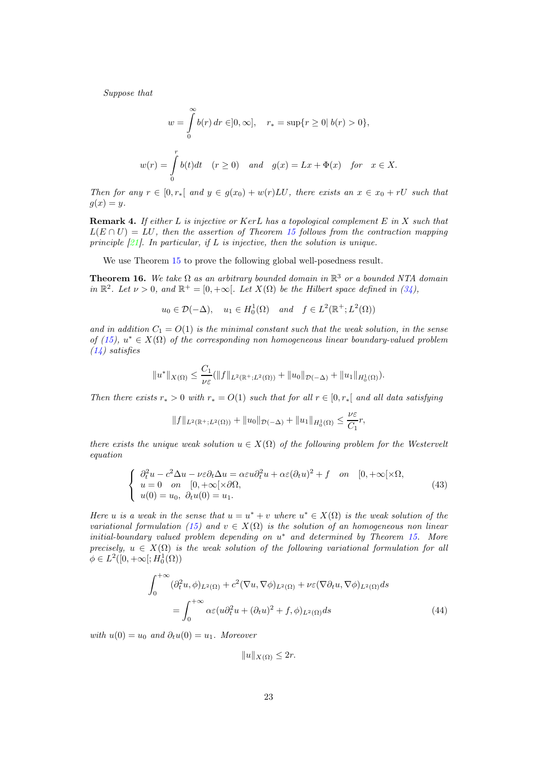Suppose that

$$
w = \int_{0}^{\infty} b(r) dr \in ]0, \infty], \quad r_* = \sup\{r \ge 0 | b(r) > 0\},
$$
  

$$
w(r) = \int_{0}^{r} b(t) dt \quad (r \ge 0) \quad and \quad g(x) = Lx + \Phi(x) \quad for \quad x \in X.
$$

Then for any  $r \in [0, r_*[$  and  $y \in g(x_0) + w(r)LU$ , there exists an  $x \in x_0 + rU$  such that  $q(x) = y.$ 

**Remark 4.** If either  $L$  is injective or  $KerL$  has a topological complement  $E$  in  $X$  such that  $L(E \cap U) = LU$ , then the assertion of Theorem [15](#page-21-1) follows from the contraction mapping principle  $[21]$ . In particular, if L is injective, then the solution is unique.

We use Theorem [15](#page-21-1) to prove the following global well-posedness result.

<span id="page-22-0"></span>**Theorem 16.** We take  $\Omega$  as an arbitrary bounded domain in  $\mathbb{R}^3$  or a bounded NTA domain in  $\mathbb{R}^2$ . Let  $\nu > 0$ , and  $\mathbb{R}^+ = [0, +\infty[$ . Let  $X(\Omega)$  be the Hilbert space defined in [\(34\)](#page-20-2),

 $u_0 \in \mathcal{D}(-\Delta)$ ,  $u_1 \in H_0^1(\Omega)$  and  $f \in L^2(\mathbb{R}^+; L^2(\Omega))$ 

and in addition  $C_1 = O(1)$  is the minimal constant such that the weak solution, in the sense of [\(15\)](#page-13-6),  $u^* \in X(\Omega)$  of the corresponding non homogeneous linear boundary-valued problem [\(14\)](#page-12-2) satisfies

$$
||u^*||_{X(\Omega)} \leq \frac{C_1}{\nu \varepsilon} (||f||_{L^2(\mathbb{R}^+;L^2(\Omega))} + ||u_0||_{\mathcal{D}(-\Delta)} + ||u_1||_{H_0^1(\Omega)}).
$$

Then there exists  $r_* > 0$  with  $r_* = O(1)$  such that for all  $r \in [0, r_*[$  and all data satisfying

$$
||f||_{L^{2}(\mathbb{R}^{+};L^{2}(\Omega))} + ||u_{0}||_{\mathcal{D}(-\Delta)} + ||u_{1}||_{H_{0}^{1}(\Omega)} \leq \frac{\nu \varepsilon}{C_{1}} r,
$$

there exists the unique weak solution  $u \in X(\Omega)$  of the following problem for the Westervelt equation

<span id="page-22-1"></span>
$$
\begin{cases}\n\partial_t^2 u - c^2 \Delta u - \nu \varepsilon \partial_t \Delta u = \alpha \varepsilon u \partial_t^2 u + \alpha \varepsilon (\partial_t u)^2 + f & \text{on} \quad [0, +\infty[ \times \Omega, \\
u = 0 & \text{on} \quad [0, +\infty[ \times \partial \Omega, \\
u(0) = u_0, \ \partial_t u(0) = u_1.\n\end{cases} \tag{43}
$$

Here u is a weak in the sense that  $u = u^* + v$  where  $u^* \in X(\Omega)$  is the weak solution of the variational formulation [\(15\)](#page-13-6) and  $v \in X(\Omega)$  is the solution of an homogeneous non linear  $initial-boundary$  valued problem depending on  $u^*$  and determined by Theorem [15.](#page-21-1) More precisely,  $u \in X(\Omega)$  is the weak solution of the following variational formulation for all  $\phi \in L^2([0, +\infty[; H_0^1(\Omega)))$ 

$$
\int_0^{+\infty} (\partial_t^2 u, \phi)_{L^2(\Omega)} + c^2 (\nabla u, \nabla \phi)_{L^2(\Omega)} + \nu \varepsilon (\nabla \partial_t u, \nabla \phi)_{L^2(\Omega)} ds
$$
  
= 
$$
\int_0^{+\infty} \alpha \varepsilon (u \partial_t^2 u + (\partial_t u)^2 + f, \phi)_{L^2(\Omega)} ds
$$
 (44)

with  $u(0) = u_0$  and  $\partial_t u(0) = u_1$ . Moreover

<span id="page-22-2"></span> $||u||_{X(\Omega)} \leq 2r.$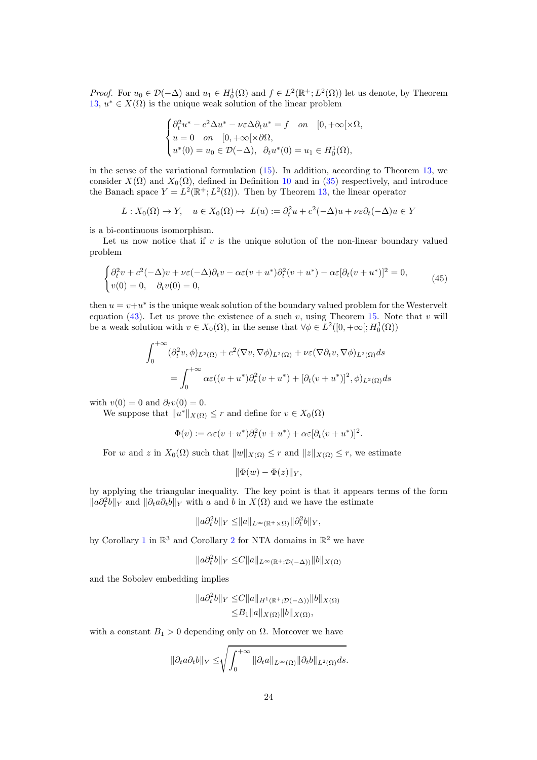*Proof.* For  $u_0 \in \mathcal{D}(-\Delta)$  and  $u_1 \in H_0^1(\Omega)$  and  $f \in L^2(\mathbb{R}^+; L^2(\Omega))$  let us denote, by Theorem [13,](#page-20-4)  $u^* \in X(\Omega)$  is the unique weak solution of the linear problem

$$
\begin{cases} \partial_t^2 u^* - c^2 \Delta u^* - \nu \varepsilon \Delta \partial_t u^* = f & \text{on} \quad [0, +\infty[ \times \Omega, \\ u = 0 & \text{on} \quad [0, +\infty[ \times \partial \Omega, \\ u^*(0) = u_0 \in \mathcal{D}(-\Delta), & \partial_t u^*(0) = u_1 \in H_0^1(\Omega), \end{cases}
$$

in the sense of the variational formulation [\(15\)](#page-13-6). In addition, according to Theorem [13,](#page-20-4) we consider  $X(\Omega)$  and  $X_0(\Omega)$ , defined in Definition [10](#page-20-6) and in [\(35\)](#page-20-7) respectively, and introduce the Banach space  $Y = L^2(\mathbb{R}^+; L^2(\Omega))$ . Then by Theorem [13,](#page-20-4) the linear operator

$$
L: X_0(\Omega) \to Y, \quad u \in X_0(\Omega) \mapsto L(u) := \partial_t^2 u + c^2(-\Delta)u + \nu \varepsilon \partial_t (-\Delta)u \in Y
$$

is a bi-continuous isomorphism.

Let us now notice that if  $v$  is the unique solution of the non-linear boundary valued problem

<span id="page-23-0"></span>
$$
\begin{cases} \partial_t^2 v + c^2(-\Delta)v + \nu \varepsilon(-\Delta)\partial_t v - \alpha \varepsilon(v+u^*)\partial_t^2(v+u^*) - \alpha \varepsilon[\partial_t(v+u^*)]^2 = 0, \\ v(0) = 0, \quad \partial_t v(0) = 0, \end{cases}
$$
(45)

then  $u = v + u^*$  is the unique weak solution of the boundary valued problem for the Westervelt equation [\(43\)](#page-22-1). Let us prove the existence of a such v, using Theorem [15.](#page-21-1) Note that v will be a weak solution with  $v \in X_0(\Omega)$ , in the sense that  $\forall \phi \in L^2([0, +\infty[; H_0^1(\Omega))$ 

$$
\int_0^{+\infty} (\partial_t^2 v, \phi)_{L^2(\Omega)} + c^2 (\nabla v, \nabla \phi)_{L^2(\Omega)} + \nu \varepsilon (\nabla \partial_t v, \nabla \phi)_{L^2(\Omega)} ds
$$
  
= 
$$
\int_0^{+\infty} \alpha \varepsilon ((v + u^*) \partial_t^2 (v + u^*) + [\partial_t (v + u^*)]^2, \phi)_{L^2(\Omega)} ds
$$

with  $v(0) = 0$  and  $\partial_t v(0) = 0$ .

We suppose that  $||u^*||_{X(\Omega)} \leq r$  and define for  $v \in X_0(\Omega)$ 

$$
\Phi(v) := \alpha \varepsilon (v + u^*) \partial_t^2 (v + u^*) + \alpha \varepsilon [\partial_t (v + u^*)]^2.
$$

For w and z in  $X_0(\Omega)$  such that  $||w||_{X(\Omega)} \leq r$  and  $||z||_{X(\Omega)} \leq r$ , we estimate

$$
\|\Phi(w)-\Phi(z)\|_Y,
$$

by applying the triangular inequality. The key point is that it appears terms of the form  $||a\partial_t^2b||_Y$  and  $||\partial_t a\partial_t b||_Y$  with a and b in  $X(Ω)$  and we have the estimate

$$
||a\partial_t^2 b||_Y \le ||a||_{L^{\infty}(\mathbb{R}^+\times\Omega)} ||\partial_t^2 b||_Y,
$$

by Corollary [1](#page-9-1) in  $\mathbb{R}^3$  and Corollary [2](#page-10-1) for NTA domains in  $\mathbb{R}^2$  we have

$$
||a\partial_t^2 b||_Y \leq C||a||_{L^{\infty}(\mathbb{R}^+;\mathcal{D}(-\Delta))}||b||_{X(\Omega)}
$$

and the Sobolev embedding implies

$$
||a\partial_t^2 b||_Y \leq C||a||_{H^1(\mathbb{R}^+; \mathcal{D}(-\Delta))}||b||_{X(\Omega)}
$$
  

$$
\leq B_1||a||_{X(\Omega)}||b||_{X(\Omega)},
$$

with a constant  $B_1 > 0$  depending only on  $\Omega$ . Moreover we have

$$
\|\partial_t a \partial_t b\|_Y \le \sqrt{\int_0^{+\infty} \|\partial_t a\|_{L^\infty(\Omega)} \|\partial_t b\|_{L^2(\Omega)} ds}.
$$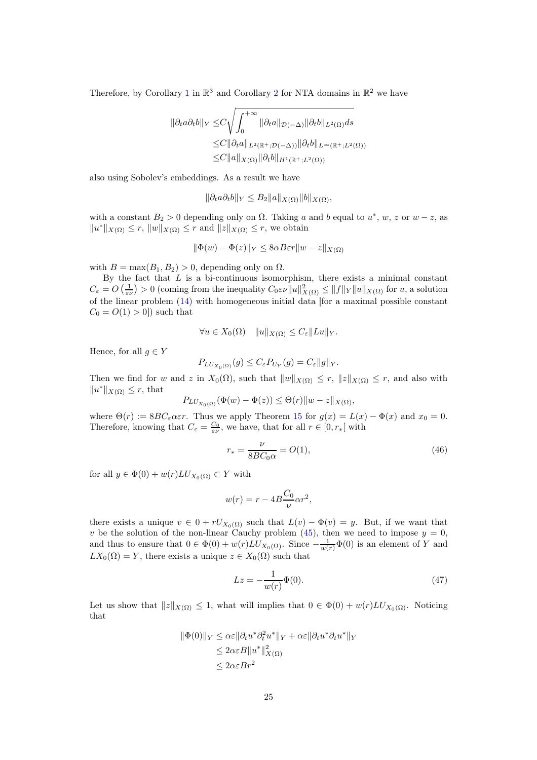Therefore, by Corollary [1](#page-9-1) in  $\mathbb{R}^3$  and Corollary [2](#page-10-1) for NTA domains in  $\mathbb{R}^2$  we have

$$
\|\partial_t a \partial_t b\|_Y \leq C \sqrt{\int_0^{+\infty} \|\partial_t a\|_{\mathcal{D}(-\Delta)} \|\partial_t b\|_{L^2(\Omega)} ds}
$$
  
\n
$$
\leq C \|\partial_t a\|_{L^2(\mathbb{R}^+; \mathcal{D}(-\Delta))} \|\partial_t b\|_{L^\infty(\mathbb{R}^+; L^2(\Omega))}
$$
  
\n
$$
\leq C \|a\|_X(\Omega) \|\partial_t b\|_{H^1(\mathbb{R}^+; L^2(\Omega))}
$$

also using Sobolev's embeddings. As a result we have

$$
\|\partial_t a \partial_t b\|_Y \le B_2 \|a\|_{X(\Omega)} \|b\|_{X(\Omega)},
$$

with a constant  $B_2 > 0$  depending only on  $\Omega$ . Taking a and b equal to  $u^*, w, z$  or  $w - z$ , as  $||u^*||_{X(\Omega)} \le r$ ,  $||w||_{X(\Omega)} \le r$  and  $||z||_{X(\Omega)} \le r$ , we obtain

$$
\|\Phi(w) - \Phi(z)\|_{Y} \le 8\alpha B\varepsilon r \|w - z\|_{X(\Omega)}
$$

with  $B = \max(B_1, B_2) > 0$ , depending only on  $\Omega$ .

By the fact that  $L$  is a bi-continuous isomorphism, there exists a minimal constant  $C_{\varepsilon} = O\left(\frac{1}{\varepsilon \nu}\right) > 0$  (coming from the inequality  $C_0 \varepsilon \nu ||u||^2_{X(\Omega)} \leq ||f||_Y ||u||_{X(\Omega)}$  for  $u$ , a solution of the linear problem [\(14\)](#page-12-2) with homogeneous initial data [for a maximal possible constant  $C_0 = O(1) > 0$ ) such that

$$
\forall u \in X_0(\Omega) \quad ||u||_{X(\Omega)} \le C_{\varepsilon} ||Lu||_Y.
$$

Hence, for all  $q \in Y$ 

$$
P_{LU_{X_0(\Omega)}}(g) \le C_{\varepsilon} P_{U_Y}(g) = C_{\varepsilon} ||g||_Y.
$$

Then we find for w and z in  $X_0(\Omega)$ , such that  $||w||_{X(\Omega)} \leq r$ ,  $||z||_{X(\Omega)} \leq r$ , and also with  $||u^*||_{X(\Omega)} \leq r$ , that

$$
P_{LU_{X_0(\Omega)}}(\Phi(w) - \Phi(z)) \leq \Theta(r) \|w - z\|_{X(\Omega)},
$$

where  $\Theta(r) := 8BC_{\varepsilon} \alpha \varepsilon r$ . Thus we apply Theorem [15](#page-21-1) for  $g(x) = L(x) - \Phi(x)$  and  $x_0 = 0$ . Therefore, knowing that  $C_{\varepsilon} = \frac{C_0}{\varepsilon \nu}$ , we have, that for all  $r \in [0, r_*[$  with

$$
r_* = \frac{\nu}{8BC_0 \alpha} = O(1),\tag{46}
$$

for all  $y \in \Phi(0) + w(r) L U_{X_0(\Omega)} \subset Y$  with

$$
w(r) = r - 4B \frac{C_0}{\nu} \alpha r^2,
$$

there exists a unique  $v \in 0 + rU_{X_0(\Omega)}$  such that  $L(v) - \Phi(v) = y$ . But, if we want that v be the solution of the non-linear Cauchy problem [\(45\)](#page-23-0), then we need to impose  $y = 0$ , and thus to ensure that  $0 \in \Phi(0) + w(r) L U_{X_0(\Omega)}$ . Since  $-\frac{1}{w(r)}\Phi(0)$  is an element of Y and  $LX_0(\Omega) = Y$ , there exists a unique  $z \in X_0(\Omega)$  such that

<span id="page-24-0"></span>
$$
Lz = -\frac{1}{w(r)}\Phi(0).
$$
 (47)

Let us show that  $||z||_{X(\Omega)} \leq 1$ , what will implies that  $0 \in \Phi(0) + w(r) L U_{X_0(\Omega)}$ . Noticing that

$$
\|\Phi(0)\|_{Y} \leq \alpha \varepsilon \|\partial_t u^* \partial_t^2 u^*\|_{Y} + \alpha \varepsilon \|\partial_t u^* \partial_t u^*\|_{Y}
$$
  
\n
$$
\leq 2\alpha \varepsilon B \|u^*\|_{X(\Omega)}^2
$$
  
\n
$$
\leq 2\alpha \varepsilon B r^2
$$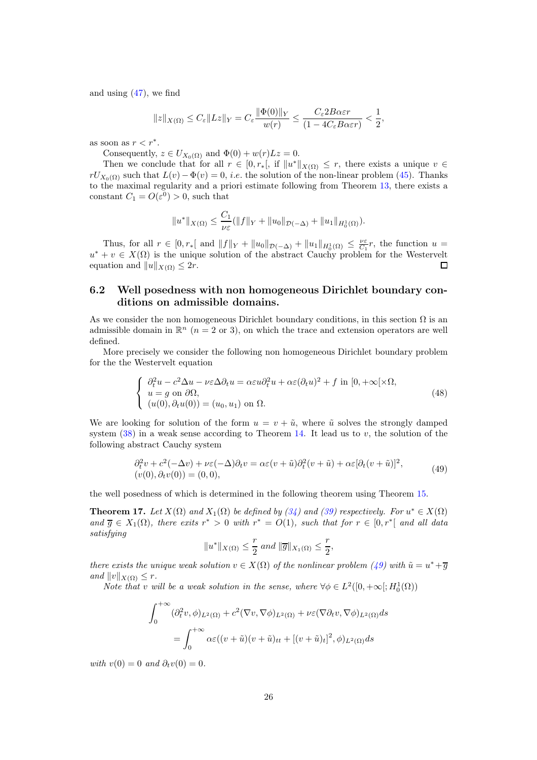and using  $(47)$ , we find

$$
||z||_{X(\Omega)} \leq C_{\varepsilon} ||Lz||_{Y} = C_{\varepsilon} \frac{||\Phi(0)||_{Y}}{w(r)} \leq \frac{C_{\varepsilon} 2B\alpha \varepsilon r}{(1 - 4C_{\varepsilon} B\alpha \varepsilon r)} < \frac{1}{2},
$$

as soon as  $r < r^*$ .

Consequently,  $z \in U_{X_0(\Omega)}$  and  $\Phi(0) + w(r)Lz = 0$ .

Then we conclude that for all  $r \in [0, r_*[$ , if  $||u^*||_{X(\Omega)} \leq r$ , there exists a unique  $v \in$  $rU_{X_0(\Omega)}$  such that  $L(v) - \Phi(v) = 0$ , *i.e.* the solution of the non-linear problem [\(45\)](#page-23-0). Thanks to the maximal regularity and a priori estimate following from Theorem [13,](#page-20-4) there exists a constant  $C_1 = O(\varepsilon^0) > 0$ , such that

$$
||u^*||_{X(\Omega)} \leq \frac{C_1}{\nu \varepsilon} (||f||_Y + ||u_0||_{\mathcal{D}(-\Delta)} + ||u_1||_{H_0^1(\Omega)}).
$$

Thus, for all  $r \in [0, r_*[$  and  $||f||_Y + ||u_0||_{\mathcal{D}(-\Delta)} + ||u_1||_{H_0^1(\Omega)} \leq \frac{\nu \varepsilon}{C_1}r$ , the function  $u =$  $u^* + v \in X(\Omega)$  is the unique solution of the abstract Cauchy problem for the Westervelt equation and  $||u||_{X(\Omega)} \leq 2r$ .

### <span id="page-25-0"></span>6.2 Well posedness with non homogeneous Dirichlet boundary conditions on admissible domains.

As we consider the non homogeneous Dirichlet boundary conditions, in this section  $\Omega$  is an admissible domain in  $\mathbb{R}^n$  ( $n = 2$  or 3), on which the trace and extension operators are well defined.

More precisely we consider the following non homogeneous Dirichlet boundary problem for the the Westervelt equation

<span id="page-25-2"></span>
$$
\begin{cases}\n\partial_t^2 u - c^2 \Delta u - \nu \varepsilon \Delta \partial_t u = \alpha \varepsilon u \partial_t^2 u + \alpha \varepsilon (\partial_t u)^2 + f \text{ in } [0, +\infty[\times \Omega, \\
u = g \text{ on } \partial \Omega, \\
(u(0), \partial_t u(0)) = (u_0, u_1) \text{ on } \Omega.\n\end{cases}
$$
\n(48)

We are looking for solution of the form  $u = v + \tilde{u}$ , where  $\tilde{u}$  solves the strongly damped system  $(38)$  in a weak sense according to Theorem [14.](#page-20-9) It lead us to v, the solution of the following abstract Cauchy system

<span id="page-25-1"></span>
$$
\partial_t^2 v + c^2(-\Delta v) + \nu \varepsilon(-\Delta) \partial_t v = \alpha \varepsilon (v + \tilde{u}) \partial_t^2 (v + \tilde{u}) + \alpha \varepsilon [\partial_t (v + \tilde{u})]^2, (v(0), \partial_t v(0)) = (0, 0),
$$
\n(49)

the well posedness of which is determined in the following theorem using Theorem [15.](#page-21-1)

<span id="page-25-3"></span>**Theorem 17.** Let  $X(\Omega)$  and  $X_1(\Omega)$  be defined by [\(34\)](#page-20-2) and [\(39\)](#page-20-0) respectively. For  $u^* \in X(\Omega)$ and  $\overline{g} \in X_1(\Omega)$ , there exits  $r^* > 0$  with  $r^* = O(1)$ , such that for  $r \in [0, r^*]$  and all data satisfying

$$
||u^*||_{X(\Omega)} \le \frac{r}{2}
$$
 and 
$$
||\overline{g}||_{X_1(\Omega)} \le \frac{r}{2},
$$

there exists the unique weak solution  $v \in X(\Omega)$  of the nonlinear problem [\(49\)](#page-25-1) with  $\tilde{u} = u^* + \overline{g}$ and  $||v||_{X(\Omega)} \leq r$ .

Note that v will be a weak solution in the sense, where  $\forall \phi \in L^2([0, +\infty[; H_0^1(\Omega))$ 

$$
\int_0^{+\infty} (\partial_t^2 v, \phi)_{L^2(\Omega)} + c^2 (\nabla v, \nabla \phi)_{L^2(\Omega)} + \nu \varepsilon (\nabla \partial_t v, \nabla \phi)_{L^2(\Omega)} ds
$$
  
= 
$$
\int_0^{+\infty} \alpha \varepsilon ((v + \tilde{u})(v + \tilde{u})_{tt} + [(v + \tilde{u})_t]^2, \phi)_{L^2(\Omega)} ds
$$

with  $v(0) = 0$  and  $\partial_t v(0) = 0$ .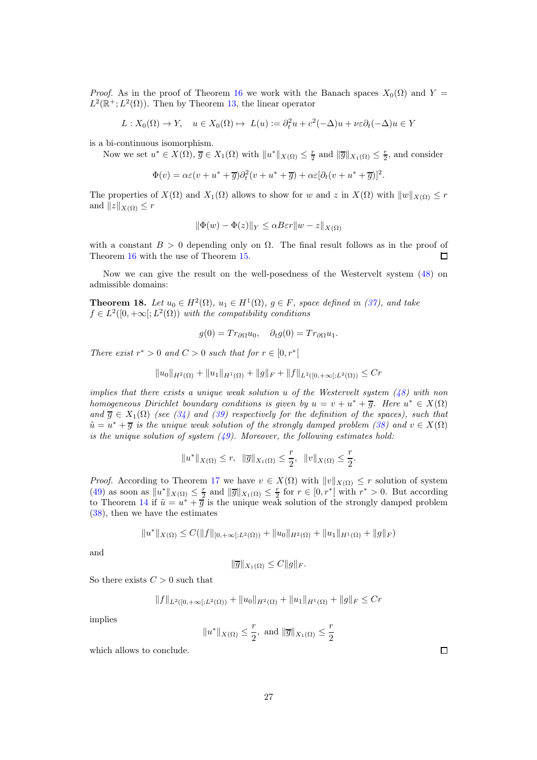*Proof.* As in the proof of Theorem [16](#page-22-0) we work with the Banach spaces  $X_0(\Omega)$  and  $Y =$  $L^2(\mathbb{R}^+; L^2(\Omega))$ . Then by Theorem [13,](#page-20-4) the linear operator

$$
L: X_0(\Omega) \to Y, \quad u \in X_0(\Omega) \mapsto L(u) := \partial_t^2 u + c^2(-\Delta)u + \nu \varepsilon \partial_t (-\Delta)u \in Y
$$

is a bi-continuous isomorphism.

Now we set  $u^* \in X(\Omega)$ ,  $\overline{g} \in X_1(\Omega)$  with  $||u^*||_{X(\Omega)} \leq \frac{r}{2}$  and  $||\overline{g}||_{X_1(\Omega)} \leq \frac{r}{2}$ , and consider

$$
\Phi(v) = \alpha \varepsilon (v + u^* + \overline{g}) \partial_t^2 (v + u^* + \overline{g}) + \alpha \varepsilon [\partial_t (v + u^* + \overline{g})]^2.
$$

The properties of  $X(\Omega)$  and  $X_1(\Omega)$  allows to show for w and z in  $X(\Omega)$  with  $||w||_{X(\Omega)} \leq r$ and  $||z||_{X(\Omega)} \leq r$ 

$$
\|\Phi(w) - \Phi(z)\|_{Y} \le \alpha B \varepsilon r \|w - z\|_{X(\Omega)}
$$

with a constant  $B > 0$  depending only on  $\Omega$ . The final result follows as in the proof of Theorem [16](#page-22-0) with the use of Theorem [15.](#page-21-1)  $\Box$ 

Now we can give the result on the well-posedness of the Westervelt system [\(48\)](#page-25-2) on admissible domains:

**Theorem 18.** Let  $u_0 \in H^2(\Omega)$ ,  $u_1 \in H^1(\Omega)$ ,  $g \in F$ , space defined in [\(37\)](#page-20-3), and take  $f \in L^2([0, +\infty[; L^2(\Omega))$  with the compatibility conditions

$$
g(0) = Tr_{\partial\Omega} u_0, \quad \partial_t g(0) = Tr_{\partial\Omega} u_1.
$$

There exist  $r^* > 0$  and  $C > 0$  such that for  $r \in [0, r^*]$ 

$$
||u_0||_{H^2(\Omega)} + ||u_1||_{H^1(\Omega)} + ||g||_F + ||f||_{L^2([0,+\infty[;L^2(\Omega))} \le Cr
$$

implies that there exists a unique weak solution u of the Westervelt system  $(48)$  with non homogeneous Dirichlet boundary conditions is given by  $u = v + u^* + \overline{g}$ . Here  $u^* \in X(\Omega)$ and  $\overline{g} \in X_1(\Omega)$  (see [\(34\)](#page-20-2) and [\(39\)](#page-20-0) respectively for the definition of the spaces), such that  $\tilde{u} = u^* + \overline{g}$  is the unique weak solution of the strongly damped problem [\(38\)](#page-20-8) and  $v \in X(\Omega)$ is the unique solution of system  $(49)$ . Moreover, the following estimates hold:

$$
||u^*||_{X(\Omega)} \le r, \quad ||\overline{g}||_{X_1(\Omega)} \le \frac{r}{2}, \quad ||v||_{X(\Omega)} \le \frac{r}{2}.
$$

*Proof.* According to Theorem [17](#page-25-3) we have  $v \in X(\Omega)$  with  $||v||_{X(\Omega)} \leq r$  solution of system [\(49\)](#page-25-1) as soon as  $||u^*||_{X(\Omega)} \leq \frac{r}{2}$  and  $||\overline{g}||_{X_1(\Omega)} \leq \frac{r}{2}$  for  $r \in [0, r^*]$  with  $r^* > 0$ . But according to Theorem [14](#page-20-9) if  $\tilde{u} = u^* + \overline{g}$  is the unique weak solution of the strongly damped problem [\(38\)](#page-20-8), then we have the estimates

$$
||u^*||_{X(\Omega)} \leq C(||f||_{[0,+\infty[;L^2(\Omega))} + ||u_0||_{H^2(\Omega)} + ||u_1||_{H^1(\Omega)} + ||g||_F)
$$

and

$$
\|\overline{g}\|_{X_1(\Omega)} \leq C \|g\|_F.
$$

So there exists  $C > 0$  such that

$$
||f||_{L^{2}([0,+\infty[;L^{2}(\Omega))}+||u_{0}||_{H^{2}(\Omega)}+||u_{1}||_{H^{1}(\Omega)}+||g||_{F}\leq Cr
$$

implies

$$
||u^*||_{X(\Omega)} \le \frac{r}{2}, \text{ and } ||\overline{g}||_{X_1(\Omega)} \le \frac{r}{2}
$$

which allows to conclude.

 $\Box$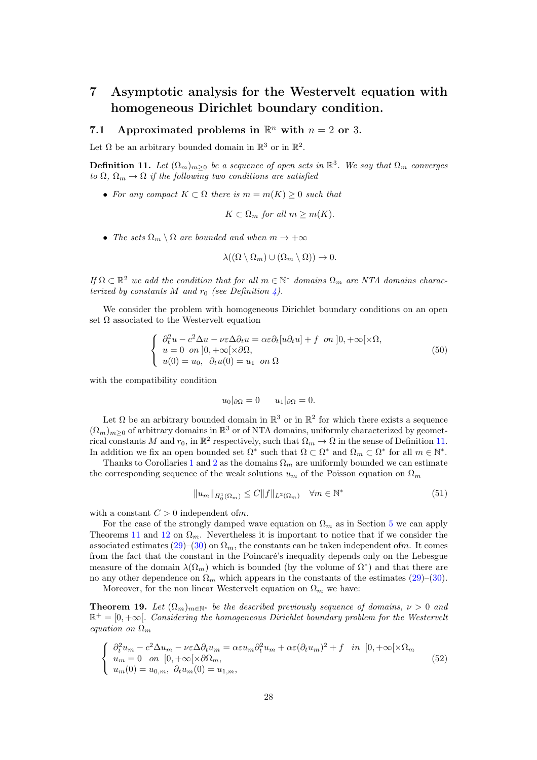## <span id="page-27-0"></span>7 Asymptotic analysis for the Westervelt equation with homogeneous Dirichlet boundary condition.

## 7.1 Approximated problems in  $\mathbb{R}^n$  with  $n = 2$  or 3.

Let  $\Omega$  be an arbitrary bounded domain in  $\mathbb{R}^3$  or in  $\mathbb{R}^2$ .

<span id="page-27-1"></span>**Definition 11.** Let  $(\Omega_m)_{m\geq 0}$  be a sequence of open sets in  $\mathbb{R}^3$ . We say that  $\Omega_m$  converges to  $\Omega$ ,  $\Omega_m \to \Omega$  if the following two conditions are satisfied

• For any compact  $K \subset \Omega$  there is  $m = m(K) \geq 0$  such that

$$
K \subset \Omega_m \text{ for all } m \ge m(K).
$$

• The sets  $\Omega_m \setminus \Omega$  are bounded and when  $m \to +\infty$ 

<span id="page-27-3"></span>
$$
\lambda((\Omega \setminus \Omega_m) \cup (\Omega_m \setminus \Omega)) \to 0.
$$

If  $\Omega \subset \mathbb{R}^2$  we add the condition that for all  $m \in \mathbb{N}^*$  domains  $\Omega_m$  are NTA domains characterized by constants M and  $r_0$  (see Definition [4\)](#page-4-0).

We consider the problem with homogeneous Dirichlet boundary conditions on an open set  $\Omega$  associated to the Westervelt equation

$$
\begin{cases}\n\partial_t^2 u - c^2 \Delta u - \nu \varepsilon \Delta \partial_t u = \alpha \varepsilon \partial_t [u \partial_t u] + f \quad \text{on } ]0, +\infty[\times \Omega, \\
u = 0 \quad \text{on } ]0, +\infty[\times \partial \Omega, \\
u(0) = u_0, \quad \partial_t u(0) = u_1 \quad \text{on } \Omega\n\end{cases} \tag{50}
$$

with the compatibility condition

$$
u_0|_{\partial\Omega} = 0 \qquad u_1|_{\partial\Omega} = 0.
$$

Let  $\Omega$  be an arbitrary bounded domain in  $\mathbb{R}^3$  or in  $\mathbb{R}^2$  for which there exists a sequence  $(\Omega_m)_{m\geq 0}$  of arbitrary domains in  $\mathbb{R}^3$  or of NTA domains, uniformly characterized by geometrical constants M and  $r_0$ , in  $\mathbb{R}^2$  respectively, such that  $\Omega_m \to \Omega$  in the sense of Definition [11.](#page-27-1) In addition we fix an open bounded set  $\Omega^*$  such that  $\Omega \subset \Omega^*$  and  $\Omega_m \subset \Omega^*$  for all  $m \in \mathbb{N}^*$ .

Thanks to Corollaries [1](#page-9-1) and [2](#page-10-1) as the domains  $\Omega_m$  are uniformly bounded we can estimate the corresponding sequence of the weak solutions  $u_m$  of the Poisson equation on  $\Omega_m$ 

$$
||u_m||_{H_0^1(\Omega_m)} \le C||f||_{L^2(\Omega_m)} \quad \forall m \in \mathbb{N}^* \tag{51}
$$

with a constant  $C > 0$  independent ofm.

For the case of the strongly damped wave equation on  $\Omega_m$  as in Section [5](#page-12-0) we can apply Theorems [11](#page-16-1) and [12](#page-16-2) on  $\Omega_m$ . Nevertheless it is important to notice that if we consider the associated estimates [\(29\)](#page-17-0)–[\(30\)](#page-17-2) on  $\Omega_m$ , the constants can be taken independent ofm. It comes from the fact that the constant in the Poincaré's inequality depends only on the Lebesgue measure of the domain  $\lambda(\Omega_m)$  which is bounded (by the volume of  $\Omega^*$ ) and that there are no any other dependence on  $\Omega_m$  which appears in the constants of the estimates [\(29\)](#page-17-0)–[\(30\)](#page-17-2).

Moreover, for the non linear Westervelt equation on  $\Omega_m$  we have:

<span id="page-27-4"></span>**Theorem 19.** Let  $(\Omega_m)_{m \in \mathbb{N}^*}$  be the described previously sequence of domains,  $\nu > 0$  and  $\mathbb{R}^+ = [0, +\infty]$ . Considering the homogeneous Dirichlet boundary problem for the Westervelt equation on  $\Omega_m$ 

<span id="page-27-2"></span>
$$
\begin{cases}\n\partial_t^2 u_m - c^2 \Delta u_m - \nu \varepsilon \Delta \partial_t u_m = \alpha \varepsilon u_m \partial_t^2 u_m + \alpha \varepsilon (\partial_t u_m)^2 + f & \text{in } [0, +\infty[ \times \Omega_m] \\
u_m = 0 & \text{on } [0, +\infty[ \times \partial \Omega_m, \\
u_m(0) = u_{0,m}, \ \partial_t u_m(0) = u_{1,m},\n\end{cases} \tag{52}
$$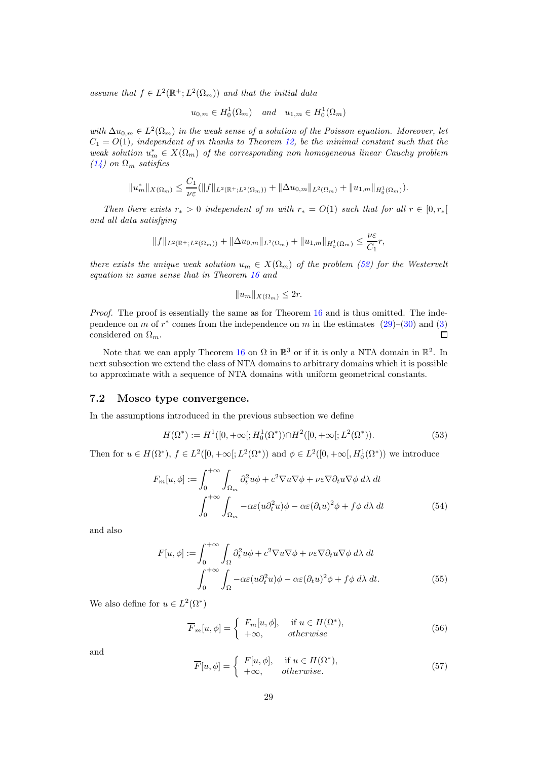assume that  $f \in L^2(\mathbb{R}^+; L^2(\Omega_m))$  and that the initial data

$$
u_{0,m} \in H_0^1(\Omega_m) \quad \text{and} \quad u_{1,m} \in H_0^1(\Omega_m)
$$

with  $\Delta u_{0,m} \in L^2(\Omega_m)$  in the weak sense of a solution of the Poisson equation. Moreover, let  $C_1 = O(1)$ , independent of m thanks to Theorem [12,](#page-16-2) be the minimal constant such that the weak solution  $u_m^* \in X(\Omega_m)$  of the corresponding non homogeneous linear Cauchy problem  $(14)$  on  $\Omega_m$  satisfies

$$
||u_m^*||_{X(\Omega_m)} \leq \frac{C_1}{\nu \varepsilon} (||f||_{L^2(\mathbb{R}^+;L^2(\Omega_m))} + ||\Delta u_{0,m}||_{L^2(\Omega_m)} + ||u_{1,m}||_{H_0^1(\Omega_m)}).
$$

Then there exists  $r_* > 0$  independent of m with  $r_* = O(1)$  such that for all  $r \in [0, r_*[$ and all data satisfying

$$
||f||_{L^{2}(\mathbb{R}^{+};L^{2}(\Omega_{m}))}+||\Delta u_{0,m}||_{L^{2}(\Omega_{m})}+||u_{1,m}||_{H_{0}^{1}(\Omega_{m})}\leq \frac{\nu\varepsilon}{C_{1}}r,
$$

there exists the unique weak solution  $u_m \in X(\Omega_m)$  of the problem [\(52\)](#page-27-2) for the Westervelt equation in same sense that in Theorem [16](#page-22-0) and

<span id="page-28-4"></span>
$$
||u_m||_{X(\Omega_m)} \le 2r.
$$

Proof. The proof is essentially the same as for Theorem [16](#page-22-0) and is thus omitted. The independence on m of  $r^*$  comes from the independence on m in the estimates  $(29)-(30)$  $(29)-(30)$  and  $(3)$ considered on  $\Omega_m$ .  $\Box$ 

Note that we can apply Theorem [16](#page-22-0) on  $\Omega$  in  $\mathbb{R}^3$  or if it is only a NTA domain in  $\mathbb{R}^2$ . In next subsection we extend the class of NTA domains to arbitrary domains which it is possible to approximate with a sequence of NTA domains with uniform geometrical constants.

#### 7.2 Mosco type convergence.

In the assumptions introduced in the previous subsection we define

$$
H(\Omega^*) := H^1([0, +\infty[; H_0^1(\Omega^*)) \cap H^2([0, +\infty[; L^2(\Omega^*))).
$$
\n(53)

Then for  $u \in H(\Omega^*), f \in L^2([0,+\infty[;L^2(\Omega^*))$  and  $\phi \in L^2([0,+\infty[;H_0^1(\Omega^*))$  we introduce

$$
F_m[u,\phi] := \int_0^{+\infty} \int_{\Omega_m} \partial_t^2 u\phi + c^2 \nabla u \nabla \phi + \nu \varepsilon \nabla \partial_t u \nabla \phi \, d\lambda \, dt
$$

$$
\int_0^{+\infty} \int_{\Omega_m} -\alpha \varepsilon (u \partial_t^2 u) \phi - \alpha \varepsilon (\partial_t u)^2 \phi + f \phi \, d\lambda \, dt \tag{54}
$$

and also

$$
F[u,\phi] := \int_0^{+\infty} \int_{\Omega} \partial_t^2 u\phi + c^2 \nabla u \nabla \phi + \nu \varepsilon \nabla \partial_t u \nabla \phi \, d\lambda \, dt
$$

$$
\int_0^{+\infty} \int_{\Omega} -\alpha \varepsilon (u \partial_t^2 u) \phi - \alpha \varepsilon (\partial_t u)^2 \phi + f \phi \, d\lambda \, dt. \tag{55}
$$

We also define for  $u \in L^2(\Omega^*)$ 

<span id="page-28-2"></span><span id="page-28-1"></span><span id="page-28-0"></span>
$$
\overline{F}_m[u,\phi] = \begin{cases} F_m[u,\phi], & \text{if } u \in H(\Omega^*), \\ +\infty, & otherwise \end{cases}
$$
\n(56)

<span id="page-28-3"></span>and

$$
\overline{F}[u,\phi] = \begin{cases} F[u,\phi], & \text{if } u \in H(\Omega^*), \\ +\infty, & otherwise. \end{cases}
$$
\n(57)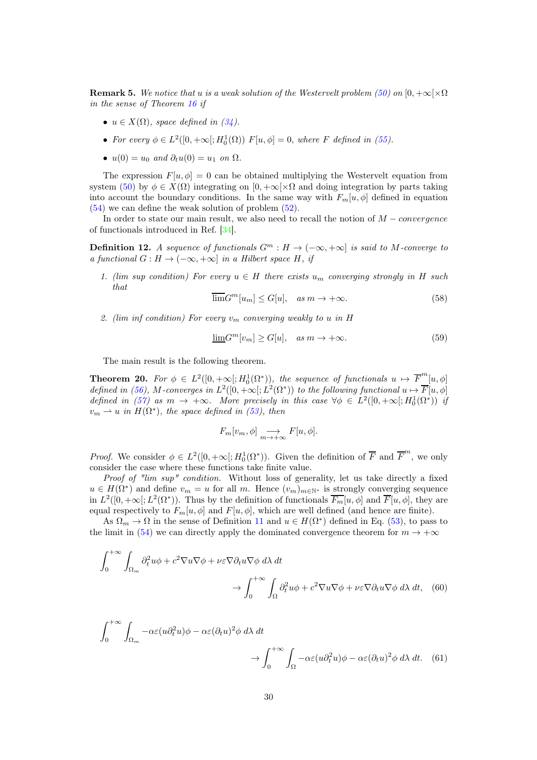<span id="page-29-3"></span>**Remark 5.** We notice that u is a weak solution of the Westervelt problem [\(50\)](#page-27-3) on  $[0, +\infty] \times \Omega$ in the sense of Theorem [16](#page-22-0) if

- $u \in X(\Omega)$ , space defined in [\(34\)](#page-20-2).
- For every  $\phi \in L^2([0, +\infty[; H_0^1(\Omega)) F[u, \phi] = 0$ , where F defined in [\(55\)](#page-28-0).
- $u(0) = u_0$  and  $\partial_t u(0) = u_1$  on  $\Omega$ .

The expression  $F[u, \phi] = 0$  can be obtained multiplying the Westervelt equation from system [\(50\)](#page-27-3) by  $\phi \in X(\Omega)$  integrating on  $[0, +\infty] \times \Omega$  and doing integration by parts taking into account the boundary conditions. In the same way with  $F_m[u, \phi]$  defined in equation [\(54\)](#page-28-1) we can define the weak solution of problem [\(52\)](#page-27-2).

In order to state our main result, we also need to recall the notion of  $M - convergence$ of functionals introduced in Ref. [\[34\]](#page-38-16).

**Definition 12.** A sequence of functionals  $G^m : H \to (-\infty, +\infty]$  is said to M-converge to a functional  $G : H \to (-\infty, +\infty]$  in a Hilbert space H, if

1. (lim sup condition) For every  $u \in H$  there exists  $u_m$  converging strongly in H such that

$$
\overline{\lim} G^m[u_m] \le G[u], \quad \text{as } m \to +\infty. \tag{58}
$$

2. (lim inf condition) For every  $v_m$  converging weakly to u in H

$$
\underline{\lim} G^m[v_m] \ge G[u], \quad \text{as } m \to +\infty. \tag{59}
$$

The main result is the following theorem.

<span id="page-29-0"></span>**Theorem 20.** For  $\phi \in L^2([0, +\infty[; H_0^1(\Omega^*)))$ , the sequence of functionals  $u \mapsto \overline{F}_{\perp}^m[u, \phi]$ defined in [\(56\)](#page-28-2), M-converges in  $L^2([0,+\infty[;L^2(\Omega^*))$  to the following functional  $u \mapsto \overline{F}[u,\phi]$ defined in [\(57\)](#page-28-3) as  $m \to +\infty$ . More precisely in this case  $\forall \phi \in L^2([0, +\infty[; H_0^1(\Omega^*))$  if  $v_m \rightharpoonup u$  in  $H(\Omega^*)$ , the space defined in [\(53\)](#page-28-4), then

<span id="page-29-2"></span><span id="page-29-1"></span>
$$
F_m[v_m, \phi] \underset{m \to +\infty}{\longrightarrow} F[u, \phi].
$$

*Proof.* We consider  $\phi \in L^2([0, +\infty[; H_0^1(\Omega^*))$ . Given the definition of  $\overline{F}$  and  $\overline{F}^m$ , we only consider the case where these functions take finite value.

Proof of "lim sup" condition. Without loss of generality, let us take directly a fixed  $u \in H(\Omega^*)$  and define  $v_m = u$  for all m. Hence  $(v_m)_{m \in \mathbb{N}^*}$  is strongly converging sequence in  $L^2([0, +\infty[; L^2(\Omega^*))$ . Thus by the definition of functionals  $\overline{F_m}[u, \phi]$  and  $\overline{F}[u, \phi]$ , they are equal respectively to  $F_m[u, \phi]$  and  $F[u, \phi]$ , which are well defined (and hence are finite).

As  $\Omega_m \to \Omega$  in the sense of Definition [11](#page-27-1) and  $u \in H(\Omega^*)$  defined in Eq. [\(53\)](#page-28-4), to pass to the limit in [\(54\)](#page-28-1) we can directly apply the dominated convergence theorem for  $m \to +\infty$ 

$$
\int_0^{+\infty} \int_{\Omega_m} \partial_t^2 u \phi + c^2 \nabla u \nabla \phi + \nu \varepsilon \nabla \partial_t u \nabla \phi \, d\lambda \, dt
$$

$$
\to \int_0^{+\infty} \int_{\Omega} \partial_t^2 u \phi + c^2 \nabla u \nabla \phi + \nu \varepsilon \nabla \partial_t u \nabla \phi \, d\lambda \, dt, \quad (60)
$$

$$
\int_0^{+\infty} \int_{\Omega_m} -\alpha \varepsilon (u \partial_t^2 u) \phi - \alpha \varepsilon (\partial_t u)^2 \phi \, d\lambda \, dt
$$

$$
\to \int_0^{+\infty} \int_{\Omega} -\alpha \varepsilon (u \partial_t^2 u) \phi - \alpha \varepsilon (\partial_t u)^2 \phi \, d\lambda \, dt. \quad (61)
$$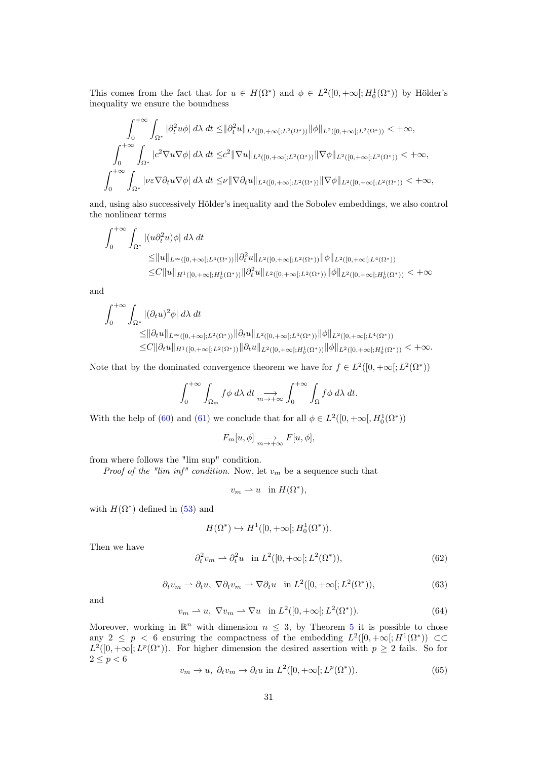This comes from the fact that for  $u \in H(\Omega^*)$  and  $\phi \in L^2([0, +\infty[; H_0^1(\Omega^*))$  by Hölder's inequality we ensure the boundness

$$
\int_0^{+\infty} \int_{\Omega^*} |\partial_t^2 u \phi| d\lambda dt \leq ||\partial_t^2 u||_{L^2([0,+\infty[;L^2(\Omega^*))} ||\phi||_{L^2([0,+\infty[;L^2(\Omega^*))} < +\infty,
$$
  

$$
\int_0^{+\infty} \int_{\Omega^*} |c^2 \nabla u \nabla \phi| d\lambda dt \leq c^2 ||\nabla u||_{L^2([0,+\infty[;L^2(\Omega^*))} ||\nabla \phi||_{L^2([0,+\infty[;L^2(\Omega^*))} < +\infty,
$$
  

$$
\int_0^{+\infty} \int_{\Omega^*} |\nu \varepsilon \nabla \partial_t u \nabla \phi| d\lambda dt \leq \nu ||\nabla \partial_t u||_{L^2([0,+\infty[;L^2(\Omega^*))} ||\nabla \phi||_{L^2([0,+\infty[;L^2(\Omega^*))} < +\infty,
$$

and, using also successively Hölder's inequality and the Sobolev embeddings, we also control the nonlinear terms

$$
\int_0^{+\infty} \int_{\Omega^*} |(u \partial_t^2 u)\phi| d\lambda dt
$$
  
\n
$$
\leq ||u||_{L^{\infty}([0,+\infty[;L^4(\Omega^*))} ||\partial_t^2 u||_{L^2([0,+\infty[;L^2(\Omega^*))} ||\phi||_{L^2([0,+\infty[;L^4(\Omega^*))}
$$
  
\n
$$
\leq C ||u||_{H^1([0,+\infty[;H_0^1(\Omega^*))} ||\partial_t^2 u||_{L^2([0,+\infty[;L^2(\Omega^*))} ||\phi||_{L^2([0,+\infty[;H_0^1(\Omega^*))} < +\infty
$$

and

$$
\int_0^{+\infty} \int_{\Omega^*} |(\partial_t u)^2 \phi| d\lambda dt
$$
  
\n
$$
\leq ||\partial_t u||_{L^{\infty}([0,+\infty[;L^2(\Omega^*))} ||\partial_t u||_{L^2([0,+\infty[;L^4(\Omega^*))} ||\phi||_{L^2([0,+\infty[;L^4(\Omega^*)])}
$$
  
\n
$$
\leq C ||\partial_t u||_{H^1([0,+\infty[;L^2(\Omega^*))} ||\partial_t u||_{L^2([0,+\infty[;H_0^1(\Omega^*))} ||\phi||_{L^2([0,+\infty[;H_0^1(\Omega^*))} < +\infty.
$$

Note that by the dominated convergence theorem we have for  $f \in L^2([0, +\infty[; L^2(\Omega^*))$ 

$$
\int_0^{+\infty} \int_{\Omega_m} f \phi \, d\lambda \, dt \underset{m \to +\infty}{\longrightarrow} \int_0^{+\infty} \int_{\Omega} f \phi \, d\lambda \, dt.
$$

With the help of [\(60\)](#page-29-1) and [\(61\)](#page-29-2) we conclude that for all  $\phi \in L^2([0, +\infty[, H_0^1(\Omega^*))$ 

$$
F_m[u, \phi] \underset{m \to +\infty}{\longrightarrow} F[u, \phi],
$$

from where follows the "lim sup" condition.

*Proof of the "lim inf" condition.* Now, let  $v_m$  be a sequence such that

$$
v_m \rightharpoonup u \quad \text{in } H(\Omega^*),
$$

with  $H(\Omega^*)$  defined in [\(53\)](#page-28-4) and

$$
H(\Omega^*) \hookrightarrow H^1([0, +\infty[; H_0^1(\Omega^*))).
$$

<span id="page-30-1"></span>Then we have

$$
\partial_t^2 v_m \rightharpoonup \partial_t^2 u \quad \text{in } L^2([0, +\infty[; L^2(\Omega^*))), \tag{62}
$$

<span id="page-30-0"></span>
$$
\partial_t v_m \rightharpoonup \partial_t u, \ \nabla \partial_t v_m \rightharpoonup \nabla \partial_t u \quad \text{in } L^2([0, +\infty[; L^2(\Omega^*)]), \tag{63}
$$

<span id="page-30-2"></span>and

$$
v_m \rightharpoonup u, \ \nabla v_m \rightharpoonup \nabla u \quad \text{in } L^2([0, +\infty[; L^2(\Omega^*))).
$$
\n
$$
(64)
$$

Moreover, working in  $\mathbb{R}^n$  with dimension  $n \leq 3$ , by Theorem [5](#page-7-1) it is possible to chose any  $2 \leq p \leq 6$  ensuring the compactness of the embedding  $L^2([0, +\infty[; H^1(\Omega^*)) \subset \mathbb{C}$  $L^2([0, +\infty[; L^p(\Omega^*))$ . For higher dimension the desired assertion with  $p \geq 2$  fails. So for  $2\leq p < 6$ 

<span id="page-30-3"></span>
$$
v_m \to u, \ \partial_t v_m \to \partial_t u \text{ in } L^2([0, +\infty[; L^p(\Omega^*))).
$$
\n
$$
(65)
$$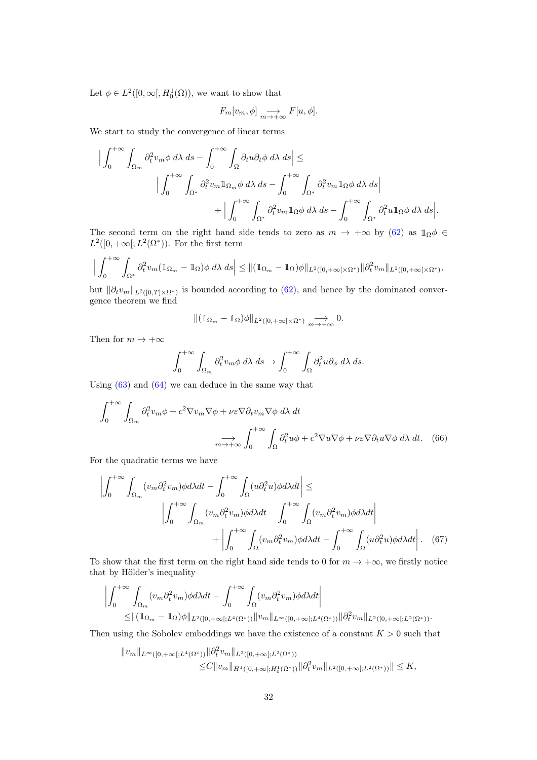Let  $\phi \in L^2([0,\infty[, H_0^1(\Omega)),$  we want to show that

$$
F_m[v_m, \phi] \underset{m \to +\infty}{\longrightarrow} F[u, \phi].
$$

We start to study the convergence of linear terms

$$
\Big| \int_0^{+\infty} \int_{\Omega_m} \partial_t^2 v_m \phi \, d\lambda \, ds - \int_0^{+\infty} \int_{\Omega} \partial_t u \partial_t \phi \, d\lambda \, ds \Big| \le
$$
  

$$
\Big| \int_0^{+\infty} \int_{\Omega^*} \partial_t^2 v_m \mathbb{1}_{\Omega_m} \phi \, d\lambda \, ds - \int_0^{+\infty} \int_{\Omega^*} \partial_t^2 v_m \mathbb{1}_{\Omega} \phi \, d\lambda \, ds \Big|
$$
  

$$
+ \Big| \int_0^{+\infty} \int_{\Omega^*} \partial_t^2 v_m \mathbb{1}_{\Omega} \phi \, d\lambda \, ds - \int_0^{+\infty} \int_{\Omega^*} \partial_t^2 u \mathbb{1}_{\Omega} \phi \, d\lambda \, ds \Big|.
$$

The second term on the right hand side tends to zero as  $m \to +\infty$  by [\(62\)](#page-30-0) as  $1\Omega \phi \in$  $L^2([0, +\infty[; L^2(\Omega^*)])$ . For the first term

$$
\Big|\int_0^{+\infty}\int_{\Omega^*} \partial_t^2 v_m (\mathbb{1}_{\Omega_m} - \mathbb{1}_{\Omega}) \phi \ d\lambda \ ds \Big| \leq \|(\mathbb{1}_{\Omega_m} - \mathbb{1}_{\Omega}) \phi\|_{L^2([0,+\infty[\times \Omega^*)}] \| \partial_t^2 v_m \|_{L^2([0,+\infty[\times \Omega^*)},
$$

but  $\|\partial_t v_m\|_{L^2([0,T]\times\Omega^*)}$  is bounded according to [\(62\)](#page-30-0), and hence by the dominated convergence theorem we find

<span id="page-31-1"></span>
$$
\|(\mathbb{1}_{\Omega_m}-\mathbb{1}_{\Omega})\phi\|_{L^2([0,+\infty[\times\Omega^*)}\underset{m\to+\infty}{\longrightarrow}0.
$$

Then for  $m \to +\infty$ 

<span id="page-31-0"></span>
$$
\int_0^{+\infty} \int_{\Omega_m} \partial_t^2 v_m \phi \, d\lambda \, ds \to \int_0^{+\infty} \int_{\Omega} \partial_t^2 u \partial_\phi \, d\lambda \, ds.
$$

Using  $(63)$  and  $(64)$  we can deduce in the same way that

$$
\int_{0}^{+\infty} \int_{\Omega_{m}} \partial_{t}^{2} v_{m} \phi + c^{2} \nabla v_{m} \nabla \phi + \nu \varepsilon \nabla \partial_{t} v_{m} \nabla \phi \ d\lambda \ dt
$$

$$
\longrightarrow \int_{0}^{+\infty} \int_{\Omega} \partial_{t}^{2} u \phi + c^{2} \nabla u \nabla \phi + \nu \varepsilon \nabla \partial_{t} u \nabla \phi \ d\lambda \ dt. \quad (66)
$$

For the quadratic terms we have

$$
\left| \int_{0}^{+\infty} \int_{\Omega_{m}} (v_{m} \partial_{t}^{2} v_{m}) \phi d\lambda dt - \int_{0}^{+\infty} \int_{\Omega} (u \partial_{t}^{2} u) \phi d\lambda dt \right| \leq
$$

$$
\left| \int_{0}^{+\infty} \int_{\Omega_{m}} (v_{m} \partial_{t}^{2} v_{m}) \phi d\lambda dt - \int_{0}^{+\infty} \int_{\Omega} (v_{m} \partial_{t}^{2} v_{m}) \phi d\lambda dt \right| + \left| \int_{0}^{+\infty} \int_{\Omega} (v_{m} \partial_{t}^{2} v_{m}) \phi d\lambda dt - \int_{0}^{+\infty} \int_{\Omega} (u \partial_{t}^{2} u) \phi d\lambda dt \right|.
$$
(67)

To show that the first term on the right hand side tends to 0 for  $m \to +\infty$ , we firstly notice that by Hölder's inequality

$$
\left| \int_0^{+\infty} \int_{\Omega_m} (v_m \partial_t^2 v_m) \phi d\lambda dt - \int_0^{+\infty} \int_{\Omega} (v_m \partial_t^2 v_m) \phi d\lambda dt \right|
$$
  
 
$$
\leq ||(\mathbb{1}_{\Omega_m} - \mathbb{1}_{\Omega})\phi||_{L^2([0,+\infty[,L^4(\Omega^*))} ||v_m||_{L^\infty([0,+\infty[,L^4(\Omega^*))} ||\partial_t^2 v_m||_{L^2([0,+\infty[,L^2(\Omega^*))}.
$$

Then using the Sobolev embeddings we have the existence of a constant  $K > 0$  such that

$$
||v_m||_{L^{\infty}([0,+\infty[;L^4(\Omega^*))}||\partial_t^2 v_m||_{L^2([0,+\infty[;L^2(\Omega^*))}\n\n\leq C||v_m||_{H^1([0,+\infty[;H^1_0(\Omega^*))}||\partial_t^2 v_m||_{L^2([0,+\infty[;L^2(\Omega^*))}||\leq K,
$$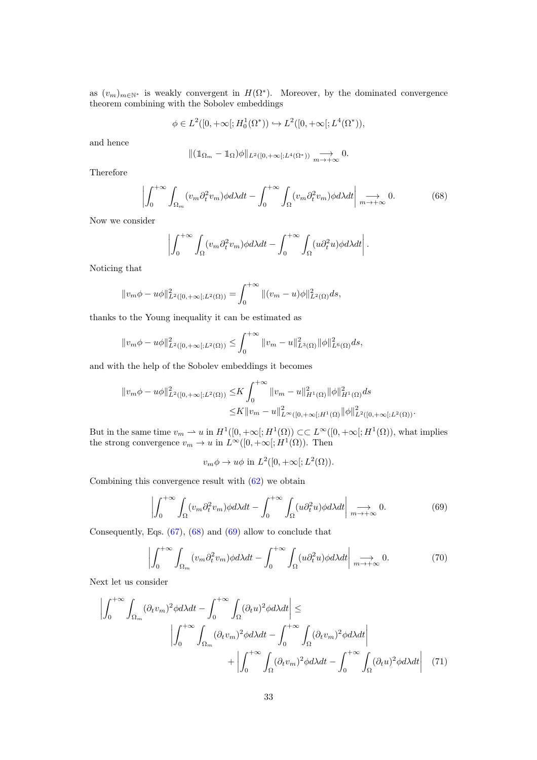as  $(v_m)_{m \in \mathbb{N}^*}$  is weakly convergent in  $H(\Omega^*)$ . Moreover, by the dominated convergence theorem combining with the Sobolev embeddings

$$
\phi \in L^2([0, +\infty[; H_0^1(\Omega^*)) \hookrightarrow L^2([0, +\infty[; L^4(\Omega^*)),
$$

and hence

$$
\|(\mathbb{1}_{\Omega_m}-\mathbb{1}_{\Omega})\phi\|_{L^2([0,+\infty[;L^4(\Omega^*))} \xrightarrow[m\to+\infty]{} 0.
$$

Therefore

<span id="page-32-0"></span>
$$
\left| \int_0^{+\infty} \int_{\Omega_m} (v_m \partial_t^2 v_m) \phi d\lambda dt - \int_0^{+\infty} \int_{\Omega} (v_m \partial_t^2 v_m) \phi d\lambda dt \right| \underset{m \to +\infty}{\longrightarrow} 0. \tag{68}
$$

Now we consider

$$
\left| \int_0^{+\infty} \int_{\Omega} (v_m \partial_t^2 v_m) \phi d\lambda dt - \int_0^{+\infty} \int_{\Omega} (u \partial_t^2 u) \phi d\lambda dt \right|.
$$

Noticing that

$$
||v_m \phi - u\phi||_{L^2([0, +\infty[;L^2(\Omega)))}^2 = \int_0^{+\infty} ||(v_m - u)\phi||_{L^2(\Omega)}^2 ds,
$$

thanks to the Young inequality it can be estimated as

$$
||v_m\phi - u\phi||_{L^2([0,+\infty[;L^2(\Omega)))}^2 \leq \int_0^{+\infty} ||v_m - u||_{L^3(\Omega)}^2 ||\phi||_{L^6(\Omega)}^2 ds,
$$

and with the help of the Sobolev embeddings it becomes

$$
||v_m \phi - u\phi||_{L^2([0,+\infty[;L^2(\Omega)))}^2 \le K \int_0^{+\infty} ||v_m - u||_{H^1(\Omega)}^2 ||\phi||_{H^1(\Omega)}^2 ds
$$
  

$$
\le K ||v_m - u||_{L^\infty([0,+\infty[;H^1(\Omega))}^2 ||\phi||_{L^2([0,+\infty[;L^2(\Omega))}^2).
$$

But in the same time  $v_m \rightharpoonup u$  in  $H^1([0, +\infty[; H^1(\Omega)) \subset\subset L^\infty([0, +\infty[; H^1(\Omega)),$  what implies the strong convergence  $v_m \to u$  in  $L^{\infty}([0, +\infty[; H^1(\Omega))$ . Then

<span id="page-32-3"></span><span id="page-32-2"></span><span id="page-32-1"></span> $v_m \phi \to u\phi$  in  $L^2([0, +\infty[; L^2(\Omega))).$ 

Combining this convergence result with [\(62\)](#page-30-0) we obtain

$$
\left| \int_0^{+\infty} \int_{\Omega} (v_m \partial_t^2 v_m) \phi d\lambda dt - \int_0^{+\infty} \int_{\Omega} (u \partial_t^2 u) \phi d\lambda dt \right| \underset{m \to +\infty}{\longrightarrow} 0. \tag{69}
$$

Consequently, Eqs. [\(67\)](#page-31-0), [\(68\)](#page-32-0) and [\(69\)](#page-32-1) allow to conclude that

$$
\left| \int_0^{+\infty} \int_{\Omega_m} (v_m \partial_t^2 v_m) \phi d\lambda dt - \int_0^{+\infty} \int_{\Omega} (u \partial_t^2 u) \phi d\lambda dt \right| \underset{m \to +\infty}{\longrightarrow} 0. \tag{70}
$$

Next let us consider

$$
\left| \int_{0}^{+\infty} \int_{\Omega_{m}} (\partial_{t} v_{m})^{2} \phi d\lambda dt - \int_{0}^{+\infty} \int_{\Omega} (\partial_{t} u)^{2} \phi d\lambda dt \right| \leq
$$
\n
$$
\left| \int_{0}^{+\infty} \int_{\Omega_{m}} (\partial_{t} v_{m})^{2} \phi d\lambda dt - \int_{0}^{+\infty} \int_{\Omega} (\partial_{t} v_{m})^{2} \phi d\lambda dt \right|
$$
\n
$$
+ \left| \int_{0}^{+\infty} \int_{\Omega} (\partial_{t} v_{m})^{2} \phi d\lambda dt - \int_{0}^{+\infty} \int_{\Omega} (\partial_{t} u)^{2} \phi d\lambda dt \right| \quad (71)
$$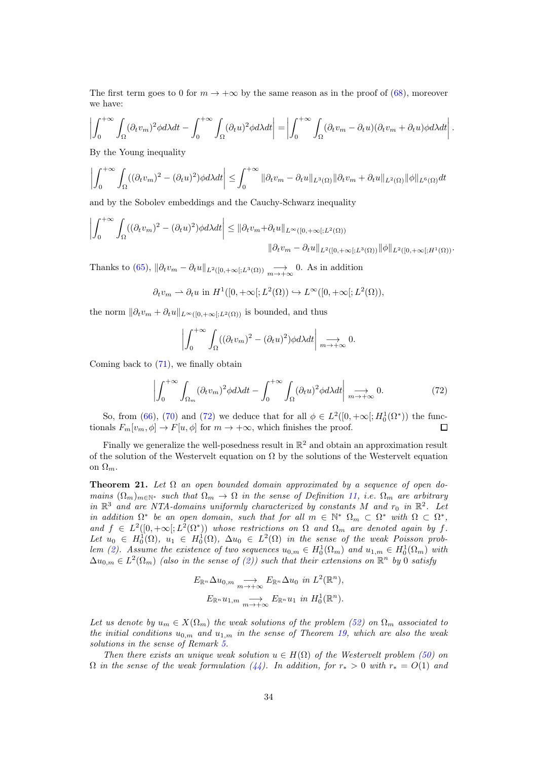The first term goes to 0 for  $m \to +\infty$  by the same reason as in the proof of [\(68\)](#page-32-0), moreover we have:

$$
\left| \int_0^{+\infty} \int_{\Omega} (\partial_t v_m)^2 \phi d\lambda dt - \int_0^{+\infty} \int_{\Omega} (\partial_t u)^2 \phi d\lambda dt \right| = \left| \int_0^{+\infty} \int_{\Omega} (\partial_t v_m - \partial_t u) (\partial_t v_m + \partial_t u) \phi d\lambda dt \right|.
$$

By the Young inequality

$$
\left| \int_0^{+\infty} \int_{\Omega} ((\partial_t v_m)^2 - (\partial_t u)^2) \phi d\lambda dt \right| \leq \int_0^{+\infty} \|\partial_t v_m - \partial_t u\|_{L^3(\Omega)} \|\partial_t v_m + \partial_t u\|_{L^2(\Omega)} \|\phi\|_{L^6(\Omega)} dt
$$

and by the Sobolev embeddings and the Cauchy-Schwarz inequality

$$
\left| \int_0^{+\infty} \int_{\Omega} ((\partial_t v_m)^2 - (\partial_t u)^2) \phi d\lambda dt \right| \leq \| \partial_t v_m + \partial_t u \|_{L^{\infty}([0, +\infty[; L^2(\Omega)))} \| \partial_t v_m - \partial_t u \|_{L^2([0, +\infty[; L^3(\Omega))} \| \phi \|_{L^2([0, +\infty[; H^1(\Omega))}.
$$

Thanks to [\(65\)](#page-30-3),  $\|\partial_t v_m - \partial_t u\|_{L^2([0,+\infty[;L^3(\Omega))} \longrightarrow_{m \to +\infty} 0$ . As in addition

 $\partial_t v_m \rightharpoonup \partial_t u$  in  $H^1([0, +\infty[; L^2(\Omega)) \hookrightarrow L^\infty([0, +\infty[; L^2(\Omega)),$ 

the norm  $\|\partial_t v_m + \partial_t u\|_{L^\infty([0,+\infty[;L^2(\Omega)))}$  is bounded, and thus

<span id="page-33-1"></span>
$$
\left| \int_0^{+\infty} \int_{\Omega} ((\partial_t v_m)^2 - (\partial_t u)^2) \phi d\lambda dt \right| \underset{m \to +\infty}{\longrightarrow} 0.
$$

Coming back to  $(71)$ , we finally obtain

$$
\left| \int_0^{+\infty} \int_{\Omega_m} (\partial_t v_m)^2 \phi d\lambda dt - \int_0^{+\infty} \int_{\Omega} (\partial_t u)^2 \phi d\lambda dt \right| \underset{m \to +\infty}{\longrightarrow} 0. \tag{72}
$$

So, from [\(66\)](#page-31-1), [\(70\)](#page-32-3) and [\(72\)](#page-33-1) we deduce that for all  $\phi \in L^2([0, +\infty[; H_0^1(\Omega^*))$  the functionals  $F_m[v_m, \phi] \to F[u, \phi]$  for  $m \to +\infty$ , which finishes the proof. □

Finally we generalize the well-posedness result in  $\mathbb{R}^2$  and obtain an approximation result of the solution of the Westervelt equation on  $\Omega$  by the solutions of the Westervelt equation on  $\Omega_m$ .

<span id="page-33-0"></span>**Theorem 21.** Let  $\Omega$  an open bounded domain approximated by a sequence of open domains  $(\Omega_m)_{m\in\mathbb{N}^*}$  such that  $\Omega_m \to \Omega$  in the sense of Definition [11,](#page-27-1) i.e.  $\Omega_m$  are arbitrary in  $\mathbb{R}^3$  and are NTA-domains uniformly characterized by constants M and  $r_0$  in  $\mathbb{R}^2$ . Let in addition  $\Omega^*$  be an open domain, such that for all  $m \in \mathbb{N}^*$   $\Omega_m \subset \Omega^*$  with  $\Omega \subset \Omega^*$ , and  $f \in L^2([0, +\infty[; L^2(\Omega^*))$  whose restrictions on  $\Omega$  and  $\Omega_m$  are denoted again by f. Let  $u_0 \in H_0^1(\Omega)$ ,  $u_1 \in H_0^1(\Omega)$ ,  $\Delta u_0 \in L^2(\Omega)$  in the sense of the weak Poisson prob-lem [\(2\)](#page-1-1). Assume the existence of two sequences  $u_{0,m} \in H_0^1(\Omega_m)$  and  $u_{1,m} \in H_0^1(\Omega_m)$  with  $\Delta u_{0,m} \in L^2(\Omega_m)$  (also in the sense of [\(2\)](#page-1-1)) such that their extensions on  $\mathbb{R}^n$  by 0 satisfy

$$
E_{\mathbb{R}^n} \Delta u_{0,m} \underset{m \to +\infty}{\longrightarrow} E_{\mathbb{R}^n} \Delta u_0 \text{ in } L^2(\mathbb{R}^n),
$$
  

$$
E_{\mathbb{R}^n} u_{1,m} \underset{m \to +\infty}{\longrightarrow} E_{\mathbb{R}^n} u_1 \text{ in } H_0^1(\mathbb{R}^n).
$$

Let us denote by  $u_m \in X(\Omega_m)$  the weak solutions of the problem [\(52\)](#page-27-2) on  $\Omega_m$  associated to the initial conditions  $u_{0,m}$  and  $u_{1,m}$  in the sense of Theorem [19,](#page-27-4) which are also the weak solutions in the sense of Remark [5.](#page-29-3)

Then there exists an unique weak solution  $u \in H(\Omega)$  of the Westervelt problem [\(50\)](#page-27-3) on  $\Omega$  in the sense of the weak formulation [\(44\)](#page-22-2). In addition, for  $r_* > 0$  with  $r_* = O(1)$  and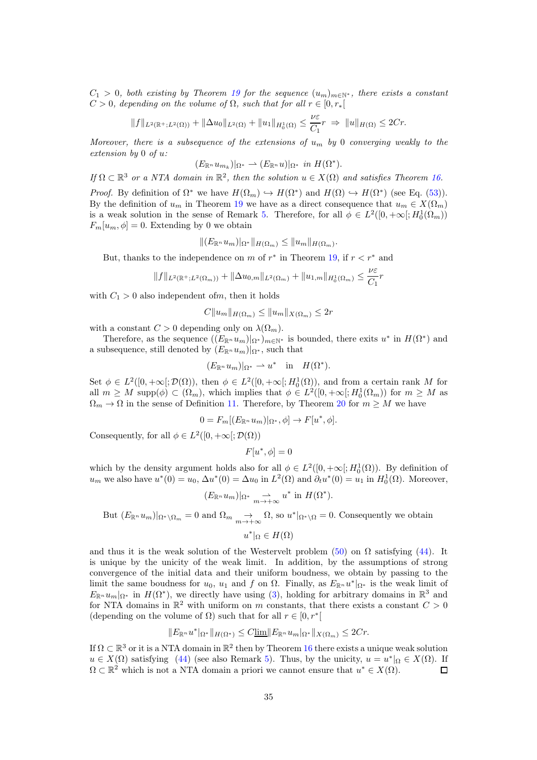$C_1 > 0$ , both existing by Theorem [19](#page-27-4) for the sequence  $(u_m)_{m \in \mathbb{N}^*}$ , there exists a constant  $C > 0$ , depending on the volume of  $\Omega$ , such that for all  $r \in [0, r_*[$ 

$$
||f||_{L^{2}(\mathbb{R}^{+};L^{2}(\Omega))}+||\Delta u_{0}||_{L^{2}(\Omega)}+||u_{1}||_{H_{0}^{1}(\Omega)}\leq \frac{\nu\varepsilon}{C_{1}}r \Rightarrow ||u||_{H(\Omega)}\leq 2Cr.
$$

Moreover, there is a subsequence of the extensions of  $u_m$  by 0 converging weakly to the extension by 0 of u:

$$
(E_{\mathbb{R}^n} u_{m_k})|_{\Omega^*} \rightharpoonup (E_{\mathbb{R}^n} u)|_{\Omega^*} \text{ in } H(\Omega^*).
$$

If  $\Omega \subset \mathbb{R}^3$  or a NTA domain in  $\mathbb{R}^2$ , then the solution  $u \in X(\Omega)$  and satisfies Theorem [16.](#page-22-0)

*Proof.* By definition of  $\Omega^*$  we have  $H(\Omega_m) \hookrightarrow H(\Omega^*)$  and  $H(\Omega) \hookrightarrow H(\Omega^*)$  (see Eq. [\(53\)](#page-28-4)). By the definition of  $u_m$  in Theorem [19](#page-27-4) we have as a direct consequence that  $u_m \in X(\Omega_m)$ is a weak solution in the sense of Remark [5.](#page-29-3) Therefore, for all  $\phi \in L^2([0, +\infty[; H_0^1(\Omega_m)))$  $F_m[u_m, \phi] = 0$ . Extending by 0 we obtain

$$
||(E_{\mathbb{R}^n}u_m)|_{\Omega^*}||_{H(\Omega_m)} \leq ||u_m||_{H(\Omega_m)}.
$$

But, thanks to the independence on m of  $r^*$  in Theorem [19,](#page-27-4) if  $r < r^*$  and

$$
||f||_{L^{2}(\mathbb{R}^{+};L^{2}(\Omega_{m}))}+||\Delta u_{0,m}||_{L^{2}(\Omega_{m})}+||u_{1,m}||_{H_{0}^{1}(\Omega_{m})}\leq\frac{\nu\varepsilon}{C_{1}}r
$$

with  $C_1 > 0$  also independent of *m*, then it holds

$$
C||u_m||_{H(\Omega_m)} \le ||u_m||_{X(\Omega_m)} \le 2r
$$

with a constant  $C > 0$  depending only on  $\lambda(\Omega_m)$ .

Therefore, as the sequence  $((E_{\mathbb{R}^n}u_m)|_{\Omega^*})_{m\in\mathbb{N}^*}$  is bounded, there exits  $u^*$  in  $H(\Omega^*)$  and a subsequence, still denoted by  $(E_{\mathbb{R}^n} u_m)|_{\Omega^*}$ , such that

$$
(E_{\mathbb{R}^n}u_m)|_{\Omega^*}\rightharpoonup u^*\quad\text{in}\quad H(\Omega^*).
$$

Set  $\phi \in L^2([0, +\infty[; \mathcal{D}(\Omega)),$  then  $\phi \in L^2([0, +\infty[; H_0^1(\Omega)),$  and from a certain rank M for all  $m \geq M$  supp $(\phi) \subset (\Omega_m)$ , which implies that  $\phi \in L^2([0, +\infty[; H_0^1(\Omega_m))$  for  $m \geq M$  as  $\Omega_m \to \Omega$  in the sense of Definition [11.](#page-27-1) Therefore, by Theorem [20](#page-29-0) for  $m \geq M$  we have

$$
0 = F_m[(E_{\mathbb{R}^n}u_m)|_{\Omega^*}, \phi] \to F[u^*, \phi].
$$

Consequently, for all  $\phi \in L^2([0, +\infty[; \mathcal{D}(\Omega))$ 

 $F[u^*,\phi]=0$ 

which by the density argument holds also for all  $\phi \in L^2([0, +\infty[; H_0^1(\Omega))$ . By definition of  $u_m$  we also have  $u^*(0) = u_0$ ,  $\Delta u^*(0) = \Delta u_0$  in  $L^2(\Omega)$  and  $\partial_t u^*(0) = u_1$  in  $H_0^1(\Omega)$ . Moreover,

$$
(E_{\mathbb{R}^n} u_m)|_{\Omega^*} \xrightarrow[m \to +\infty]{} u^* \text{ in } H(\Omega^*).
$$

But  $(E_{\mathbb{R}^n}u_m)|_{\Omega^*\setminus\Omega_m}=0$  and  $\Omega_m \underset{m\to+\infty}{\to} \Omega$ , so  $u^*|_{\Omega^*\setminus\Omega}=0$ . Consequently we obtain

$$
u^*|_{\Omega} \in H(\Omega)
$$

and thus it is the weak solution of the Westervelt problem [\(50\)](#page-27-3) on  $\Omega$  satisfying [\(44\)](#page-22-2). It is unique by the unicity of the weak limit. In addition, by the assumptions of strong convergence of the initial data and their uniform boudness, we obtain by passing to the limit the same boudness for  $u_0$ ,  $u_1$  and f on  $\Omega$ . Finally, as  $E_{\mathbb{R}^n}u^*|_{\Omega^*}$  is the weak limit of  $E_{\mathbb{R}^n}u_m|_{\Omega^*}$  in  $H(\Omega^*)$ , we directly have using [\(3\)](#page-2-0), holding for arbitrary domains in  $\mathbb{R}^3$  and for NTA domains in  $\mathbb{R}^2$  with uniform on m constants, that there exists a constant  $C > 0$ (depending on the volume of  $\Omega$ ) such that for all  $r \in [0, r^*]$ 

$$
||E_{\mathbb{R}^n}u^*|_{\Omega^*}||_{H(\Omega^*)}\leq C\underline{\lim}||E_{\mathbb{R}^n}u_m|_{\Omega^*}||_{X(\Omega_m)}\leq 2Cr.
$$

If  $\Omega \subset \mathbb{R}^3$  or it is a NTA domain in  $\mathbb{R}^2$  then by Theorem [16](#page-22-0) there exists a unique weak solution  $u \in X(\Omega)$  satisfying [\(44\)](#page-22-2) (see also Remark [5\)](#page-29-3). Thus, by the unicity,  $u = u^*|_{\Omega} \in X(\Omega)$ . If  $\Omega \subset \mathbb{R}^2$  which is not a NTA domain a priori we cannot ensure that  $u^* \in X(\Omega)$ .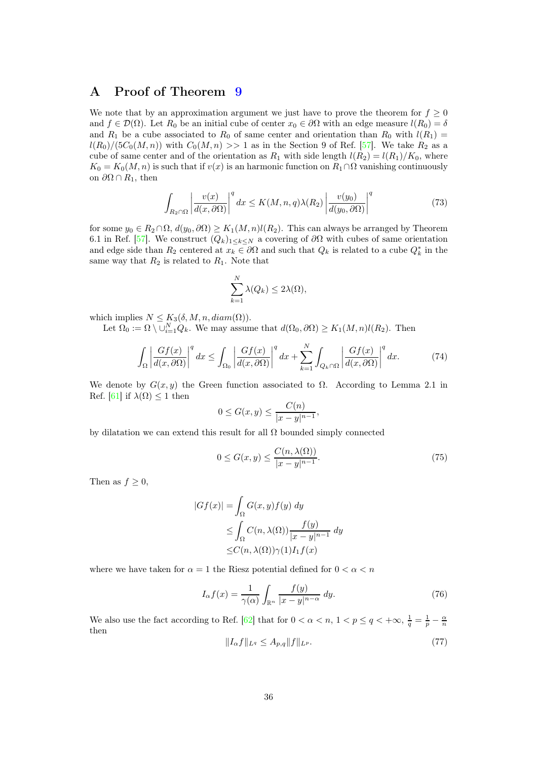### <span id="page-35-0"></span>A Proof of Theorem [9](#page-10-2)

We note that by an approximation argument we just have to prove the theorem for  $f \geq 0$ and  $f \in \mathcal{D}(\Omega)$ . Let  $R_0$  be an initial cube of center  $x_0 \in \partial \Omega$  with an edge measure  $l(R_0) = \delta$ and  $R_1$  be a cube associated to  $R_0$  of same center and orientation than  $R_0$  with  $l(R_1)$  =  $l(R_0)/(5C_0(M,n))$  with  $C_0(M,n) >> 1$  as in the Section 9 of Ref. [\[57\]](#page-39-20). We take  $R_2$  as a cube of same center and of the orientation as  $R_1$  with side length  $l(R_2) = l(R_1)/K_0$ , where  $K_0 = K_0(M, n)$  is such that if  $v(x)$  is an harmonic function on  $R_1 \cap \Omega$  vanishing continuously on  $\partial\Omega \cap R_1$ , then

<span id="page-35-2"></span>
$$
\int_{R_2 \cap \Omega} \left| \frac{v(x)}{d(x, \partial \Omega)} \right|^q dx \le K(M, n, q) \lambda(R_2) \left| \frac{v(y_0)}{d(y_0, \partial \Omega)} \right|^q \tag{73}
$$

for some  $y_0 \in R_2 \cap \Omega$ ,  $d(y_0, \partial \Omega) \ge K_1(M, n)l(R_2)$ . This can always be arranged by Theorem 6.1 in Ref. [\[57\]](#page-39-20). We construct  $(Q_k)_{1\leq k\leq N}$  a covering of  $\partial\Omega$  with cubes of same orientation and edge side than  $R_2$  centered at  $x_k \in \partial \Omega$  and such that  $Q_k$  is related to a cube  $Q_k^*$  in the same way that  $R_2$  is related to  $R_1$ . Note that

<span id="page-35-1"></span>
$$
\sum_{k=1}^{N} \lambda(Q_k) \le 2\lambda(\Omega),
$$

which implies  $N \leq K_3(\delta, M, n, diam(\Omega)).$ 

Let  $\Omega_0 := \Omega \setminus \cup_{i=1}^N Q_k$ . We may assume that  $d(\Omega_0, \partial \Omega) \ge K_1(M, n)l(R_2)$ . Then

$$
\int_{\Omega} \left| \frac{Gf(x)}{d(x,\partial\Omega)} \right|^q dx \le \int_{\Omega_0} \left| \frac{Gf(x)}{d(x,\partial\Omega)} \right|^q dx + \sum_{k=1}^N \int_{Q_k \cap \Omega} \left| \frac{Gf(x)}{d(x,\partial\Omega)} \right|^q dx. \tag{74}
$$

We denote by  $G(x, y)$  the Green function associated to  $\Omega$ . According to Lemma 2.1 in Ref. [\[61\]](#page-40-3) if  $\lambda(\Omega) \leq 1$  then

<span id="page-35-3"></span>
$$
0 \le G(x, y) \le \frac{C(n)}{|x - y|^{n-1}},
$$

by dilatation we can extend this result for all  $\Omega$  bounded simply connected

$$
0 \le G(x, y) \le \frac{C(n, \lambda(\Omega))}{|x - y|^{n - 1}}.\tag{75}
$$

Then as  $f \geq 0$ ,

$$
|Gf(x)| = \int_{\Omega} G(x, y) f(y) dy
$$
  
\n
$$
\leq \int_{\Omega} C(n, \lambda(\Omega)) \frac{f(y)}{|x - y|^{n-1}} dy
$$
  
\n
$$
\leq C(n, \lambda(\Omega)) \gamma(1) I_1 f(x)
$$

where we have taken for  $\alpha = 1$  the Riesz potential defined for  $0 < \alpha < n$ 

$$
I_{\alpha}f(x) = \frac{1}{\gamma(\alpha)} \int_{\mathbb{R}^n} \frac{f(y)}{|x - y|^{n - \alpha}} dy.
$$
 (76)

We also use the fact according to Ref. [\[62\]](#page-40-4) that for  $0 < \alpha < n$ ,  $1 < p \le q < +\infty$ ,  $\frac{1}{q} = \frac{1}{p} - \frac{\alpha}{n}$ then

$$
||I_{\alpha}f||_{L^{q}} \leq A_{p,q}||f||_{L^{p}}.\tag{77}
$$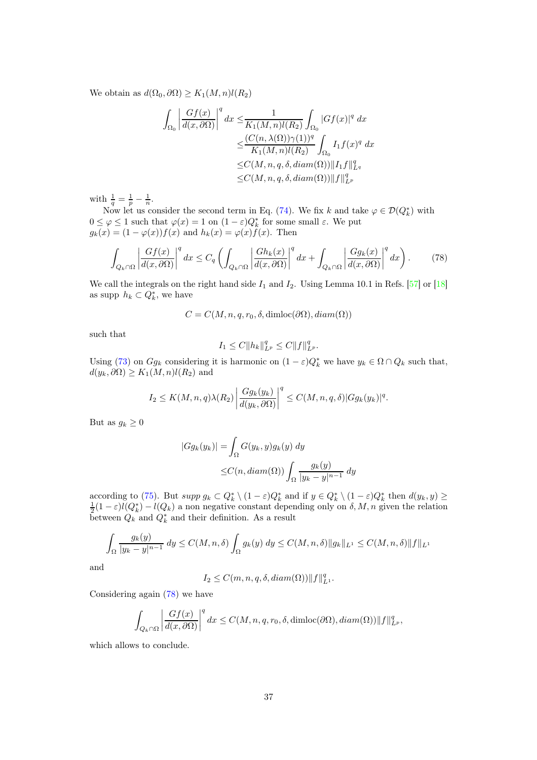We obtain as  $d(\Omega_0, \partial \Omega) \geq K_1(M, n)l(R_2)$ 

$$
\int_{\Omega_0} \left| \frac{Gf(x)}{d(x,\partial\Omega)} \right|^q dx \le \frac{1}{K_1(M,n)l(R_2)} \int_{\Omega_0} |Gf(x)|^q dx
$$
  

$$
\le \frac{(C(n,\lambda(\Omega))\gamma(1))^q}{K_1(M,n)l(R_2)} \int_{\Omega_0} I_1 f(x)^q dx
$$
  

$$
\le C(M,n,q,\delta, diam(\Omega)) ||I_1 f||_{L^q}^q
$$
  

$$
\le C(M,n,q,\delta, diam(\Omega)) ||f||_{L^p}^q
$$

with  $\frac{1}{q} = \frac{1}{p} - \frac{1}{n}$ .

Now let us consider the second term in Eq. [\(74\)](#page-35-1). We fix k and take  $\varphi \in \mathcal{D}(Q_k^*)$  with  $0 \leq \varphi \leq 1$  such that  $\varphi(x) = 1$  on  $(1 - \varepsilon)Q_k^*$  for some small  $\varepsilon$ . We put  $g_k(x) = (1 - \varphi(x))f(x)$  and  $h_k(x) = \varphi(x)f(x)$ . Then

$$
\int_{Q_k \cap \Omega} \left| \frac{Gf(x)}{d(x,\partial \Omega)} \right|^q dx \le C_q \left( \int_{Q_k \cap \Omega} \left| \frac{Gh_k(x)}{d(x,\partial \Omega)} \right|^q dx + \int_{Q_k \cap \Omega} \left| \frac{Gg_k(x)}{d(x,\partial \Omega)} \right|^q dx \right). \tag{78}
$$

We call the integrals on the right hand side  $I_1$  and  $I_2$ . Using Lemma 10.1 in Refs. [\[57\]](#page-39-20) or [\[18\]](#page-38-0) as supp  $h_k \subset Q_k^*$ , we have

 $C = C(M, n, q, r_0, \delta, \text{dimloc}(\partial\Omega), \text{diam}(\Omega))$ 

such that

<span id="page-36-0"></span>
$$
I_1 \leq C \|h_k\|_{L^p}^q \leq C \|f\|_{L^p}^q.
$$

Using [\(73\)](#page-35-2) on  $Gg_k$  considering it is harmonic on  $(1 - \varepsilon)Q_k^*$  we have  $y_k \in \Omega \cap Q_k$  such that,  $d(y_k, \partial \Omega) \geq K_1(M, n)l(R_2)$  and

$$
I_2 \leq K(M,n,q) \lambda(R_2) \left| \frac{Gg_k(y_k)}{d(y_k, \partial \Omega)} \right|^q \leq C(M,n,q,\delta) |Gg_k(y_k)|^q.
$$

But as  $g_k \geq 0$ 

$$
|Gg_k(y_k)| = \int_{\Omega} G(y_k, y)g_k(y) dy
$$
  

$$
\leq C(n, diam(\Omega)) \int_{\Omega} \frac{g_k(y)}{|y_k - y|^{n-1}} dy
$$

according to [\(75\)](#page-35-3). But  $supp g_k \subset Q_k^* \setminus (1 - \varepsilon)Q_k^*$  and if  $y \in Q_k^* \setminus (1 - \varepsilon)Q_k^*$  then  $d(y_k, y) \ge$  $\frac{1}{2}(1-\varepsilon)l(Q_k^*)-l(Q_k)$  a non negative constant depending only on  $\delta, M, n$  given the relation between  $Q_k$  and  $Q_k^*$  and their definition. As a result

$$
\int_{\Omega} \frac{g_k(y)}{|y_k - y|^{n-1}} dy \le C(M, n, \delta) \int_{\Omega} g_k(y) dy \le C(M, n, \delta) \|g_k\|_{L^1} \le C(M, n, \delta) \|f\|_{L^1}
$$

and

$$
I_2 \leq C(m,n,q,\delta, diam(\Omega)) \|f\|_{L^1}^q.
$$

Considering again [\(78\)](#page-36-0) we have

$$
\int_{Q_k \cap \Omega} \left| \frac{Gf(x)}{d(x, \partial \Omega)} \right|^q dx \le C(M, n, q, r_0, \delta, \dim(\partial \Omega), \operatorname{diam}(\Omega)) \|f\|_{L^p}^q,
$$

which allows to conclude.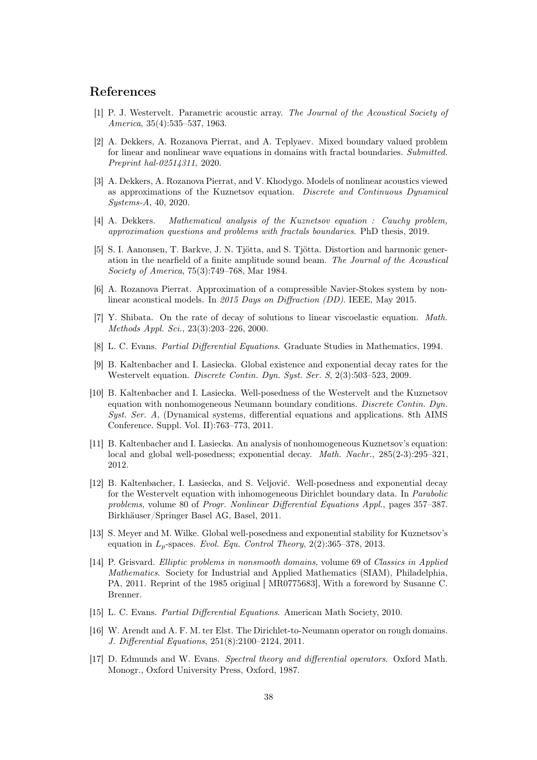### <span id="page-37-3"></span>References

- [1] P. J. Westervelt. Parametric acoustic array. The Journal of the Acoustical Society of America, 35(4):535–537, 1963.
- <span id="page-37-2"></span>[2] A. Dekkers, A. Rozanova Pierrat, and A. Teplyaev. Mixed boundary valued problem for linear and nonlinear wave equations in domains with fractal boundaries. Submitted. Preprint hal-02514311, 2020.
- <span id="page-37-1"></span>[3] A. Dekkers, A. Rozanova Pierrat, and V. Khodygo. Models of nonlinear acoustics viewed as approximations of the Kuznetsov equation. Discrete and Continuous Dynamical Systems-A, 40, 2020.
- <span id="page-37-4"></span><span id="page-37-0"></span>[4] A. Dekkers. Mathematical analysis of the Kuznetsov equation : Cauchy problem, approximation questions and problems with fractals boundaries. PhD thesis, 2019.
- [5] S. I. Aanonsen, T. Barkve, J. N. Tjötta, and S. Tjötta. Distortion and harmonic generation in the nearfield of a finite amplitude sound beam. The Journal of the Acoustical Society of America, 75(3):749–768, Mar 1984.
- <span id="page-37-5"></span>[6] A. Rozanova Pierrat. Approximation of a compressible Navier-Stokes system by nonlinear acoustical models. In 2015 Days on Diffraction (DD). IEEE, May 2015.
- <span id="page-37-6"></span>[7] Y. Shibata. On the rate of decay of solutions to linear viscoelastic equation. Math. Methods Appl. Sci., 23(3):203–226, 2000.
- <span id="page-37-8"></span><span id="page-37-7"></span>[8] L. C. Evans. Partial Differential Equations. Graduate Studies in Mathematics, 1994.
- [9] B. Kaltenbacher and I. Lasiecka. Global existence and exponential decay rates for the Westervelt equation. Discrete Contin. Dyn. Syst. Ser. S, 2(3):503–523, 2009.
- <span id="page-37-9"></span>[10] B. Kaltenbacher and I. Lasiecka. Well-posedness of the Westervelt and the Kuznetsov equation with nonhomogeneous Neumann boundary conditions. Discrete Contin. Dyn. Syst. Ser. A, (Dynamical systems, differential equations and applications. 8th AIMS Conference. Suppl. Vol. II):763–773, 2011.
- <span id="page-37-10"></span>[11] B. Kaltenbacher and I. Lasiecka. An analysis of nonhomogeneous Kuznetsov's equation: local and global well-posedness; exponential decay. *Math. Nachr.*, 285(2-3):295–321, 2012.
- <span id="page-37-11"></span>[12] B. Kaltenbacher, I. Lasiecka, and S. Veljović. Well-posedness and exponential decay for the Westervelt equation with inhomogeneous Dirichlet boundary data. In Parabolic problems, volume 80 of Progr. Nonlinear Differential Equations Appl., pages 357–387. Birkhäuser/Springer Basel AG, Basel, 2011.
- <span id="page-37-12"></span>[13] S. Meyer and M. Wilke. Global well-posedness and exponential stability for Kuznetsov's equation in  $L_p$ -spaces. Evol. Equ. Control Theory, 2(2):365–378, 2013.
- <span id="page-37-13"></span>[14] P. Grisvard. Elliptic problems in nonsmooth domains, volume 69 of Classics in Applied Mathematics. Society for Industrial and Applied Mathematics (SIAM), Philadelphia, PA, 2011. Reprint of the 1985 original [ MR0775683], With a foreword by Susanne C. Brenner.
- <span id="page-37-15"></span><span id="page-37-14"></span>[15] L. C. Evans. Partial Differential Equations. American Math Society, 2010.
- [16] W. Arendt and A. F. M. ter Elst. The Dirichlet-to-Neumann operator on rough domains. J. Differential Equations, 251(8):2100–2124, 2011.
- <span id="page-37-16"></span>[17] D. Edmunds and W. Evans. Spectral theory and differential operators. Oxford Math. Monogr., Oxford University Press, Oxford, 1987.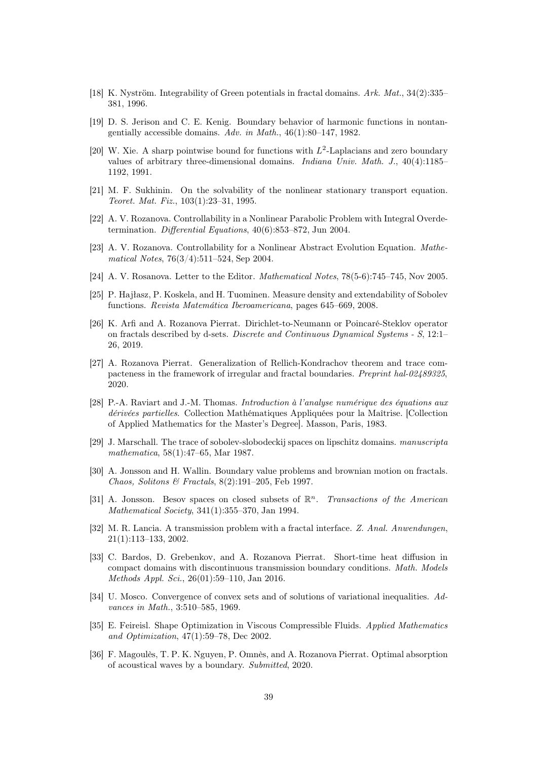- <span id="page-38-1"></span><span id="page-38-0"></span>[18] K. Nyström. Integrability of Green potentials in fractal domains. Ark. Mat., 34(2):335– 381, 1996.
- [19] D. S. Jerison and C. E. Kenig. Boundary behavior of harmonic functions in nontangentially accessible domains. Adv. in Math., 46(1):80–147, 1982.
- <span id="page-38-2"></span>[20] W. Xie. A sharp pointwise bound for functions with  $L^2$ -Laplacians and zero boundary values of arbitrary three-dimensional domains. Indiana Univ. Math. J., 40(4):1185– 1192, 1991.
- <span id="page-38-3"></span>[21] M. F. Sukhinin. On the solvability of the nonlinear stationary transport equation. Teoret. Mat. Fiz., 103(1):23–31, 1995.
- <span id="page-38-5"></span><span id="page-38-4"></span>[22] A. V. Rozanova. Controllability in a Nonlinear Parabolic Problem with Integral Overdetermination. Differential Equations, 40(6):853–872, Jun 2004.
- [23] A. V. Rozanova. Controllability for a Nonlinear Abstract Evolution Equation. Mathematical Notes, 76(3/4):511–524, Sep 2004.
- <span id="page-38-7"></span><span id="page-38-6"></span>[24] A. V. Rosanova. Letter to the Editor. Mathematical Notes, 78(5-6):745–745, Nov 2005.
- [25] P. Hajłasz, P. Koskela, and H. Tuominen. Measure density and extendability of Sobolev functions. Revista Matemática Iberoamericana, pages 645–669, 2008.
- <span id="page-38-8"></span>[26] K. Arfi and A. Rozanova Pierrat. Dirichlet-to-Neumann or Poincaré-Steklov operator on fractals described by d-sets. Discrete and Continuous Dynamical Systems - S, 12:1– 26, 2019.
- <span id="page-38-9"></span>[27] A. Rozanova Pierrat. Generalization of Rellich-Kondrachov theorem and trace compacteness in the framework of irregular and fractal boundaries. Preprint hal-02489325, 2020.
- <span id="page-38-10"></span>[28] P.-A. Raviart and J.-M. Thomas. Introduction à l'analyse numérique des équations aux dérivées partielles. Collection Mathématiques Appliquées pour la Maîtrise. [Collection of Applied Mathematics for the Master's Degree]. Masson, Paris, 1983.
- <span id="page-38-11"></span>[29] J. Marschall. The trace of sobolev-slobodeckij spaces on lipschitz domains. manuscripta mathematica, 58(1):47–65, Mar 1987.
- <span id="page-38-12"></span>[30] A. Jonsson and H. Wallin. Boundary value problems and brownian motion on fractals. Chaos, Solitons & Fractals, 8(2):191–205, Feb 1997.
- <span id="page-38-13"></span>[31] A. Jonsson. Besov spaces on closed subsets of  $\mathbb{R}^n$ . Transactions of the American Mathematical Society, 341(1):355–370, Jan 1994.
- <span id="page-38-14"></span>[32] M. R. Lancia. A transmission problem with a fractal interface. Z. Anal. Anwendungen, 21(1):113–133, 2002.
- <span id="page-38-15"></span>[33] C. Bardos, D. Grebenkov, and A. Rozanova Pierrat. Short-time heat diffusion in compact domains with discontinuous transmission boundary conditions. Math. Models Methods Appl. Sci., 26(01):59–110, Jan 2016.
- <span id="page-38-16"></span>[34] U. Mosco. Convergence of convex sets and of solutions of variational inequalities. Advances in Math., 3:510–585, 1969.
- <span id="page-38-17"></span>[35] E. Feireisl. Shape Optimization in Viscous Compressible Fluids. Applied Mathematics and Optimization, 47(1):59–78, Dec 2002.
- <span id="page-38-18"></span>[36] F. Magoulès, T. P. K. Nguyen, P. Omnès, and A. Rozanova Pierrat. Optimal absorption of acoustical waves by a boundary. Submitted, 2020.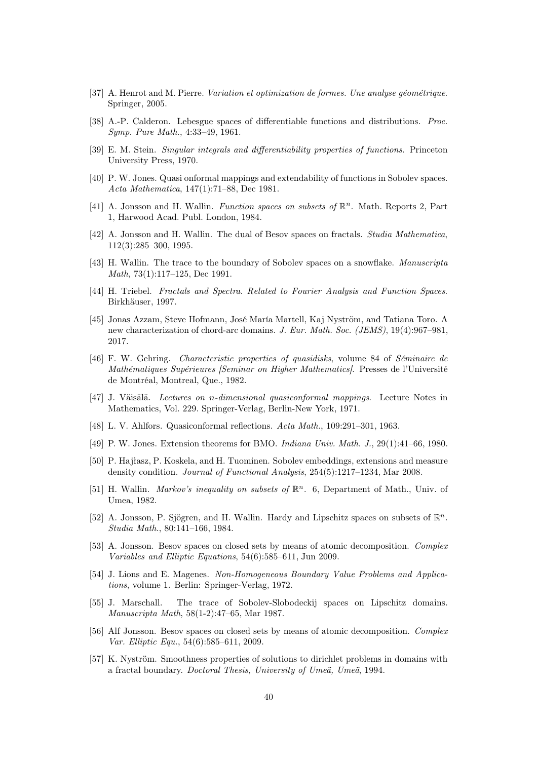- <span id="page-39-1"></span><span id="page-39-0"></span>[37] A. Henrot and M. Pierre. Variation et optimization de formes. Une analyse géométrique. Springer, 2005.
- <span id="page-39-2"></span>[38] A.-P. Calderon. Lebesgue spaces of differentiable functions and distributions. Proc. Symp. Pure Math., 4:33–49, 1961.
- <span id="page-39-3"></span>[39] E. M. Stein. Singular integrals and differentiability properties of functions. Princeton University Press, 1970.
- [40] P. W. Jones. Quasi onformal mappings and extendability of functions in Sobolev spaces. Acta Mathematica, 147(1):71–88, Dec 1981.
- <span id="page-39-4"></span>[41] A. Jonsson and H. Wallin. Function spaces on subsets of  $\mathbb{R}^n$ . Math. Reports 2, Part 1, Harwood Acad. Publ. London, 1984.
- <span id="page-39-5"></span>[42] A. Jonsson and H. Wallin. The dual of Besov spaces on fractals. Studia Mathematica, 112(3):285–300, 1995.
- <span id="page-39-6"></span>[43] H. Wallin. The trace to the boundary of Sobolev spaces on a snowflake. Manuscripta Math, 73(1):117–125, Dec 1991.
- <span id="page-39-7"></span>[44] H. Triebel. Fractals and Spectra. Related to Fourier Analysis and Function Spaces. Birkhäuser, 1997.
- <span id="page-39-8"></span>[45] Jonas Azzam, Steve Hofmann, José María Martell, Kaj Nyström, and Tatiana Toro. A new characterization of chord-arc domains. J. Eur. Math. Soc. (JEMS), 19(4):967–981, 2017.
- <span id="page-39-9"></span>[46] F. W. Gehring. Characteristic properties of quasidisks, volume 84 of Séminaire de Mathématiques Supérieures [Seminar on Higher Mathematics]. Presses de l'Université de Montréal, Montreal, Que., 1982.
- <span id="page-39-10"></span>[47] J. Väisälä. Lectures on n-dimensional quasiconformal mappings. Lecture Notes in Mathematics, Vol. 229. Springer-Verlag, Berlin-New York, 1971.
- <span id="page-39-12"></span><span id="page-39-11"></span>[48] L. V. Ahlfors. Quasiconformal reflections. Acta Math., 109:291–301, 1963.
- <span id="page-39-13"></span>[49] P. W. Jones. Extension theorems for BMO. Indiana Univ. Math. J., 29(1):41–66, 1980.
- [50] P. Hajłasz, P. Koskela, and H. Tuominen. Sobolev embeddings, extensions and measure density condition. Journal of Functional Analysis, 254(5):1217–1234, Mar 2008.
- <span id="page-39-14"></span>[51] H. Wallin. Markov's inequality on subsets of  $\mathbb{R}^n$ . 6, Department of Math., Univ. of Umea, 1982.
- <span id="page-39-15"></span>[52] A. Jonsson, P. Sjögren, and H. Wallin. Hardy and Lipschitz spaces on subsets of  $\mathbb{R}^n$ . Studia Math., 80:141–166, 1984.
- <span id="page-39-16"></span>[53] A. Jonsson. Besov spaces on closed sets by means of atomic decomposition. Complex Variables and Elliptic Equations, 54(6):585–611, Jun 2009.
- <span id="page-39-17"></span>[54] J. Lions and E. Magenes. Non-Homogeneous Boundary Value Problems and Applications, volume 1. Berlin: Springer-Verlag, 1972.
- <span id="page-39-18"></span>[55] J. Marschall. The trace of Sobolev-Slobodeckij spaces on Lipschitz domains. Manuscripta Math, 58(1-2):47–65, Mar 1987.
- <span id="page-39-19"></span>[56] Alf Jonsson. Besov spaces on closed sets by means of atomic decomposition. Complex Var. Elliptic Equ., 54(6):585–611, 2009.
- <span id="page-39-20"></span>[57] K. Nyström. Smoothness properties of solutions to dirichlet problems in domains with a fractal boundary. Doctoral Thesis, University of Umeä, Umeä, 1994.